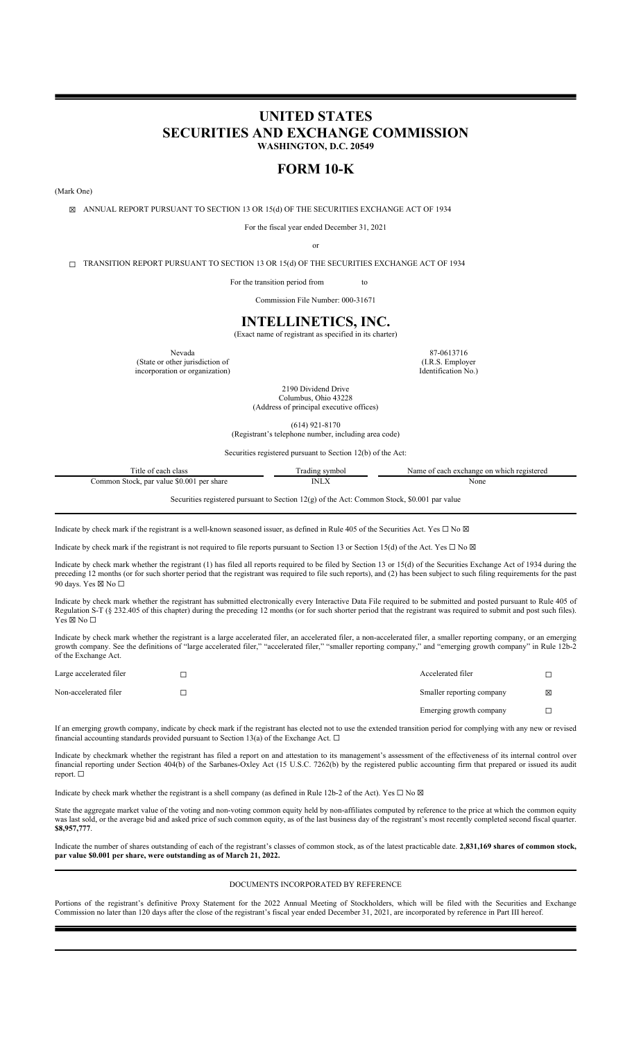# **UNITED STATES SECURITIES AND EXCHANGE COMMISSION WASHINGTON, D.C. 20549**

# **FORM 10-K**

(Mark One)

☒ ANNUAL REPORT PURSUANT TO SECTION 13 OR 15(d) OF THE SECURITIES EXCHANGE ACT OF 1934

For the fiscal year ended December 31, 2021

or

☐ TRANSITION REPORT PURSUANT TO SECTION 13 OR 15(d) OF THE SECURITIES EXCHANGE ACT OF 1934

For the transition period from to

Commission File Number: 000-31671

## **INTELLINETICS, INC.**

(Exact name of registrant as specified in its charter)

Nevada 87-0613716 (State or other jurisdiction of incorporation or organization)

(I.R.S. Employer Identification No.)

2190 Dividend Drive Columbus, Ohio 43228 (Address of principal executive offices)

(614) 921-8170 (Registrant's telephone number, including area code)

Securities registered pursuant to Section 12(b) of the Act:

| Title of each class                       | Trading symbol                                                                                | Name of each exchange on which registered |
|-------------------------------------------|-----------------------------------------------------------------------------------------------|-------------------------------------------|
| Common Stock, par value \$0.001 per share | <b>INLX</b>                                                                                   | None                                      |
|                                           | Securities registered pursuant to Section $12(g)$ of the Act: Common Stock, \$0.001 par value |                                           |

Indicate by check mark if the registrant is a well-known seasoned issuer, as defined in Rule 405 of the Securities Act. Yes  $\Box$  No  $\boxtimes$ 

Indicate by check mark if the registrant is not required to file reports pursuant to Section 13 or Section 15(d) of the Act. Yes  $\Box$  No  $\boxtimes$ 

Indicate by check mark whether the registrant (1) has filed all reports required to be filed by Section 13 or 15(d) of the Securities Exchange Act of 1934 during the preceding 12 months (or for such shorter period that the registrant was required to file such reports), and (2) has been subject to such filing requirements for the past 90 days. Yes ⊠ No □

Indicate by check mark whether the registrant has submitted electronically every Interactive Data File required to be submitted and posted pursuant to Rule 405 of Regulation S-T (§ 232.405 of this chapter) during the preceding 12 months (or for such shorter period that the registrant was required to submit and post such files). Yes ⊠ No □

Indicate by check mark whether the registrant is a large accelerated filer, an accelerated filer, a non-accelerated filer, a smaller reporting company, or an emerging growth company. See the definitions of "large accelerated filer," "accelerated filer," "smaller reporting company," and "emerging growth company" in Rule 12b-2 of the Exchange Act.

| Large accelerated filer | Accelerated filer         |   |
|-------------------------|---------------------------|---|
| Non-accelerated filer   | Smaller reporting company | ⊠ |
|                         | Emerging growth company   |   |

If an emerging growth company, indicate by check mark if the registrant has elected not to use the extended transition period for complying with any new or revised financial accounting standards provided pursuant to Section 13(a) of the Exchange Act.  $\Box$ 

Indicate by checkmark whether the registrant has filed a report on and attestation to its management's assessment of the effectiveness of its internal control over financial reporting under Section 404(b) of the Sarbanes-Oxley Act (15 U.S.C. 7262(b) by the registered public accounting firm that prepared or issued its audit report. ☐

Indicate by check mark whether the registrant is a shell company (as defined in Rule 12b-2 of the Act). Yes  $\Box$  No  $\boxtimes$ 

State the aggregate market value of the voting and non-voting common equity held by non-affiliates computed by reference to the price at which the common equity was last sold, or the average bid and asked price of such common equity, as of the last business day of the registrant's most recently completed second fiscal quarter. **\$8,957,777**.

Indicate the number of shares outstanding of each of the registrant's classes of common stock, as of the latest practicable date. **2,831,169 shares of common stock, par value \$0.001 per share, were outstanding as of March 21, 2022.**

## DOCUMENTS INCORPORATED BY REFERENCE

Portions of the registrant's definitive Proxy Statement for the 2022 Annual Meeting of Stockholders, which will be filed with the Securities and Exchange Commission no later than 120 days after the close of the registrant's fiscal year ended December 31, 2021, are incorporated by reference in Part III hereof.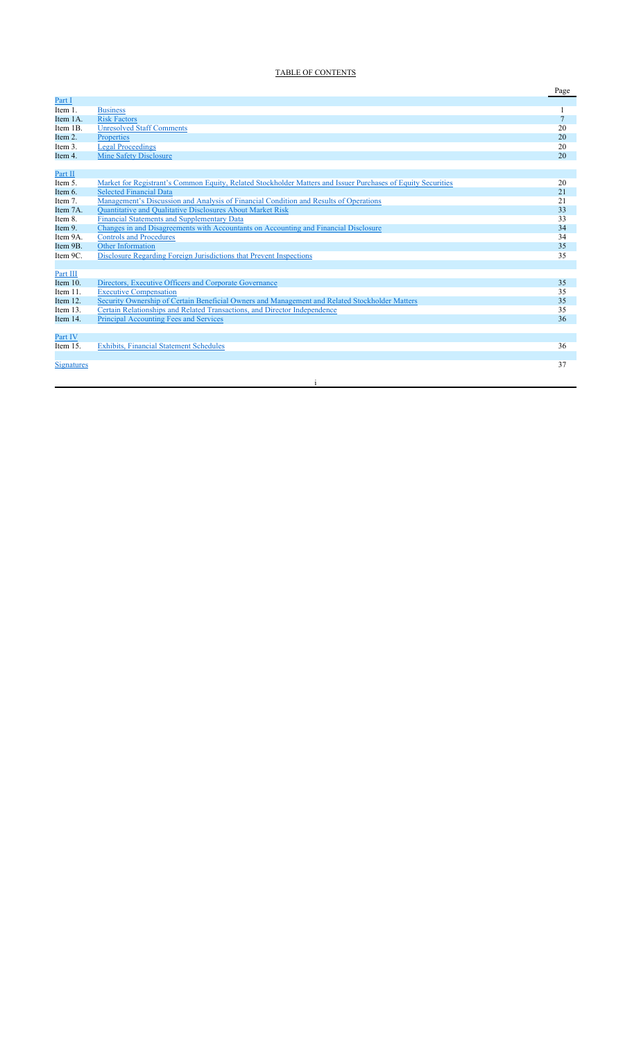## TABLE OF CONTENTS

|                   |                                                                                                              | Page           |
|-------------------|--------------------------------------------------------------------------------------------------------------|----------------|
| Part I            |                                                                                                              |                |
| Item 1.           | <b>Business</b>                                                                                              |                |
| Item 1A.          | <b>Risk Factors</b>                                                                                          | $\overline{7}$ |
| Item 1B.          | <b>Unresolved Staff Comments</b>                                                                             | 20             |
| Item 2.           | Properties                                                                                                   | 20             |
| Item 3.           | <b>Legal Proceedings</b>                                                                                     | 20             |
| Item 4.           | Mine Safety Disclosure                                                                                       | 20             |
|                   |                                                                                                              |                |
| Part II           |                                                                                                              |                |
| Item 5.           | Market for Registrant's Common Equity, Related Stockholder Matters and Issuer Purchases of Equity Securities | 20             |
| Item 6.           | <b>Selected Financial Data</b>                                                                               | 21             |
| Item 7.           | Management's Discussion and Analysis of Financial Condition and Results of Operations                        | 21             |
| Item 7A.          | Quantitative and Qualitative Disclosures About Market Risk                                                   | 33             |
| Item 8.           | <b>Financial Statements and Supplementary Data</b>                                                           | 33             |
| Item 9.           | Changes in and Disagreements with Accountants on Accounting and Financial Disclosure                         | 34             |
| Item 9A.          | <b>Controls and Procedures</b>                                                                               | 34             |
| Item 9B.          | <b>Other Information</b>                                                                                     | 35             |
| Item 9C.          | Disclosure Regarding Foreign Jurisdictions that Prevent Inspections                                          | 35             |
|                   |                                                                                                              |                |
| Part III          |                                                                                                              |                |
| Item $10$ .       | Directors, Executive Officers and Corporate Governance                                                       | 35             |
| Item 11.          | <b>Executive Compensation</b>                                                                                | 35             |
| Item 12.          | Security Ownership of Certain Beneficial Owners and Management and Related Stockholder Matters               | 35             |
| Item 13.          | Certain Relationships and Related Transactions, and Director Independence                                    | 35             |
| Item 14.          | Principal Accounting Fees and Services                                                                       | 36             |
|                   |                                                                                                              |                |
| Part IV           |                                                                                                              |                |
| Item 15.          | <b>Exhibits, Financial Statement Schedules</b>                                                               | 36             |
|                   |                                                                                                              |                |
| <b>Signatures</b> |                                                                                                              | 37             |
|                   |                                                                                                              |                |

i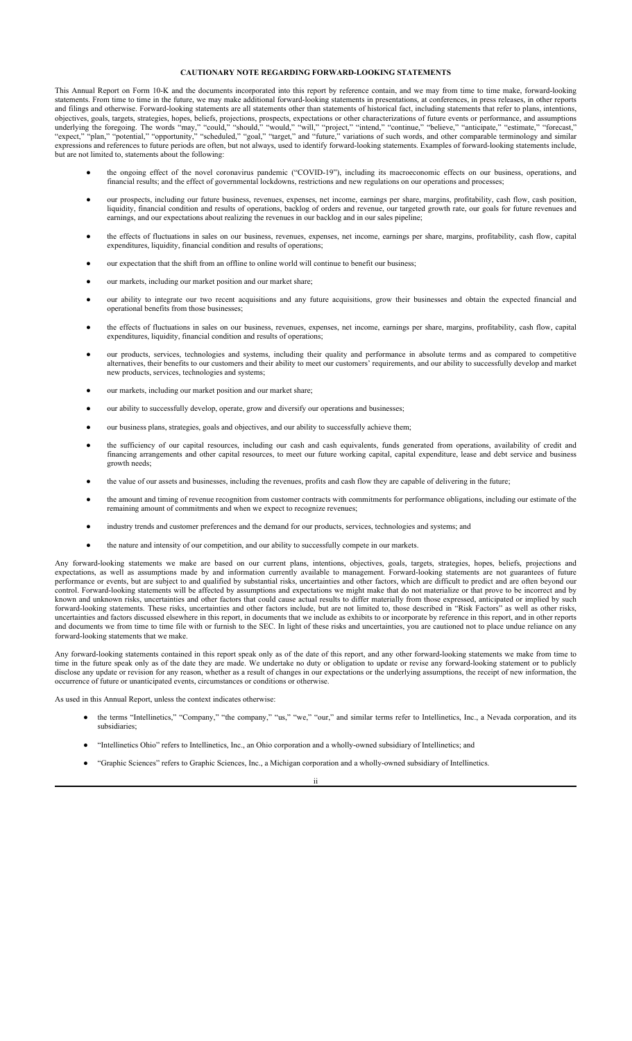## **CAUTIONARY NOTE REGARDING FORWARD-LOOKING STATEMENTS**

This Annual Report on Form 10-K and the documents incorporated into this report by reference contain, and we may from time to time make, forward-looking statements. From time to time in the future, we may make additional forward-looking statements in presentations, at conferences, in press releases, in other reports and filings and otherwise. Forward-looking statements are all statements other than statements of historical fact, including statements that refer to plans, intentions, objectives, goals, targets, strategies, hopes, beliefs, projections, prospects, expectations or other characterizations of future events or performance, and assumptions underlying the foregoing. The words "may," "could," "should," "would," "will," "project," "intend," "continue," "believe," "anticipate," "estimate," "forecast," "expect," "plan," "potential," "opportunity," "scheduled," "goal," "target," and "future," variations of such words, and other comparable terminology and similar expressions and references to future periods are often, but not always, used to identify forward-looking statements. Examples of forward-looking statements include, but are not limited to, statements about the following:

- the ongoing effect of the novel coronavirus pandemic ("COVID-19"), including its macroeconomic effects on our business, operations, and financial results; and the effect of governmental lockdowns, restrictions and new regulations on our operations and processes;
- our prospects, including our future business, revenues, expenses, net income, earnings per share, margins, profitability, cash flow, cash position, liquidity, financial condition and results of operations, backlog of orders and revenue, our targeted growth rate, our goals for future revenues and earnings, and our expectations about realizing the revenues in our backlog and in our sales pipeline;
- the effects of fluctuations in sales on our business, revenues, expenses, net income, earnings per share, margins, profitability, cash flow, capital expenditures, liquidity, financial condition and results of operations;
- our expectation that the shift from an offline to online world will continue to benefit our business;
- our markets, including our market position and our market share;
- our ability to integrate our two recent acquisitions and any future acquisitions, grow their businesses and obtain the expected financial and operational benefits from those businesses;
- the effects of fluctuations in sales on our business, revenues, expenses, net income, earnings per share, margins, profitability, cash flow, capital expenditures, liquidity, financial condition and results of operations;
- our products, services, technologies and systems, including their quality and performance in absolute terms and as compared to competitive alternatives, their benefits to our customers and their ability to meet our customers' requirements, and our ability to successfully develop and market new products, services, technologies and systems;
- our markets, including our market position and our market share;
- our ability to successfully develop, operate, grow and diversify our operations and businesses;
- our business plans, strategies, goals and objectives, and our ability to successfully achieve them;
- the sufficiency of our capital resources, including our cash and cash equivalents, funds generated from operations, availability of credit and financing arrangements and other capital resources, to meet our future working capital, capital expenditure, lease and debt service and business growth needs;
- the value of our assets and businesses, including the revenues, profits and cash flow they are capable of delivering in the future;
- the amount and timing of revenue recognition from customer contracts with commitments for performance obligations, including our estimate of the remaining amount of commitments and when we expect to recognize revenues;
- industry trends and customer preferences and the demand for our products, services, technologies and systems; and
- the nature and intensity of our competition, and our ability to successfully compete in our markets.

Any forward-looking statements we make are based on our current plans, intentions, objectives, goals, targets, strategies, hopes, beliefs, projections and expectations, as well as assumptions made by and information currently available to management. Forward-looking statements are not guarantees of future performance or events, but are subject to and qualified by substantial risks, uncertainties and other factors, which are difficult to predict and are often beyond our control. Forward-looking statements will be affected by assumptions and expectations we might make that do not materialize or that prove to be incorrect and by known and unknown risks, uncertainties and other factors that could cause actual results to differ materially from those expressed, anticipated or implied by such forward-looking statements. These risks, uncertainties and other factors include, but are not limited to, those described in "Risk Factors" as well as other risks, uncertainties and factors discussed elsewhere in this report, in documents that we include as exhibits to or incorporate by reference in this report, and in other reports and documents we from time to time file with or furnish to the SEC. In light of these risks and uncertainties, you are cautioned not to place undue reliance on any forward-looking statements that we make.

Any forward-looking statements contained in this report speak only as of the date of this report, and any other forward-looking statements we make from time to time in the future speak only as of the date they are made. We undertake no duty or obligation to update or revise any forward-looking statement or to publicly disclose any update or revision for any reason, whether as a result of changes in our expectations or the underlying assumptions, the receipt of new information, the occurrence of future or unanticipated events, circumstances or conditions or otherwise.

As used in this Annual Report, unless the context indicates otherwise:

- the terms "Intellinetics," "Company," "the company," "us," "we," "our," and similar terms refer to Intellinetics, Inc., a Nevada corporation, and its subsidiaries;
- "Intellinetics Ohio" refers to Intellinetics, Inc., an Ohio corporation and a wholly-owned subsidiary of Intellinetics; and
- "Graphic Sciences" refers to Graphic Sciences, Inc., a Michigan corporation and a wholly-owned subsidiary of Intellinetics.

ii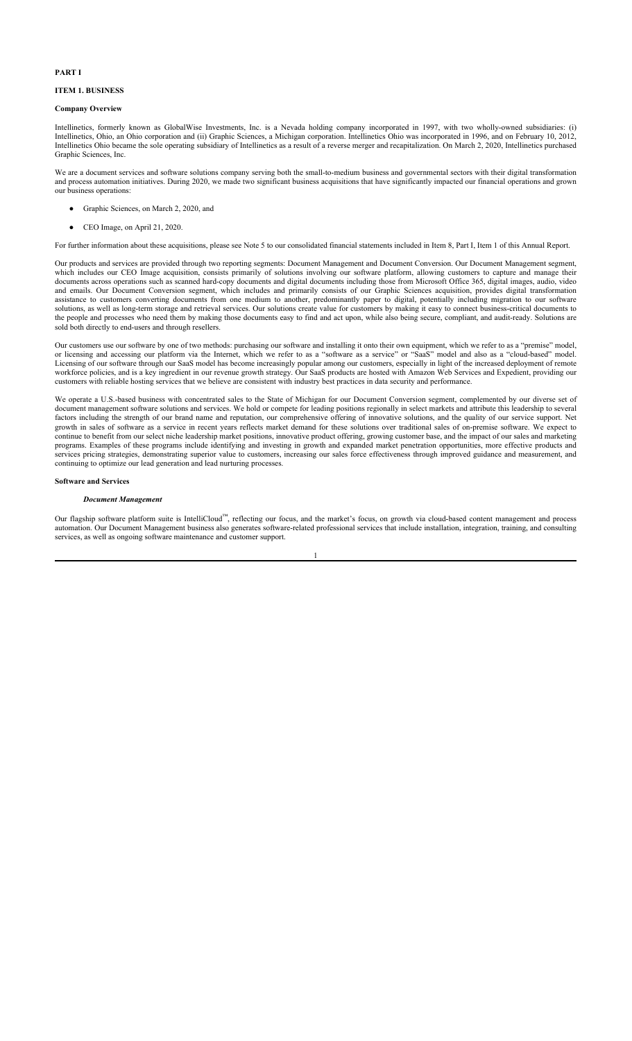## **PART I**

#### **ITEM 1. BUSINESS**

#### **Company Overview**

Intellinetics, formerly known as GlobalWise Investments, Inc. is a Nevada holding company incorporated in 1997, with two wholly-owned subsidiaries: (i) Intellinetics, Ohio, an Ohio corporation and (ii) Graphic Sciences, a Michigan corporation. Intellinetics Ohio was incorporated in 1996, and on February 10, 2012, Intellinetics Ohio became the sole operating subsidiary of Intellinetics as a result of a reverse merger and recapitalization. On March 2, 2020, Intellinetics purchased Graphic Sciences, Inc.

We are a document services and software solutions company serving both the small-to-medium business and governmental sectors with their digital transformation and process automation initiatives. During 2020, we made two significant business acquisitions that have significantly impacted our financial operations and grown our business operations:

- Graphic Sciences, on March 2, 2020, and
- CEO Image, on April 21, 2020.

For further information about these acquisitions, please see Note 5 to our consolidated financial statements included in Item 8, Part I, Item 1 of this Annual Report.

Our products and services are provided through two reporting segments: Document Management and Document Conversion. Our Document Management segment, which includes our CEO Image acquisition, consists primarily of solutions involving our software platform, allowing customers to capture and manage their documents across operations such as scanned hard-copy documents and digital documents including those from Microsoft Office 365, digital images, audio, video and emails. Our Document Conversion segment, which includes and primarily consists of our Graphic Sciences acquisition, provides digital transformation assistance to customers converting documents from one medium to another, predominantly paper to digital, potentially including migration to our software solutions, as well as long-term storage and retrieval services. Our solutions create value for customers by making it easy to connect business-critical documents to the people and processes who need them by making those documents easy to find and act upon, while also being secure, compliant, and audit-ready. Solutions are sold both directly to end-users and through resellers.

Our customers use our software by one of two methods: purchasing our software and installing it onto their own equipment, which we refer to as a "premise" model, or licensing and accessing our platform via the Internet, which we refer to as a "software as a service" or "SaaS" model and also as a "cloud-based" model. Licensing of our software through our SaaS model has become increasingly popular among our customers, especially in light of the increased deployment of remote workforce policies, and is a key ingredient in our revenue growth strategy. Our SaaS products are hosted with Amazon Web Services and Expedient, providing our customers with reliable hosting services that we believe are consistent with industry best practices in data security and performance.

We operate a U.S.-based business with concentrated sales to the State of Michigan for our Document Conversion segment, complemented by our diverse set of document management software solutions and services. We hold or compete for leading positions regionally in select markets and attribute this leadership to several factors including the strength of our brand name and reputation, our comprehensive offering of innovative solutions, and the quality of our service support. Net growth in sales of software as a service in recent years reflects market demand for these solutions over traditional sales of on-premise software. We expect to continue to benefit from our select niche leadership market positions, innovative product offering, growing customer base, and the impact of our sales and marketing programs. Examples of these programs include identifying and investing in growth and expanded market penetration opportunities, more effective products and services pricing strategies, demonstrating superior value to customers, increasing our sales force effectiveness through improved guidance and measurement, and continuing to optimize our lead generation and lead nurturing processes.

#### **Software and Services**

#### *Document Management*

Our flagship software platform suite is IntelliCloud™, reflecting our focus, and the market's focus, on growth via cloud-based content management and process automation. Our Document Management business also generates software-related professional services that include installation, integration, training, and consulting services, as well as ongoing software maintenance and customer support.

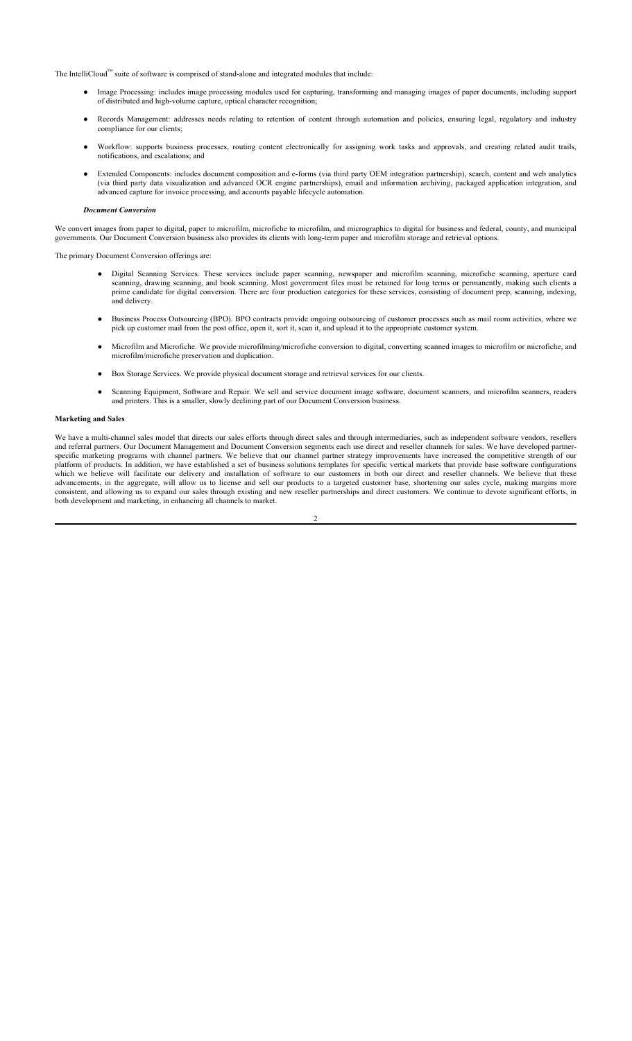The IntelliCloud™ suite of software is comprised of stand-alone and integrated modules that include:

- Image Processing: includes image processing modules used for capturing, transforming and managing images of paper documents, including support of distributed and high-volume capture, optical character recognition;
- Records Management: addresses needs relating to retention of content through automation and policies, ensuring legal, regulatory and industry compliance for our clients;
- Workflow: supports business processes, routing content electronically for assigning work tasks and approvals, and creating related audit trails, notifications, and escalations; and
- Extended Components: includes document composition and e-forms (via third party OEM integration partnership), search, content and web analytics (via third party data visualization and advanced OCR engine partnerships), email and information archiving, packaged application integration, and advanced capture for invoice processing, and accounts payable lifecycle automation.

#### *Document Conversion*

We convert images from paper to digital, paper to microfilm, microfiche to microfilm, and micrographics to digital for business and federal, county, and municipal governments. Our Document Conversion business also provides its clients with long-term paper and microfilm storage and retrieval options.

The primary Document Conversion offerings are:

- Digital Scanning Services. These services include paper scanning, newspaper and microfilm scanning, microfiche scanning, aperture card scanning, drawing scanning, and book scanning. Most government files must be retained for long terms or permanently, making such clients a prime candidate for digital conversion. There are four production categories for these services, consisting of document prep, scanning, indexing, and delivery.
- Business Process Outsourcing (BPO). BPO contracts provide ongoing outsourcing of customer processes such as mail room activities, where we pick up customer mail from the post office, open it, sort it, scan it, and upload it to the appropriate customer system.
- Microfilm and Microfiche. We provide microfilming/microfiche conversion to digital, converting scanned images to microfilm or microfiche, and microfilm/microfiche preservation and duplication.
- Box Storage Services. We provide physical document storage and retrieval services for our clients.
- Scanning Equipment, Software and Repair. We sell and service document image software, document scanners, and microfilm scanners, readers and printers. This is a smaller, slowly declining part of our Document Conversion business.

#### **Marketing and Sales**

We have a multi-channel sales model that directs our sales efforts through direct sales and through intermediaries, such as independent software vendors, resellers and referral partners. Our Document Management and Document Conversion segments each use direct and reseller channels for sales. We have developed partnerspecific marketing programs with channel partners. We believe that our channel partner strategy improvements have increased the competitive strength of our platform of products. In addition, we have established a set of business solutions templates for specific vertical markets that provide base software configurations which we believe will facilitate our delivery and installation of software to our customers in both our direct and reseller channels. We believe that these advancements, in the aggregate, will allow us to license and sell our products to a targeted customer base, shortening our sales cycle, making margins more consistent, and allowing us to expand our sales through existing and new reseller partnerships and direct customers. We continue to devote significant efforts, in both development and marketing, in enhancing all channels to market.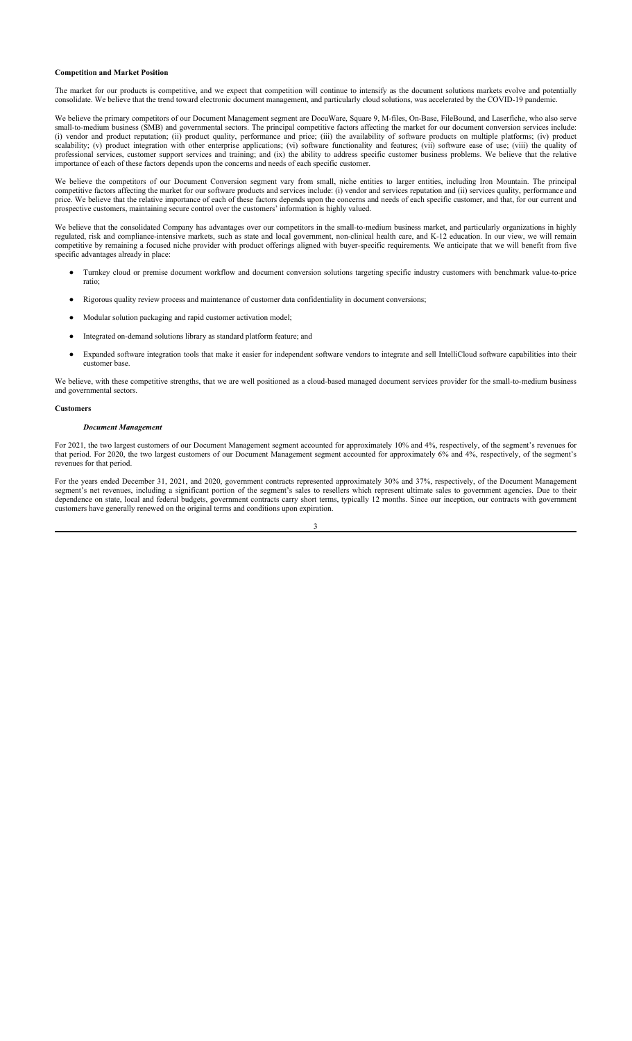### **Competition and Market Position**

The market for our products is competitive, and we expect that competition will continue to intensify as the document solutions markets evolve and potentially consolidate. We believe that the trend toward electronic document management, and particularly cloud solutions, was accelerated by the COVID-19 pandemic.

We believe the primary competitors of our Document Management segment are DocuWare, Square 9, M-files, On-Base, FileBound, and Laserfiche, who also serve small-to-medium business (SMB) and governmental sectors. The principal competitive factors affecting the market for our document conversion services include: (i) vendor and product reputation; (ii) product quality, performance and price; (iii) the availability of software products on multiple platforms; (iv) product scalability; (v) product integration with other enterprise applications; (vi) software functionality and features; (vii) software ease of use; (viii) the quality of professional services, customer support services and training; and (ix) the ability to address specific customer business problems. We believe that the relative importance of each of these factors depends upon the concerns and needs of each specific customer.

We believe the competitors of our Document Conversion segment vary from small, niche entities to larger entities, including Iron Mountain. The principal competitive factors affecting the market for our software products and services include: (i) vendor and services reputation and (ii) services quality, performance and price. We believe that the relative importance of each of these factors depends upon the concerns and needs of each specific customer, and that, for our current and prospective customers, maintaining secure control over the customers' information is highly valued.

We believe that the consolidated Company has advantages over our competitors in the small-to-medium business market, and particularly organizations in highly regulated, risk and compliance-intensive markets, such as state and local government, non-clinical health care, and K-12 education. In our view, we will remain competitive by remaining a focused niche provider with product offerings aligned with buyer-specific requirements. We anticipate that we will benefit from five specific advantages already in place:

- Turnkey cloud or premise document workflow and document conversion solutions targeting specific industry customers with benchmark value-to-price ratio;
- Rigorous quality review process and maintenance of customer data confidentiality in document conversions;
- Modular solution packaging and rapid customer activation model;
- Integrated on-demand solutions library as standard platform feature; and
- Expanded software integration tools that make it easier for independent software vendors to integrate and sell IntelliCloud software capabilities into their customer base.

We believe, with these competitive strengths, that we are well positioned as a cloud-based managed document services provider for the small-to-medium business and governmental sectors.

### **Customers**

### *Document Management*

For 2021, the two largest customers of our Document Management segment accounted for approximately 10% and 4%, respectively, of the segment's revenues for that period. For 2020, the two largest customers of our Document Management segment accounted for approximately 6% and 4%, respectively, of the segment's revenues for that period.

For the years ended December 31, 2021, and 2020, government contracts represented approximately 30% and 37%, respectively, of the Document Management segment's net revenues, including a significant portion of the segment's sales to resellers which represent ultimate sales to government agencies. Due to their dependence on state, local and federal budgets, government contracts carry short terms, typically 12 months. Since our inception, our contracts with government customers have generally renewed on the original terms and conditions upon expiration.

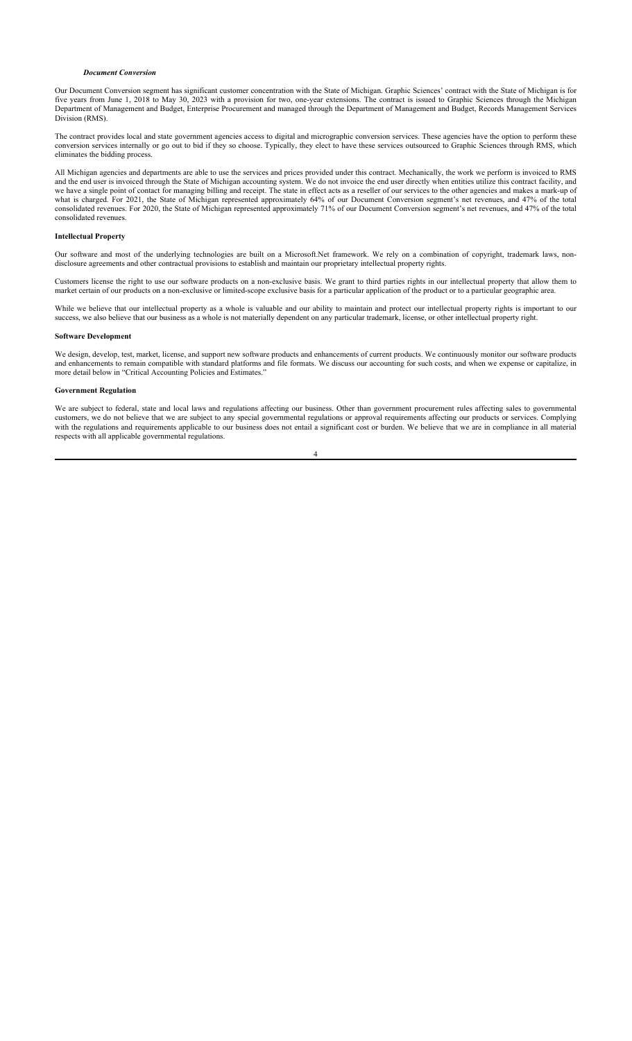#### *Document Conversion*

Our Document Conversion segment has significant customer concentration with the State of Michigan. Graphic Sciences' contract with the State of Michigan is for five years from June 1, 2018 to May 30, 2023 with a provision for two, one-year extensions. The contract is issued to Graphic Sciences through the Michigan Department of Management and Budget, Enterprise Procurement and managed through the Department of Management and Budget, Records Management Services Division (RMS).

The contract provides local and state government agencies access to digital and micrographic conversion services. These agencies have the option to perform these conversion services internally or go out to bid if they so choose. Typically, they elect to have these services outsourced to Graphic Sciences through RMS, which eliminates the bidding process.

All Michigan agencies and departments are able to use the services and prices provided under this contract. Mechanically, the work we perform is invoiced to RMS and the end user is invoiced through the State of Michigan accounting system. We do not invoice the end user directly when entities utilize this contract facility, and we have a single point of contact for managing billing and receipt. The state in effect acts as a reseller of our services to the other agencies and makes a mark-up of what is charged. For 2021, the State of Michigan represented approximately 64% of our Document Conversion segment's net revenues, and 47% of the total consolidated revenues. For 2020, the State of Michigan represented approximately 71% of our Document Conversion segment's net revenues, and 47% of the total consolidated revenues.

## **Intellectual Property**

Our software and most of the underlying technologies are built on a Microsoft.Net framework. We rely on a combination of copyright, trademark laws, nondisclosure agreements and other contractual provisions to establish and maintain our proprietary intellectual property rights.

Customers license the right to use our software products on a non-exclusive basis. We grant to third parties rights in our intellectual property that allow them to market certain of our products on a non-exclusive or limited-scope exclusive basis for a particular application of the product or to a particular geographic area.

While we believe that our intellectual property as a whole is valuable and our ability to maintain and protect our intellectual property rights is important to our success, we also believe that our business as a whole is not materially dependent on any particular trademark, license, or other intellectual property right.

## **Software Development**

We design, develop, test, market, license, and support new software products and enhancements of current products. We continuously monitor our software products and enhancements to remain compatible with standard platforms and file formats. We discuss our accounting for such costs, and when we expense or capitalize, in more detail below in "Critical Accounting Policies and Estimates."

### **Government Regulation**

We are subject to federal, state and local laws and regulations affecting our business. Other than government procurement rules affecting sales to governmental customers, we do not believe that we are subject to any special governmental regulations or approval requirements affecting our products or services. Complying with the regulations and requirements applicable to our business does not entail a significant cost or burden. We believe that we are in compliance in all material respects with all applicable governmental regulations.

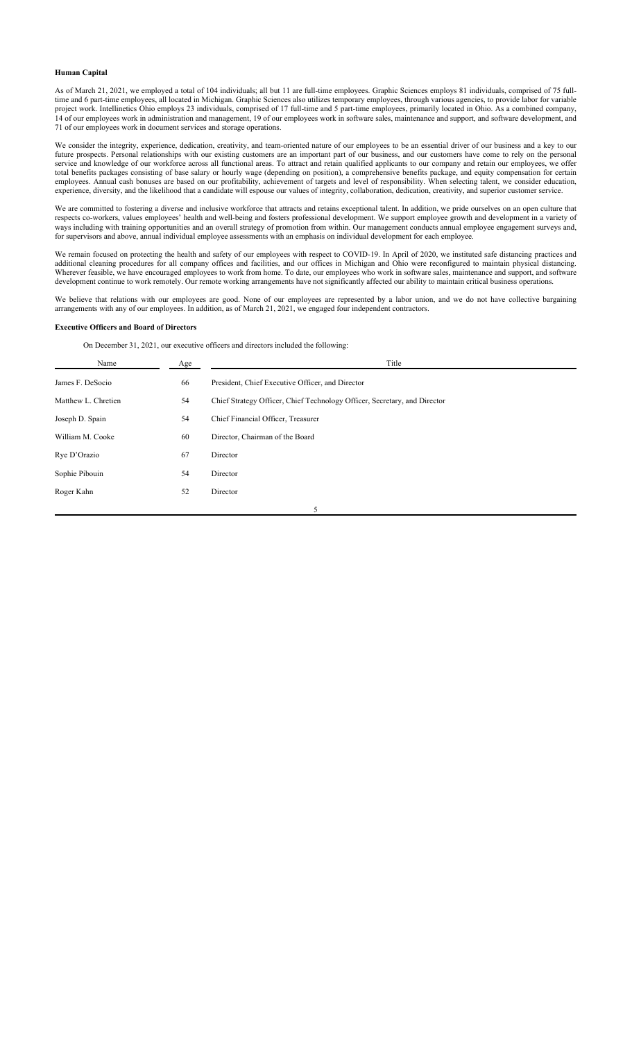### **Human Capital**

As of March 21, 2021, we employed a total of 104 individuals; all but 11 are full-time employees. Graphic Sciences employs 81 individuals, comprised of 75 fulltime and 6 part-time employees, all located in Michigan. Graphic Sciences also utilizes temporary employees, through various agencies, to provide labor for variable project work. Intellinetics Ohio employs 23 individuals, comprised of 17 full-time and 5 part-time employees, primarily located in Ohio. As a combined company, 14 of our employees work in administration and management, 19 of our employees work in software sales, maintenance and support, and software development, and 71 of our employees work in document services and storage operations.

We consider the integrity, experience, dedication, creativity, and team-oriented nature of our employees to be an essential driver of our business and a key to our future prospects. Personal relationships with our existing customers are an important part of our business, and our customers have come to rely on the personal service and knowledge of our workforce across all functional areas. To attract and retain qualified applicants to our company and retain our employees, we offer total benefits packages consisting of base salary or hourly wage (depending on position), a comprehensive benefits package, and equity compensation for certain employees. Annual cash bonuses are based on our profitability, achievement of targets and level of responsibility. When selecting talent, we consider education, experience, diversity, and the likelihood that a candidate will espouse our values of integrity, collaboration, dedication, creativity, and superior customer service.

We are committed to fostering a diverse and inclusive workforce that attracts and retains exceptional talent. In addition, we pride ourselves on an open culture that respects co-workers, values employees' health and well-being and fosters professional development. We support employee growth and development in a variety of ways including with training opportunities and an overall strategy of promotion from within. Our management conducts annual employee engagement surveys and, for supervisors and above, annual individual employee assessments with an emphasis on individual development for each employee.

We remain focused on protecting the health and safety of our employees with respect to COVID-19. In April of 2020, we instituted safe distancing practices and additional cleaning procedures for all company offices and facilities, and our offices in Michigan and Ohio were reconfigured to maintain physical distancing. Wherever feasible, we have encouraged employees to work from home. To date, our employees who work in software sales, maintenance and support, and software development continue to work remotely. Our remote working arrangements have not significantly affected our ability to maintain critical business operations.

We believe that relations with our employees are good. None of our employees are represented by a labor union, and we do not have collective bargaining arrangements with any of our employees. In addition, as of March 21, 2021, we engaged four independent contractors.

#### **Executive Officers and Board of Directors**

On December 31, 2021, our executive officers and directors included the following:

| Name                | Age | Title                                                                     |
|---------------------|-----|---------------------------------------------------------------------------|
| James F. DeSocio    | 66  | President, Chief Executive Officer, and Director                          |
| Matthew L. Chretien | 54  | Chief Strategy Officer, Chief Technology Officer, Secretary, and Director |
| Joseph D. Spain     | 54  | Chief Financial Officer, Treasurer                                        |
| William M. Cooke    | 60  | Director, Chairman of the Board                                           |
| Rye D'Orazio        | 67  | Director                                                                  |
| Sophie Pibouin      | 54  | Director                                                                  |
| Roger Kahn          | 52  | Director                                                                  |
|                     |     | 5                                                                         |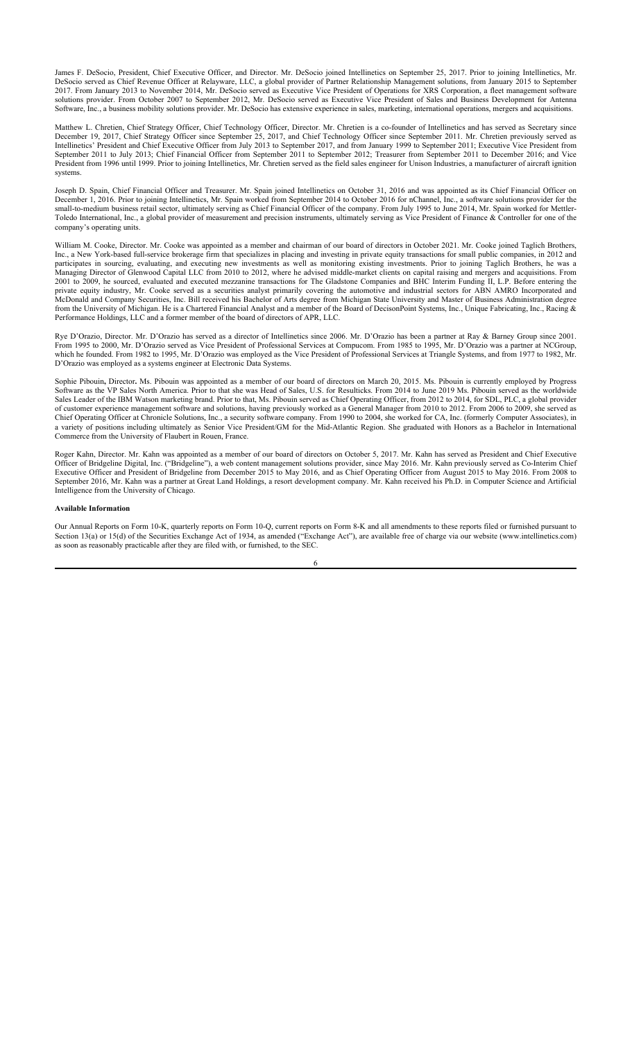James F. DeSocio, President, Chief Executive Officer, and Director. Mr. DeSocio joined Intellinetics on September 25, 2017. Prior to joining Intellinetics, Mr. DeSocio served as Chief Revenue Officer at Relayware, LLC, a global provider of Partner Relationship Management solutions, from January 2015 to September 2017. From January 2013 to November 2014, Mr. DeSocio served as Executive Vice President of Operations for XRS Corporation, a fleet management software solutions provider. From October 2007 to September 2012, Mr. DeSocio served as Executive Vice President of Sales and Business Development for Antenna Software, Inc., a business mobility solutions provider. Mr. DeSocio has extensive experience in sales, marketing, international operations, mergers and acquisitions.

Matthew L. Chretien, Chief Strategy Officer, Chief Technology Officer, Director. Mr. Chretien is a co-founder of Intellinetics and has served as Secretary since December 19, 2017, Chief Strategy Officer since September 25, 2017, and Chief Technology Officer since September 2011. Mr. Chretien previously served as Intellinetics' President and Chief Executive Officer from July 2013 to September 2017, and from January 1999 to September 2011; Executive Vice President from September 2011 to July 2013; Chief Financial Officer from September 2011 to September 2012; Treasurer from September 2011 to December 2016; and Vice President from 1996 until 1999. Prior to joining Intellinetics, Mr. Chretien served as the field sales engineer for Unison Industries, a manufacturer of aircraft ignition systems.

Joseph D. Spain, Chief Financial Officer and Treasurer. Mr. Spain joined Intellinetics on October 31, 2016 and was appointed as its Chief Financial Officer on December 1, 2016. Prior to joining Intellinetics, Mr. Spain worked from September 2014 to October 2016 for nChannel, Inc., a software solutions provider for the small-to-medium business retail sector, ultimately serving as Chief Financial Officer of the company. From July 1995 to June 2014, Mr. Spain worked for Mettler-Toledo International, Inc., a global provider of measurement and precision instruments, ultimately serving as Vice President of Finance & Controller for one of the company's operating units.

William M. Cooke, Director. Mr. Cooke was appointed as a member and chairman of our board of directors in October 2021. Mr. Cooke joined Taglich Brothers, Inc., a New York-based full-service brokerage firm that specializes in placing and investing in private equity transactions for small public companies, in 2012 and participates in sourcing, evaluating, and executing new investments as well as monitoring existing investments. Prior to joining Taglich Brothers, he was a Managing Director of Glenwood Capital LLC from 2010 to 2012, where he advised middle-market clients on capital raising and mergers and acquisitions. From 2001 to 2009, he sourced, evaluated and executed mezzanine transactions for The Gladstone Companies and BHC Interim Funding II, L.P. Before entering the private equity industry, Mr. Cooke served as a securities analyst primarily covering the automotive and industrial sectors for ABN AMRO Incorporated and McDonald and Company Securities, Inc. Bill received his Bachelor of Arts degree from Michigan State University and Master of Business Administration degree from the University of Michigan. He is a Chartered Financial Analyst and a member of the Board of DecisonPoint Systems, Inc., Unique Fabricating, Inc., Racing & Performance Holdings, LLC and a former member of the board of directors of APR, LLC.

Rye D'Orazio, Director. Mr. D'Orazio has served as a director of Intellinetics since 2006. Mr. D'Orazio has been a partner at Ray & Barney Group since 2001. From 1995 to 2000, Mr. D'Orazio served as Vice President of Professional Services at Compucom. From 1985 to 1995, Mr. D'Orazio was a partner at NCGroup, which he founded. From 1982 to 1995, Mr. D'Orazio was employed as the Vice President of Professional Services at Triangle Systems, and from 1977 to 1982, Mr. D'Orazio was employed as a systems engineer at Electronic Data Systems.

Sophie Pibouin**,** Director**.** Ms. Pibouin was appointed as a member of our board of directors on March 20, 2015. Ms. Pibouin is currently employed by Progress Software as the VP Sales North America. Prior to that she was Head of Sales, U.S. for Resulticks. From 2014 to June 2019 Ms. Pibouin served as the worldwide Sales Leader of the IBM Watson marketing brand. Prior to that, Ms. Pibouin served as Chief Operating Officer, from 2012 to 2014, for SDL, PLC, a global provider of customer experience management software and solutions, having previously worked as a General Manager from 2010 to 2012. From 2006 to 2009, she served as Chief Operating Officer at Chronicle Solutions, Inc., a security software company. From 1990 to 2004, she worked for CA, Inc. (formerly Computer Associates), in a variety of positions including ultimately as Senior Vice President/GM for the Mid-Atlantic Region. She graduated with Honors as a Bachelor in International Commerce from the University of Flaubert in Rouen, France.

Roger Kahn, Director. Mr. Kahn was appointed as a member of our board of directors on October 5, 2017. Mr. Kahn has served as President and Chief Executive Officer of Bridgeline Digital, Inc. ("Bridgeline"), a web content management solutions provider, since May 2016. Mr. Kahn previously served as Co-Interim Chief Executive Officer and President of Bridgeline from December 2015 to May 2016, and as Chief Operating Officer from August 2015 to May 2016. From 2008 to September 2016, Mr. Kahn was a partner at Great Land Holdings, a resort development company. Mr. Kahn received his Ph.D. in Computer Science and Artificial Intelligence from the University of Chicago.

#### **Available Information**

Our Annual Reports on Form 10-K, quarterly reports on Form 10-Q, current reports on Form 8-K and all amendments to these reports filed or furnished pursuant to Section 13(a) or 15(d) of the Securities Exchange Act of 1934, as amended ("Exchange Act"), are available free of charge via our website (www.intellinetics.com) as soon as reasonably practicable after they are filed with, or furnished, to the SEC.

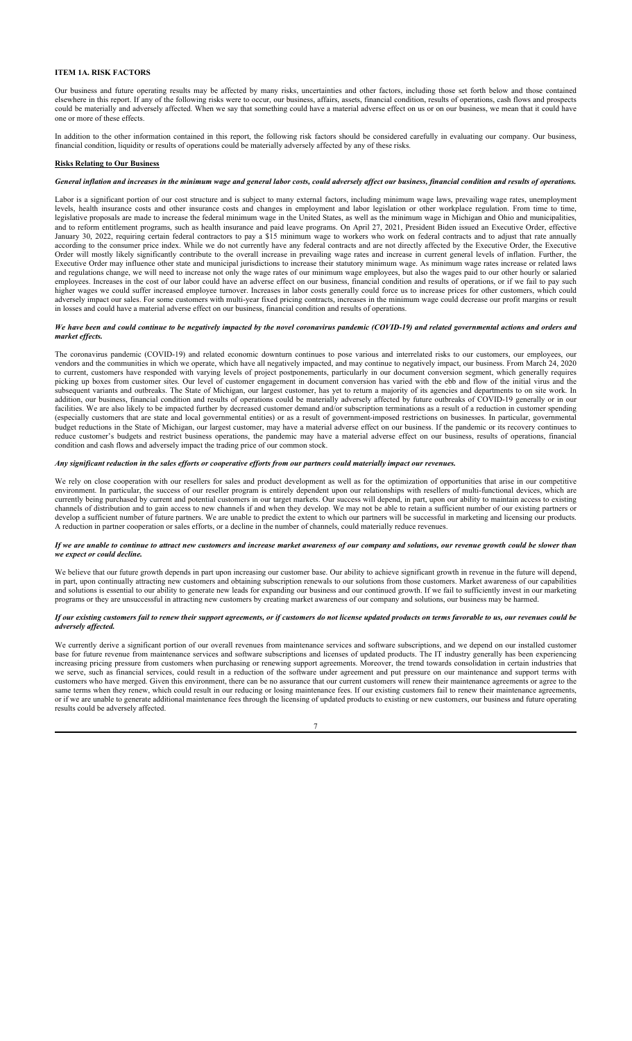## **ITEM 1A. RISK FACTORS**

Our business and future operating results may be affected by many risks, uncertainties and other factors, including those set forth below and those contained elsewhere in this report. If any of the following risks were to occur, our business, affairs, assets, financial condition, results of operations, cash flows and prospects could be materially and adversely affected. When we say that something could have a material adverse effect on us or on our business, we mean that it could have one or more of these effects.

In addition to the other information contained in this report, the following risk factors should be considered carefully in evaluating our company. Our business, financial condition, liquidity or results of operations could be materially adversely affected by any of these risks.

#### **Risks Relating to Our Business**

## *General inflation and increases in the minimum wage and general labor costs, could adversely affect our business, financial condition and results of operations.*

Labor is a significant portion of our cost structure and is subject to many external factors, including minimum wage laws, prevailing wage rates, unemployment levels, health insurance costs and other insurance costs and changes in employment and labor legislation or other workplace regulation. From time to time, legislative proposals are made to increase the federal minimum wage in the United States, as well as the minimum wage in Michigan and Ohio and municipalities, and to reform entitlement programs, such as health insurance and paid leave programs. On April 27, 2021, President Biden issued an Executive Order, effective January 30, 2022, requiring certain federal contractors to pay a \$15 minimum wage to workers who work on federal contracts and to adjust that rate annually according to the consumer price index. While we do not currently have any federal contracts and are not directly affected by the Executive Order, the Executive Order will mostly likely significantly contribute to the overall increase in prevailing wage rates and increase in current general levels of inflation. Further, the Executive Order may influence other state and municipal jurisdictions to increase their statutory minimum wage. As minimum wage rates increase or related laws and regulations change, we will need to increase not only the wage rates of our minimum wage employees, but also the wages paid to our other hourly or salaried employees. Increases in the cost of our labor could have an adverse effect on our business, financial condition and results of operations, or if we fail to pay such higher wages we could suffer increased employee turnover. Increases in labor costs generally could force us to increase prices for other customers, which could adversely impact our sales. For some customers with multi-year fixed pricing contracts, increases in the minimum wage could decrease our profit margins or result in losses and could have a material adverse effect on our business, financial condition and results of operations.

## *We have been and could continue to be negatively impacted by the novel coronavirus pandemic (COVID-19) and related governmental actions and orders and market effects.*

The coronavirus pandemic (COVID-19) and related economic downturn continues to pose various and interrelated risks to our customers, our employees, our vendors and the communities in which we operate, which have all negatively impacted, and may continue to negatively impact, our business. From March 24, 2020 to current, customers have responded with varying levels of project postponements, particularly in our document conversion segment, which generally requires picking up boxes from customer sites. Our level of customer engagement in document conversion has varied with the ebb and flow of the initial virus and the subsequent variants and outbreaks. The State of Michigan, our largest customer, has yet to return a majority of its agencies and departments to on site work. In addition, our business, financial condition and results of operations could be materially adversely affected by future outbreaks of COVID-19 generally or in our facilities. We are also likely to be impacted further by decreased customer demand and/or subscription terminations as a result of a reduction in customer spending (especially customers that are state and local governmental entities) or as a result of government-imposed restrictions on businesses. In particular, governmental budget reductions in the State of Michigan, our largest customer, may have a material adverse effect on our business. If the pandemic or its recovery continues to reduce customer's budgets and restrict business operations, the pandemic may have a material adverse effect on our business, results of operations, financial condition and cash flows and adversely impact the trading price of our common stock.

### *Any significant reduction in the sales efforts or cooperative efforts from our partners could materially impact our revenues.*

We rely on close cooperation with our resellers for sales and product development as well as for the optimization of opportunities that arise in our competitive environment. In particular, the success of our reseller program is entirely dependent upon our relationships with resellers of multi-functional devices, which are currently being purchased by current and potential customers in our target markets. Our success will depend, in part, upon our ability to maintain access to existing channels of distribution and to gain access to new channels if and when they develop. We may not be able to retain a sufficient number of our existing partners or develop a sufficient number of future partners. We are unable to predict the extent to which our partners will be successful in marketing and licensing our products. A reduction in partner cooperation or sales efforts, or a decline in the number of channels, could materially reduce revenues.

#### *If we are unable to continue to attract new customers and increase market awareness of our company and solutions, our revenue growth could be slower than we expect or could decline.*

We believe that our future growth depends in part upon increasing our customer base. Our ability to achieve significant growth in revenue in the future will depend, in part, upon continually attracting new customers and obtaining subscription renewals to our solutions from those customers. Market awareness of our capabilities and solutions is essential to our ability to generate new leads for expanding our business and our continued growth. If we fail to sufficiently invest in our marketing programs or they are unsuccessful in attracting new customers by creating market awareness of our company and solutions, our business may be harmed.

## *If our existing customers fail to renew their support agreements, or if customers do not license updated products on terms favorable to us, our revenues could be adversely affected.*

We currently derive a significant portion of our overall revenues from maintenance services and software subscriptions, and we depend on our installed customer base for future revenue from maintenance services and software subscriptions and licenses of updated products. The IT industry generally has been experiencing increasing pricing pressure from customers when purchasing or renewing support agreements. Moreover, the trend towards consolidation in certain industries that we serve, such as financial services, could result in a reduction of the software under agreement and put pressure on our maintenance and support terms with customers who have merged. Given this environment, there can be no assurance that our current customers will renew their maintenance agreements or agree to the same terms when they renew, which could result in our reducing or losing maintenance fees. If our existing customers fail to renew their maintenance agreements, or if we are unable to generate additional maintenance fees through the licensing of updated products to existing or new customers, our business and future operating results could be adversely affected.

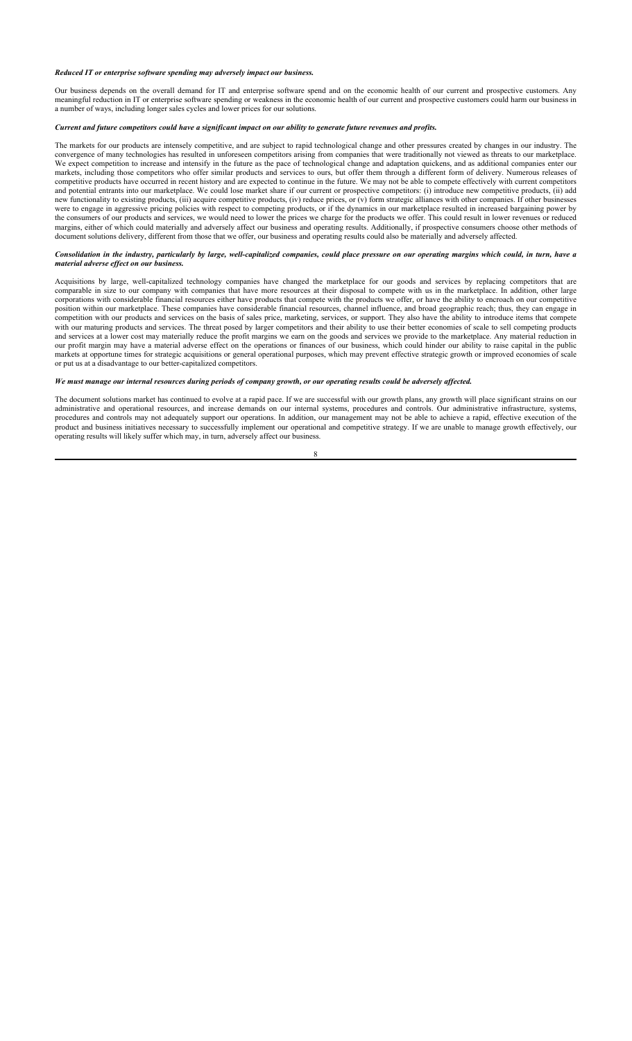#### *Reduced IT or enterprise software spending may adversely impact our business.*

Our business depends on the overall demand for IT and enterprise software spend and on the economic health of our current and prospective customers. Any meaningful reduction in IT or enterprise software spending or weakness in the economic health of our current and prospective customers could harm our business in a number of ways, including longer sales cycles and lower prices for our solutions.

### *Current and future competitors could have a significant impact on our ability to generate future revenues and profits.*

The markets for our products are intensely competitive, and are subject to rapid technological change and other pressures created by changes in our industry. The convergence of many technologies has resulted in unforeseen competitors arising from companies that were traditionally not viewed as threats to our marketplace. We expect competition to increase and intensify in the future as the pace of technological change and adaptation quickens, and as additional companies enter our markets, including those competitors who offer similar products and services to ours, but offer them through a different form of delivery. Numerous releases of competitive products have occurred in recent history and are expected to continue in the future. We may not be able to compete effectively with current competitors and potential entrants into our marketplace. We could lose market share if our current or prospective competitors: (i) introduce new competitive products, (ii) add new functionality to existing products, (iii) acquire competitive products, (iv) reduce prices, or (v) form strategic alliances with other companies. If other businesses were to engage in aggressive pricing policies with respect to competing products, or if the dynamics in our marketplace resulted in increased bargaining power by the consumers of our products and services, we would need to lower the prices we charge for the products we offer. This could result in lower revenues or reduced margins, either of which could materially and adversely affect our business and operating results. Additionally, if prospective consumers choose other methods of document solutions delivery, different from those that we offer, our business and operating results could also be materially and adversely affected.

### *Consolidation in the industry, particularly by large, well-capitalized companies, could place pressure on our operating margins which could, in turn, have a material adverse effect on our business.*

Acquisitions by large, well-capitalized technology companies have changed the marketplace for our goods and services by replacing competitors that are comparable in size to our company with companies that have more resources at their disposal to compete with us in the marketplace. In addition, other large corporations with considerable financial resources either have products that compete with the products we offer, or have the ability to encroach on our competitive position within our marketplace. These companies have considerable financial resources, channel influence, and broad geographic reach; thus, they can engage in competition with our products and services on the basis of sales price, marketing, services, or support. They also have the ability to introduce items that compete with our maturing products and services. The threat posed by larger competitors and their ability to use their better economies of scale to sell competing products and services at a lower cost may materially reduce the profit margins we earn on the goods and services we provide to the marketplace. Any material reduction in our profit margin may have a material adverse effect on the operations or finances of our business, which could hinder our ability to raise capital in the public markets at opportune times for strategic acquisitions or general operational purposes, which may prevent effective strategic growth or improved economies of scale or put us at a disadvantage to our better-capitalized competitors.

### *We must manage our internal resources during periods of company growth, or our operating results could be adversely affected.*

The document solutions market has continued to evolve at a rapid pace. If we are successful with our growth plans, any growth will place significant strains on our administrative and operational resources, and increase demands on our internal systems, procedures and controls. Our administrative infrastructure, systems, procedures and controls may not adequately support our operations. In addition, our management may not be able to achieve a rapid, effective execution of the product and business initiatives necessary to successfully implement our operational and competitive strategy. If we are unable to manage growth effectively, our operating results will likely suffer which may, in turn, adversely affect our business.

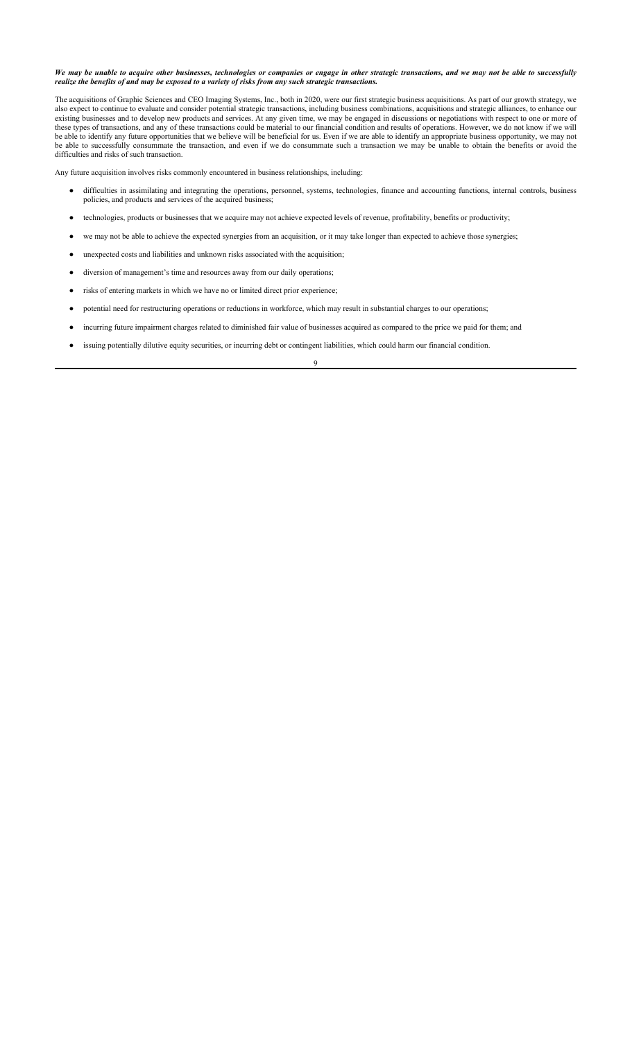*We may be unable to acquire other businesses, technologies or companies or engage in other strategic transactions, and we may not be able to successfully realize the benefits of and may be exposed to a variety of risks from any such strategic transactions.*

The acquisitions of Graphic Sciences and CEO Imaging Systems, Inc., both in 2020, were our first strategic business acquisitions. As part of our growth strategy, we also expect to continue to evaluate and consider potential strategic transactions, including business combinations, acquisitions and strategic alliances, to enhance our existing businesses and to develop new products and services. At any given time, we may be engaged in discussions or negotiations with respect to one or more of these types of transactions, and any of these transactions could be material to our financial condition and results of operations. However, we do not know if we will be able to identify any future opportunities that we believe will be beneficial for us. Even if we are able to identify an appropriate business opportunity, we may not be able to successfully consummate the transaction, and even if we do consummate such a transaction we may be unable to obtain the benefits or avoid the difficulties and risks of such transaction.

Any future acquisition involves risks commonly encountered in business relationships, including:

- difficulties in assimilating and integrating the operations, personnel, systems, technologies, finance and accounting functions, internal controls, business policies, and products and services of the acquired business;
- technologies, products or businesses that we acquire may not achieve expected levels of revenue, profitability, benefits or productivity;
- we may not be able to achieve the expected synergies from an acquisition, or it may take longer than expected to achieve those synergies;
- unexpected costs and liabilities and unknown risks associated with the acquisition;
- diversion of management's time and resources away from our daily operations;
- risks of entering markets in which we have no or limited direct prior experience;
- potential need for restructuring operations or reductions in workforce, which may result in substantial charges to our operations;
- incurring future impairment charges related to diminished fair value of businesses acquired as compared to the price we paid for them; and
- issuing potentially dilutive equity securities, or incurring debt or contingent liabilities, which could harm our financial condition.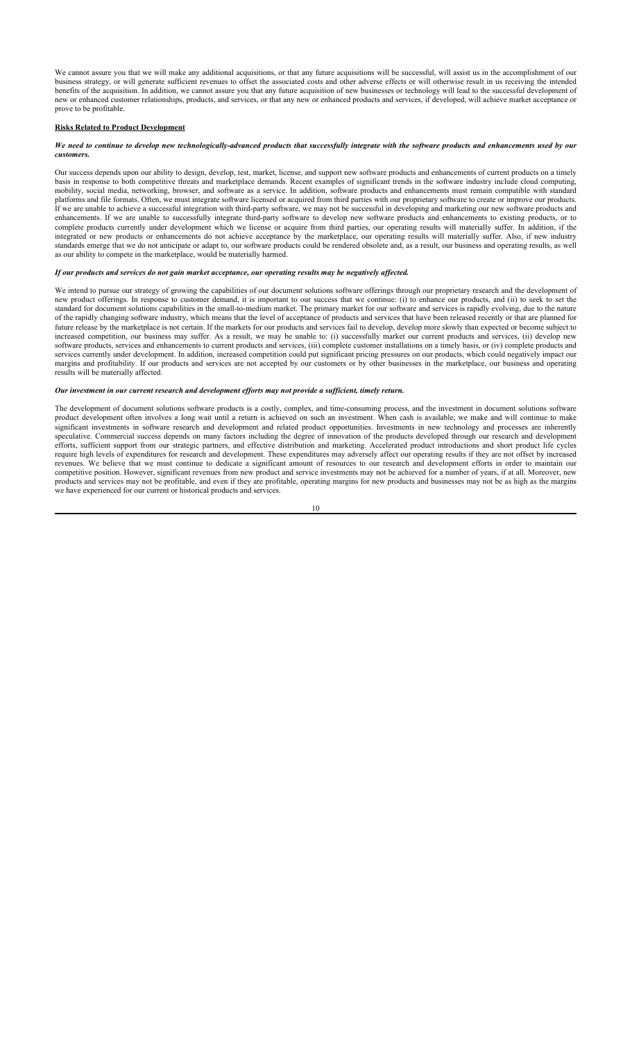We cannot assure you that we will make any additional acquisitions, or that any future acquisitions will be successful, will assist us in the accomplishment of our business strategy, or will generate sufficient revenues to offset the associated costs and other adverse effects or will otherwise result in us receiving the intended benefits of the acquisition. In addition, we cannot assure you that any future acquisition of new businesses or technology will lead to the successful development of new or enhanced customer relationships, products, and services, or that any new or enhanced products and services, if developed, will achieve market acceptance or prove to be profitable.

#### **Risks Related to Product Development**

#### We need to continue to develop new technologically-advanced products that successfully integrate with the software products and enhancements used by our *customers.*

Our success depends upon our ability to design, develop, test, market, license, and support new software products and enhancements of current products on a timely basis in response to both competitive threats and marketplace demands. Recent examples of significant trends in the software industry include cloud computing, mobility, social media, networking, browser, and software as a service. In addition, software products and enhancements must remain compatible with standard platforms and file formats. Often, we must integrate software licensed or acquired from third parties with our proprietary software to create or improve our products. If we are unable to achieve a successful integration with third-party software, we may not be successful in developing and marketing our new software products and enhancements. If we are unable to successfully integrate third-party software to develop new software products and enhancements to existing products, or to complete products currently under development which we license or acquire from third parties, our operating results will materially suffer. In addition, if the integrated or new products or enhancements do not achieve acceptance by the marketplace, our operating results will materially suffer. Also, if new industry standards emerge that we do not anticipate or adapt to, our software products could be rendered obsolete and, as a result, our business and operating results, as well as our ability to compete in the marketplace, would be materially harmed.

#### *If our products and services do not gain market acceptance, our operating results may be negatively affected.*

We intend to pursue our strategy of growing the capabilities of our document solutions software offerings through our proprietary research and the development of new product offerings. In response to customer demand, it is important to our success that we continue: (i) to enhance our products, and (ii) to seek to set the standard for document solutions capabilities in the small-to-medium market. The primary market for our software and services is rapidly evolving, due to the nature of the rapidly changing software industry, which means that the level of acceptance of products and services that have been released recently or that are planned for future release by the marketplace is not certain. If the markets for our products and services fail to develop, develop more slowly than expected or become subject to increased competition, our business may suffer. As a result, we may be unable to: (i) successfully market our current products and services, (ii) develop new software products, services and enhancements to current products and services, (iii) complete customer installations on a timely basis, or (iv) complete products and services currently under development. In addition, increased competition could put significant pricing pressures on our products, which could negatively impact our margins and profitability. If our products and services are not accepted by our customers or by other businesses in the marketplace, our business and operating results will be materially affected.

### *Our investment in our current research and development efforts may not provide a sufficient, timely return.*

The development of document solutions software products is a costly, complex, and time-consuming process, and the investment in document solutions software product development often involves a long wait until a return is achieved on such an investment. When cash is available, we make and will continue to make significant investments in software research and development and related product opportunities. Investments in new technology and processes are inherently speculative. Commercial success depends on many factors including the degree of innovation of the products developed through our research and development efforts, sufficient support from our strategic partners, and effective distribution and marketing. Accelerated product introductions and short product life cycles require high levels of expenditures for research and development. These expenditures may adversely affect our operating results if they are not offset by increased revenues. We believe that we must continue to dedicate a significant amount of resources to our research and development efforts in order to maintain our competitive position. However, significant revenues from new product and service investments may not be achieved for a number of years, if at all. Moreover, new products and services may not be profitable, and even if they are profitable, operating margins for new products and businesses may not be as high as the margins we have experienced for our current or historical products and services.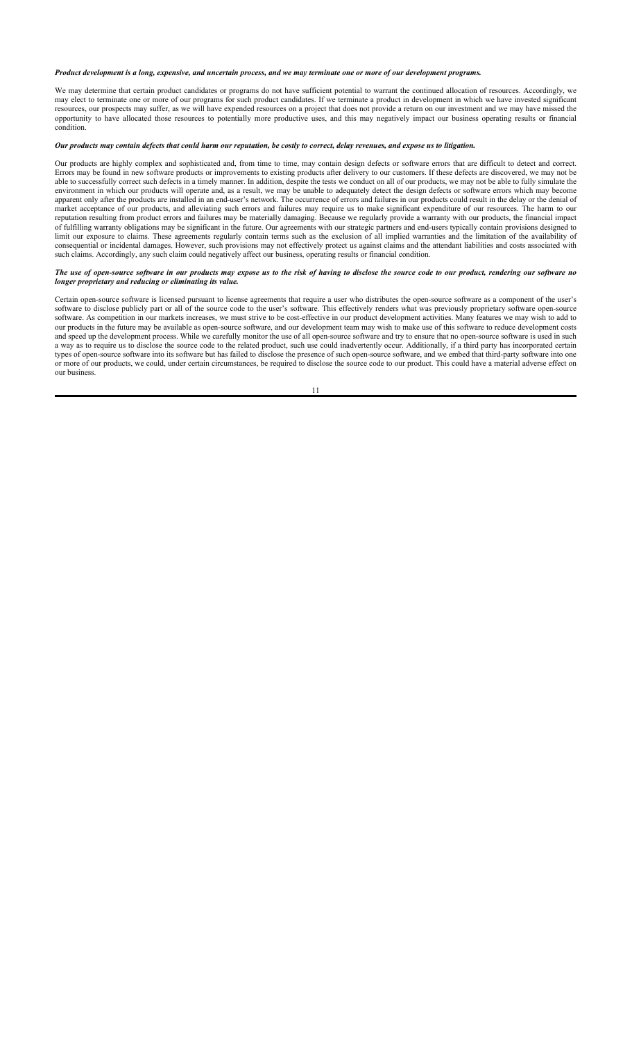### *Product development is a long, expensive, and uncertain process, and we may terminate one or more of our development programs.*

We may determine that certain product candidates or programs do not have sufficient potential to warrant the continued allocation of resources. Accordingly, we may elect to terminate one or more of our programs for such product candidates. If we terminate a product in development in which we have invested significant resources, our prospects may suffer, as we will have expended resources on a project that does not provide a return on our investment and we may have missed the opportunity to have allocated those resources to potentially more productive uses, and this may negatively impact our business operating results or financial condition.

## *Our products may contain defects that could harm our reputation, be costly to correct, delay revenues, and expose us to litigation.*

Our products are highly complex and sophisticated and, from time to time, may contain design defects or software errors that are difficult to detect and correct. Errors may be found in new software products or improvements to existing products after delivery to our customers. If these defects are discovered, we may not be able to successfully correct such defects in a timely manner. In addition, despite the tests we conduct on all of our products, we may not be able to fully simulate the environment in which our products will operate and, as a result, we may be unable to adequately detect the design defects or software errors which may become apparent only after the products are installed in an end-user's network. The occurrence of errors and failures in our products could result in the delay or the denial of market acceptance of our products, and alleviating such errors and failures may require us to make significant expenditure of our resources. The harm to our reputation resulting from product errors and failures may be materially damaging. Because we regularly provide a warranty with our products, the financial impact of fulfilling warranty obligations may be significant in the future. Our agreements with our strategic partners and end-users typically contain provisions designed to limit our exposure to claims. These agreements regularly contain terms such as the exclusion of all implied warranties and the limitation of the availability of consequential or incidental damages. However, such provisions may not effectively protect us against claims and the attendant liabilities and costs associated with such claims. Accordingly, any such claim could negatively affect our business, operating results or financial condition.

#### *The use of open-source software in our products may expose us to the risk of having to disclose the source code to our product, rendering our software no longer proprietary and reducing or eliminating its value.*

Certain open-source software is licensed pursuant to license agreements that require a user who distributes the open-source software as a component of the user's software to disclose publicly part or all of the source code to the user's software. This effectively renders what was previously proprietary software open-source software. As competition in our markets increases, we must strive to be cost-effective in our product development activities. Many features we may wish to add to our products in the future may be available as open-source software, and our development team may wish to make use of this software to reduce development costs and speed up the development process. While we carefully monitor the use of all open-source software and try to ensure that no open-source software is used in such a way as to require us to disclose the source code to the related product, such use could inadvertently occur. Additionally, if a third party has incorporated certain types of open-source software into its software but has failed to disclose the presence of such open-source software, and we embed that third-party software into one or more of our products, we could, under certain circumstances, be required to disclose the source code to our product. This could have a material adverse effect on our business.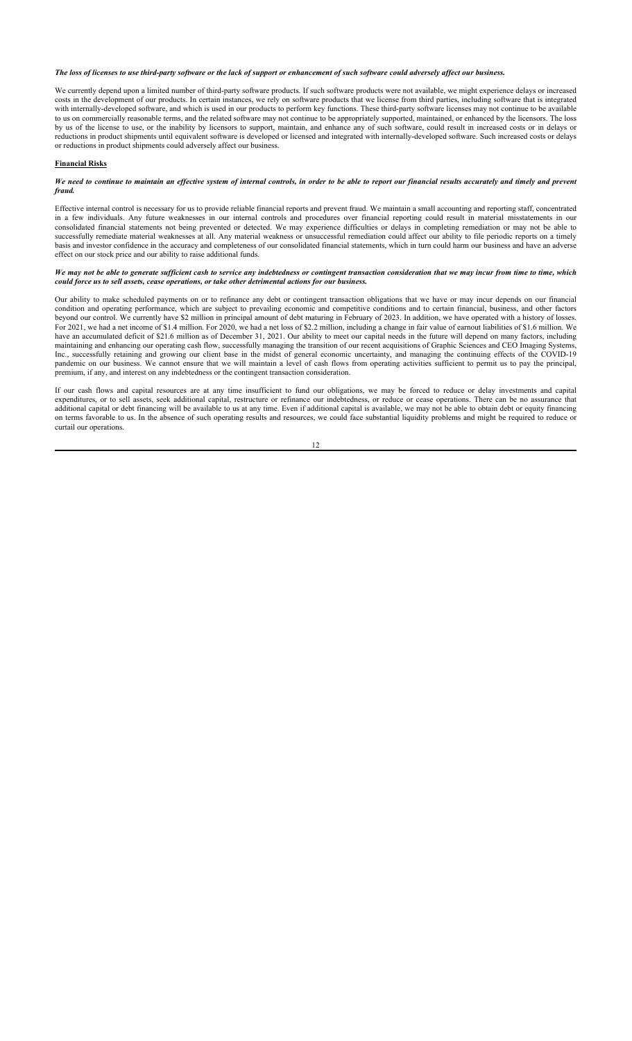*The loss of licenses to use third-party software or the lack of support or enhancement of such software could adversely affect our business.*

We currently depend upon a limited number of third-party software products. If such software products were not available, we might experience delays or increased costs in the development of our products. In certain instances, we rely on software products that we license from third parties, including software that is integrated with internally-developed software, and which is used in our products to perform key functions. These third-party software licenses may not continue to be available to us on commercially reasonable terms, and the related software may not continue to be appropriately supported, maintained, or enhanced by the licensors. The loss by us of the license to use, or the inability by licensors to support, maintain, and enhance any of such software, could result in increased costs or in delays or reductions in product shipments until equivalent software is developed or licensed and integrated with internally-developed software. Such increased costs or delays or reductions in product shipments could adversely affect our business.

### **Financial Risks**

#### We need to continue to maintain an effective system of internal controls, in order to be able to report our financial results accurately and timely and prevent *fraud.*

Effective internal control is necessary for us to provide reliable financial reports and prevent fraud. We maintain a small accounting and reporting staff, concentrated in a few individuals. Any future weaknesses in our internal controls and procedures over financial reporting could result in material misstatements in our consolidated financial statements not being prevented or detected. We may experience difficulties or delays in completing remediation or may not be able to successfully remediate material weaknesses at all. Any material weakness or unsuccessful remediation could affect our ability to file periodic reports on a timely basis and investor confidence in the accuracy and completeness of our consolidated financial statements, which in turn could harm our business and have an adverse effect on our stock price and our ability to raise additional funds.

#### *We may not be able to generate sufficient cash to service any indebtedness or contingent transaction consideration that we may incur from time to time, which could force us to sell assets, cease operations, or take other detrimental actions for our business.*

Our ability to make scheduled payments on or to refinance any debt or contingent transaction obligations that we have or may incur depends on our financial condition and operating performance, which are subject to prevailing economic and competitive conditions and to certain financial, business, and other factors beyond our control. We currently have \$2 million in principal amount of debt maturing in February of 2023. In addition, we have operated with a history of losses. For 2021, we had a net income of \$1.4 million. For 2020, we had a net loss of \$2.2 million, including a change in fair value of earnout liabilities of \$1.6 million. We for 2021, we had a net loss of \$2.2 million, includin have an accumulated deficit of \$21.6 million as of December 31, 2021. Our ability to meet our capital needs in the future will depend on many factors, including maintaining and enhancing our operating cash flow, successfully managing the transition of our recent acquisitions of Graphic Sciences and CEO Imaging Systems, Inc., successfully retaining and growing our client base in the midst of general economic uncertainty, and managing the continuing effects of the COVID-19 pandemic on our business. We cannot ensure that we will maintain a level of cash flows from operating activities sufficient to permit us to pay the principal, premium, if any, and interest on any indebtedness or the contingent transaction consideration.

If our cash flows and capital resources are at any time insufficient to fund our obligations, we may be forced to reduce or delay investments and capital expenditures, or to sell assets, seek additional capital, restructure or refinance our indebtedness, or reduce or cease operations. There can be no assurance that additional capital or debt financing will be available to us at any time. Even if additional capital is available, we may not be able to obtain debt or equity financing on terms favorable to us. In the absence of such operating results and resources, we could face substantial liquidity problems and might be required to reduce or curtail our operations.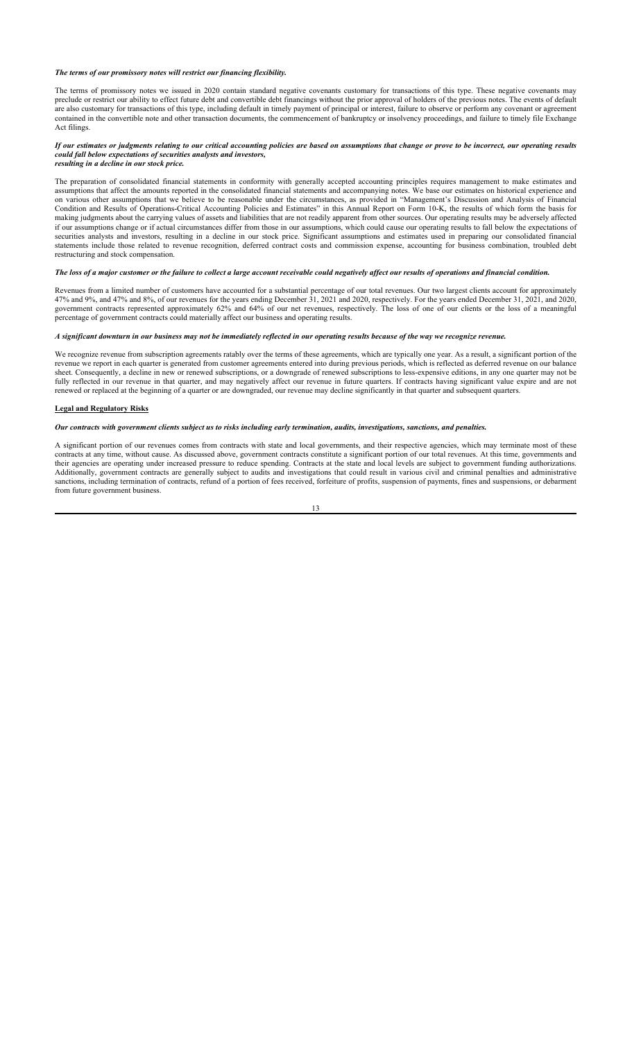#### *The terms of our promissory notes will restrict our financing flexibility.*

The terms of promissory notes we issued in 2020 contain standard negative covenants customary for transactions of this type. These negative covenants may preclude or restrict our ability to effect future debt and convertible debt financings without the prior approval of holders of the previous notes. The events of default are also customary for transactions of this type, including default in timely payment of principal or interest, failure to observe or perform any covenant or agreement contained in the convertible note and other transaction documents, the commencement of bankruptcy or insolvency proceedings, and failure to timely file Exchange Act filings.

#### *If our estimates or judgments relating to our critical accounting policies are based on assumptions that change or prove to be incorrect, our operating results could fall below expectations of securities analysts and investors, resulting in a decline in our stock price.*

The preparation of consolidated financial statements in conformity with generally accepted accounting principles requires management to make estimates and assumptions that affect the amounts reported in the consolidated financial statements and accompanying notes. We base our estimates on historical experience and on various other assumptions that we believe to be reasonable under the circumstances, as provided in "Management's Discussion and Analysis of Financial Condition and Results of Operations-Critical Accounting Policies and Estimates" in this Annual Report on Form 10-K, the results of which form the basis for making judgments about the carrying values of assets and liabilities that are not readily apparent from other sources. Our operating results may be adversely affected if our assumptions change or if actual circumstances differ from those in our assumptions, which could cause our operating results to fall below the expectations of securities analysts and investors, resulting in a decline in our stock price. Significant assumptions and estimates used in preparing our consolidated financial statements include those related to revenue recognition, deferred contract costs and commission expense, accounting for business combination, troubled debt restructuring and stock compensation.

#### *The loss of a major customer or the failure to collect a large account receivable could negatively affect our results of operations and financial condition.*

Revenues from a limited number of customers have accounted for a substantial percentage of our total revenues. Our two largest clients account for approximately 47% and 9%, and 47% and 8%, of our revenues for the years ending December 31, 2021 and 2020, respectively. For the years ended December 31, 2021, and 2020, government contracts represented approximately 62% and 64% of our net revenues, respectively. The loss of one of our clients or the loss of a meaningful percentage of government contracts could materially affect our business and operating results.

## *A significant downturn in our business may not be immediately reflected in our operating results because of the way we recognize revenue.*

We recognize revenue from subscription agreements ratably over the terms of these agreements, which are typically one year. As a result, a significant portion of the revenue we report in each quarter is generated from customer agreements entered into during previous periods, which is reflected as deferred revenue on our balance sheet. Consequently, a decline in new or renewed subscriptions, or a downgrade of renewed subscriptions to less-expensive editions, in any one quarter may not be fully reflected in our revenue in that quarter, and may negatively affect our revenue in future quarters. If contracts having significant value expire and are not renewed or replaced at the beginning of a quarter or are downgraded, our revenue may decline significantly in that quarter and subsequent quarters.

#### **Legal and Regulatory Risks**

## *Our contracts with government clients subject us to risks including early termination, audits, investigations, sanctions, and penalties.*

A significant portion of our revenues comes from contracts with state and local governments, and their respective agencies, which may terminate most of these contracts at any time, without cause. As discussed above, government contracts constitute a significant portion of our total revenues. At this time, governments and their agencies are operating under increased pressure to reduce spending. Contracts at the state and local levels are subject to government funding authorizations. Additionally, government contracts are generally subject to audits and investigations that could result in various civil and criminal penalties and administrative sanctions, including termination of contracts, refund of a portion of fees received, forfeiture of profits, suspension of payments, fines and suspensions, or debarment from future government business.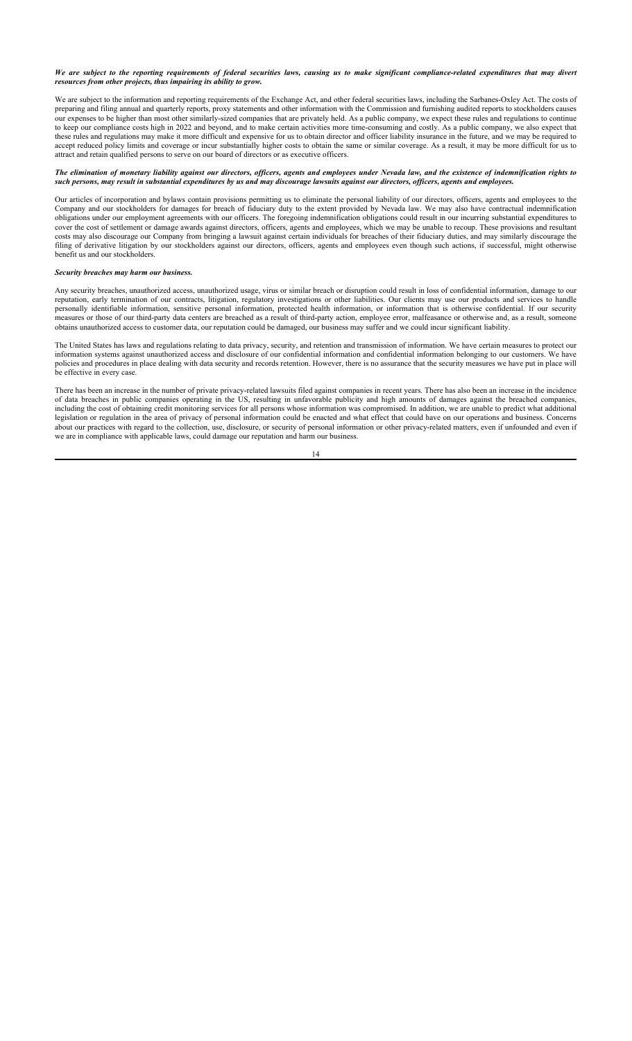*We are subject to the reporting requirements of federal securities laws, causing us to make significant compliance-related expenditures that may divert resources from other projects, thus impairing its ability to grow.*

We are subject to the information and reporting requirements of the Exchange Act, and other federal securities laws, including the Sarbanes-Oxley Act. The costs of preparing and filing annual and quarterly reports, proxy statements and other information with the Commission and furnishing audited reports to stockholders causes our expenses to be higher than most other similarly-sized companies that are privately held. As a public company, we expect these rules and regulations to continue to keep our compliance costs high in 2022 and beyond, and to make certain activities more time-consuming and costly. As a public company, we also expect that these rules and regulations may make it more difficult and expensive for us to obtain director and officer liability insurance in the future, and we may be required to accept reduced policy limits and coverage or incur substantially higher costs to obtain the same or similar coverage. As a result, it may be more difficult for us to attract and retain qualified persons to serve on our board of directors or as executive officers.

#### *The elimination of monetary liability against our directors, officers, agents and employees under Nevada law, and the existence of indemnification rights to such persons, may result in substantial expenditures by us and may discourage lawsuits against our directors, officers, agents and employees.*

Our articles of incorporation and bylaws contain provisions permitting us to eliminate the personal liability of our directors, officers, agents and employees to the Company and our stockholders for damages for breach of fiduciary duty to the extent provided by Nevada law. We may also have contractual indemnification obligations under our employment agreements with our officers. The foregoing indemnification obligations could result in our incurring substantial expenditures to cover the cost of settlement or damage awards against directors, officers, agents and employees, which we may be unable to recoup. These provisions and resultant costs may also discourage our Company from bringing a lawsuit against certain individuals for breaches of their fiduciary duties, and may similarly discourage the filing of derivative litigation by our stockholders against our directors, officers, agents and employees even though such actions, if successful, might otherwise benefit us and our stockholders.

## *Security breaches may harm our business.*

Any security breaches, unauthorized access, unauthorized usage, virus or similar breach or disruption could result in loss of confidential information, damage to our reputation, early termination of our contracts, litigation, regulatory investigations or other liabilities. Our clients may use our products and services to handle personally identifiable information, sensitive personal information, protected health information, or information that is otherwise confidential. If our security measures or those of our third-party data centers are breached as a result of third-party action, employee error, malfeasance or otherwise and, as a result, someone obtains unauthorized access to customer data, our reputation could be damaged, our business may suffer and we could incur significant liability.

The United States has laws and regulations relating to data privacy, security, and retention and transmission of information. We have certain measures to protect our information systems against unauthorized access and disclosure of our confidential information and confidential information belonging to our customers. We have policies and procedures in place dealing with data security and records retention. However, there is no assurance that the security measures we have put in place will be effective in every case.

There has been an increase in the number of private privacy-related lawsuits filed against companies in recent years. There has also been an increase in the incidence of data breaches in public companies operating in the US, resulting in unfavorable publicity and high amounts of damages against the breached companies, including the cost of obtaining credit monitoring services for all persons whose information was compromised. In addition, we are unable to predict what additional legislation or regulation in the area of privacy of personal information could be enacted and what effect that could have on our operations and business. Concerns about our practices with regard to the collection, use, disclosure, or security of personal information or other privacy-related matters, even if unfounded and even if we are in compliance with applicable laws, could damage our reputation and harm our business.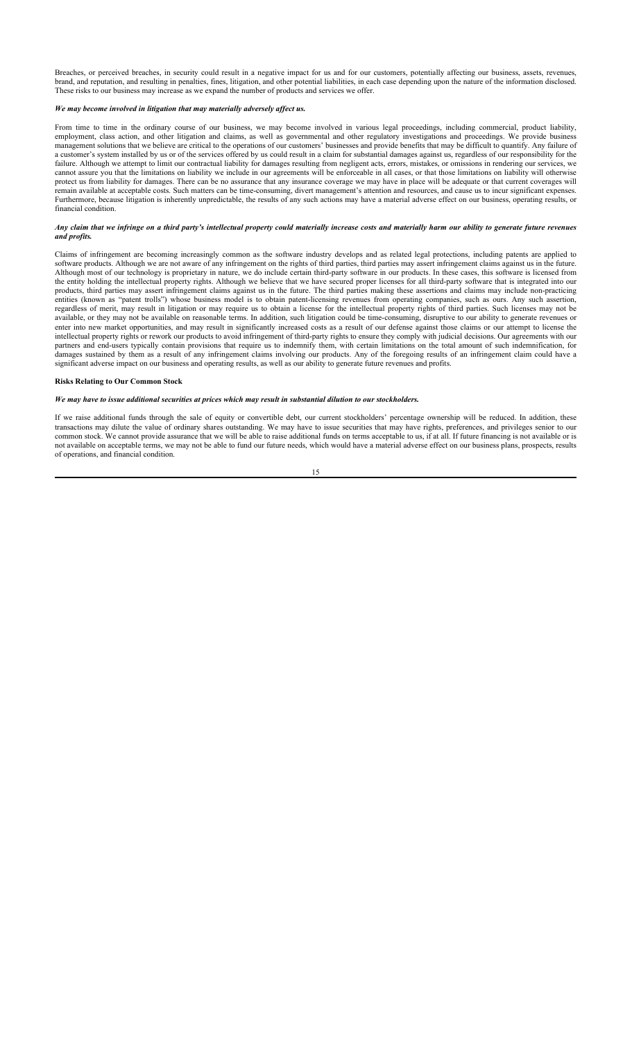Breaches, or perceived breaches, in security could result in a negative impact for us and for our customers, potentially affecting our business, assets, revenues, brand, and reputation, and resulting in penalties, fines, litigation, and other potential liabilities, in each case depending upon the nature of the information disclosed. These risks to our business may increase as we expand the number of products and services we offer.

#### *We may become involved in litigation that may materially adversely affect us.*

From time to time in the ordinary course of our business, we may become involved in various legal proceedings, including commercial, product liability, employment, class action, and other litigation and claims, as well as governmental and other regulatory investigations and proceedings. We provide business management solutions that we believe are critical to the operations of our customers' businesses and provide benefits that may be difficult to quantify. Any failure of a customer's system installed by us or of the services offered by us could result in a claim for substantial damages against us, regardless of our responsibility for the failure. Although we attempt to limit our contractual liability for damages resulting from negligent acts, errors, mistakes, or omissions in rendering our services, we cannot assure you that the limitations on liability we include in our agreements will be enforceable in all cases, or that those limitations on liability will otherwise protect us from liability for damages. There can be no assurance that any insurance coverage we may have in place will be adequate or that current coverages will remain available at acceptable costs. Such matters can be time-consuming, divert management's attention and resources, and cause us to incur significant expenses. Furthermore, because litigation is inherently unpredictable, the results of any such actions may have a material adverse effect on our business, operating results, or financial condition.

#### *Any claim that we infringe on a third party's intellectual property could materially increase costs and materially harm our ability to generate future revenues and profits.*

Claims of infringement are becoming increasingly common as the software industry develops and as related legal protections, including patents are applied to software products. Although we are not aware of any infringement on the rights of third parties, third parties may assert infringement claims against us in the future. Although most of our technology is proprietary in nature, we do include certain third-party software in our products. In these cases, this software is licensed from the entity holding the intellectual property rights. Although we believe that we have secured proper licenses for all third-party software that is integrated into our products, third parties may assert infringement claims against us in the future. The third parties making these assertions and claims may include non-practicing entities (known as "patent trolls") whose business model is to obtain patent-licensing revenues from operating companies, such as ours. Any such assertion, regardless of merit, may result in litigation or may require us to obtain a license for the intellectual property rights of third parties. Such licenses may not be available, or they may not be available on reasonable terms. In addition, such litigation could be time-consuming, disruptive to our ability to generate revenues or enter into new market opportunities, and may result in significantly increased costs as a result of our defense against those claims or our attempt to license the intellectual property rights or rework our products to avoid infringement of third-party rights to ensure they comply with judicial decisions. Our agreements with our partners and end-users typically contain provisions that require us to indemnify them, with certain limitations on the total amount of such indemnification, for damages sustained by them as a result of any infringement claims involving our products. Any of the foregoing results of an infringement claim could have a significant adverse impact on our business and operating results, as well as our ability to generate future revenues and profits.

#### **Risks Relating to Our Common Stock**

## *We may have to issue additional securities at prices which may result in substantial dilution to our stockholders.*

If we raise additional funds through the sale of equity or convertible debt, our current stockholders' percentage ownership will be reduced. In addition, these transactions may dilute the value of ordinary shares outstanding. We may have to issue securities that may have rights, preferences, and privileges senior to our common stock. We cannot provide assurance that we will be able to raise additional funds on terms acceptable to us, if at all. If future financing is not available or is not available on acceptable terms, we may not be able to fund our future needs, which would have a material adverse effect on our business plans, prospects, results of operations, and financial condition.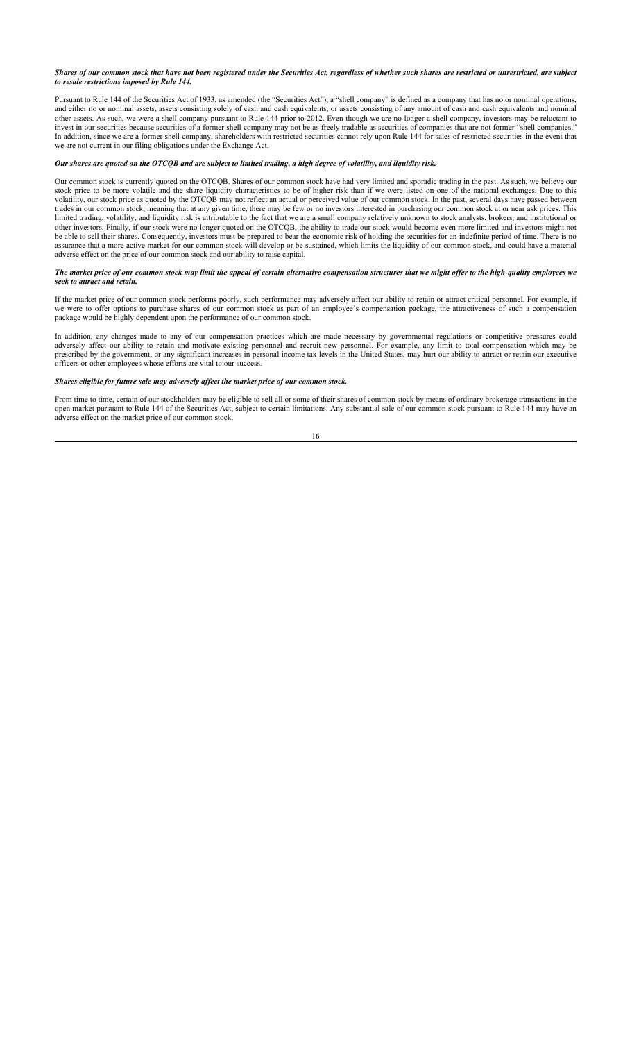*Shares of our common stock that have not been registered under the Securities Act, regardless of whether such shares are restricted or unrestricted, are subject to resale restrictions imposed by Rule 144.*

Pursuant to Rule 144 of the Securities Act of 1933, as amended (the "Securities Act"), a "shell company" is defined as a company that has no or nominal operations, and either no or nominal assets, assets consisting solely of cash and cash equivalents, or assets consisting of any amount of cash and cash equivalents and nominal other assets. As such, we were a shell company pursuant to Rule 144 prior to 2012. Even though we are no longer a shell company, investors may be reluctant to invest in our securities because securities of a former shell company may not be as freely tradable as securities of companies that are not former "shell companies." In addition, since we are a former shell company, shareholders with restricted securities cannot rely upon Rule 144 for sales of restricted securities in the event that we are not current in our filing obligations under the Exchange Act.

## *Our shares are quoted on the OTCQB and are subject to limited trading, a high degree of volatility, and liquidity risk.*

Our common stock is currently quoted on the OTCQB. Shares of our common stock have had very limited and sporadic trading in the past. As such, we believe our stock price to be more volatile and the share liquidity characteristics to be of higher risk than if we were listed on one of the national exchanges. Due to this volatility, our stock price as quoted by the OTCQB may not reflect an actual or perceived value of our common stock. In the past, several days have passed between trades in our common stock, meaning that at any given time, there may be few or no investors interested in purchasing our common stock at or near ask prices. This limited trading, volatility, and liquidity risk is attributable to the fact that we are a small company relatively unknown to stock analysts, brokers, and institutional or other investors. Finally, if our stock were no longer quoted on the OTCQB, the ability to trade our stock would become even more limited and investors might not be able to sell their shares. Consequently, investors must be prepared to bear the economic risk of holding the securities for an indefinite period of time. There is no assurance that a more active market for our common stock will develop or be sustained, which limits the liquidity of our common stock, and could have a material adverse effect on the price of our common stock and our ability to raise capital.

#### *The market price of our common stock may limit the appeal of certain alternative compensation structures that we might offer to the high-quality employees we seek to attract and retain.*

If the market price of our common stock performs poorly, such performance may adversely affect our ability to retain or attract critical personnel. For example, if we were to offer options to purchase shares of our common stock as part of an employee's compensation package, the attractiveness of such a compensation package would be highly dependent upon the performance of our common stock.

In addition, any changes made to any of our compensation practices which are made necessary by governmental regulations or competitive pressures could adversely affect our ability to retain and motivate existing personnel and recruit new personnel. For example, any limit to total compensation which may be prescribed by the government, or any significant increases in personal income tax levels in the United States, may hurt our ability to attract or retain our executive officers or other employees whose efforts are vital to our success.

### *Shares eligible for future sale may adversely affect the market price of our common stock.*

From time to time, certain of our stockholders may be eligible to sell all or some of their shares of common stock by means of ordinary brokerage transactions in the open market pursuant to Rule 144 of the Securities Act, subject to certain limitations. Any substantial sale of our common stock pursuant to Rule 144 may have an adverse effect on the market price of our common stock.

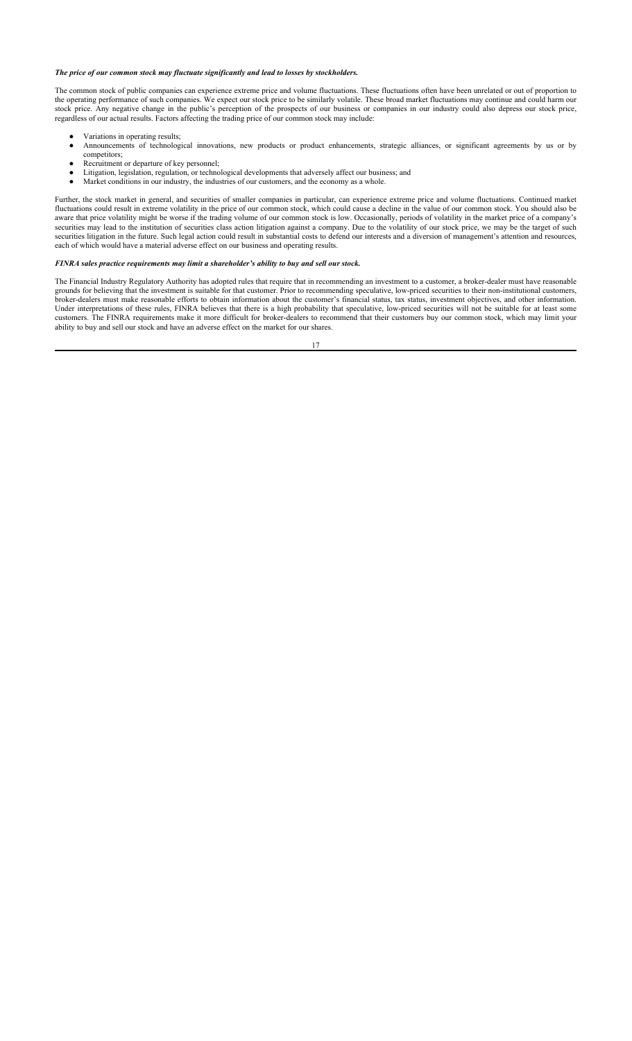## *The price of our common stock may fluctuate significantly and lead to losses by stockholders.*

The common stock of public companies can experience extreme price and volume fluctuations. These fluctuations often have been unrelated or out of proportion to the operating performance of such companies. We expect our stock price to be similarly volatile. These broad market fluctuations may continue and could harm our stock price. Any negative change in the public's perception of the prospects of our business or companies in our industry could also depress our stock price, regardless of our actual results. Factors affecting the trading price of our common stock may include:

- Variations in operating results;
- Announcements of technological innovations, new products or product enhancements, strategic alliances, or significant agreements by us or by competitors;
- Recruitment or departure of key personnel;
- Litigation, legislation, regulation, or technological developments that adversely affect our business; and Market conditions in our industry, the industries of our customers, and the economy as a whole.

Further, the stock market in general, and securities of smaller companies in particular, can experience extreme price and volume fluctuations. Continued market fluctuations could result in extreme volatility in the price of our common stock, which could cause a decline in the value of our common stock. You should also be aware that price volatility might be worse if the trading volume of our common stock is low. Occasionally, periods of volatility in the market price of a company's securities may lead to the institution of securities class action litigation against a company. Due to the volatility of our stock price, we may be the target of such securities litigation in the future. Such legal action could result in substantial costs to defend our interests and a diversion of management's attention and resources, each of which would have a material adverse effect on our business and operating results.

## *FINRA sales practice requirements may limit a shareholder's ability to buy and sell our stock.*

The Financial Industry Regulatory Authority has adopted rules that require that in recommending an investment to a customer, a broker-dealer must have reasonable grounds for believing that the investment is suitable for that customer. Prior to recommending speculative, low-priced securities to their non-institutional customers, broker-dealers must make reasonable efforts to obtain information about the customer's financial status, tax status, investment objectives, and other information. Under interpretations of these rules, FINRA believes that there is a high probability that speculative, low-priced securities will not be suitable for at least some customers. The FINRA requirements make it more difficult for broker-dealers to recommend that their customers buy our common stock, which may limit your ability to buy and sell our stock and have an adverse effect on the market for our shares.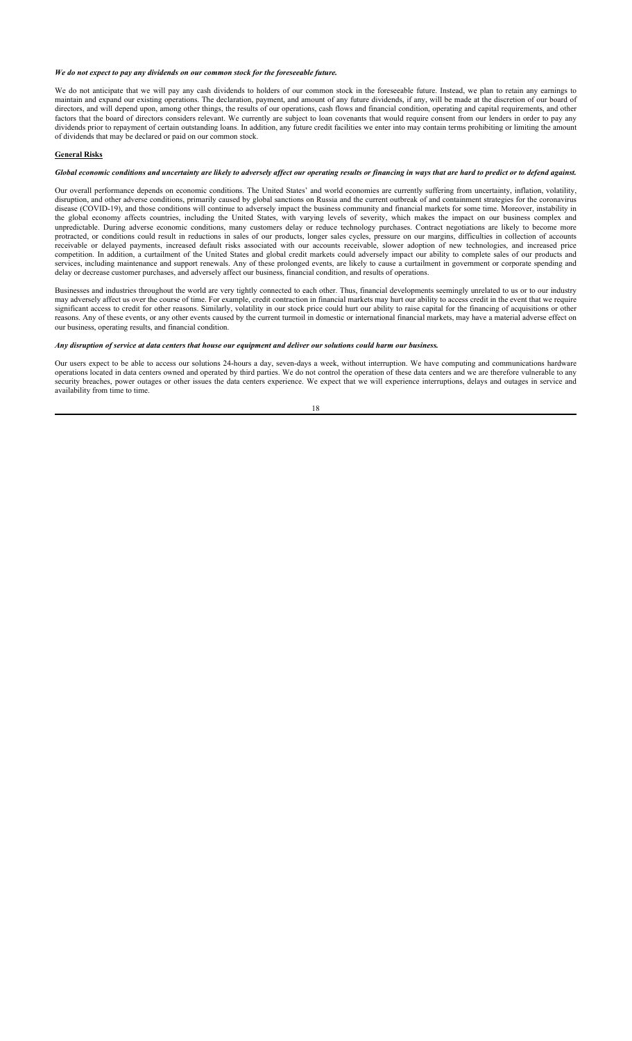*We do not expect to pay any dividends on our common stock for the foreseeable future.*

We do not anticipate that we will pay any cash dividends to holders of our common stock in the foreseeable future. Instead, we plan to retain any earnings to maintain and expand our existing operations. The declaration, payment, and amount of any future dividends, if any, will be made at the discretion of our board of directors, and will depend upon, among other things, the results of our operations, cash flows and financial condition, operating and capital requirements, and other factors that the board of directors considers relevant. We currently are subject to loan covenants that would require consent from our lenders in order to pay any dividends prior to repayment of certain outstanding loans. In addition, any future credit facilities we enter into may contain terms prohibiting or limiting the amount of dividends that may be declared or paid on our common stock.

## **General Risks**

*Global economic conditions and uncertainty are likely to adversely affect our operating results or financing in ways that are hard to predict or to defend against.*

Our overall performance depends on economic conditions. The United States' and world economies are currently suffering from uncertainty, inflation, volatility, disruption, and other adverse conditions, primarily caused by global sanctions on Russia and the current outbreak of and containment strategies for the coronavirus disease (COVID-19), and those conditions will continue to adversely impact the business community and financial markets for some time. Moreover, instability in the global economy affects countries, including the United States, with varying levels of severity, which makes the impact on our business complex and unpredictable. During adverse economic conditions, many customers delay or reduce technology purchases. Contract negotiations are likely to become more protracted, or conditions could result in reductions in sales of our products, longer sales cycles, pressure on our margins, difficulties in collection of accounts receivable or delayed payments, increased default risks associated with our accounts receivable, slower adoption of new technologies, and increased price competition. In addition, a curtailment of the United States and global credit markets could adversely impact our ability to complete sales of our products and services, including maintenance and support renewals. Any of these prolonged events, are likely to cause a curtailment in government or corporate spending and delay or decrease customer purchases, and adversely affect our business, financial condition, and results of operations.

Businesses and industries throughout the world are very tightly connected to each other. Thus, financial developments seemingly unrelated to us or to our industry may adversely affect us over the course of time. For example, credit contraction in financial markets may hurt our ability to access credit in the event that we require significant access to credit for other reasons. Similarly, volatility in our stock price could hurt our ability to raise capital for the financing of acquisitions or other reasons. Any of these events, or any other events caused by the current turmoil in domestic or international financial markets, may have a material adverse effect on our business, operating results, and financial condition.

*Any disruption of service at data centers that house our equipment and deliver our solutions could harm our business.*

Our users expect to be able to access our solutions 24-hours a day, seven-days a week, without interruption. We have computing and communications hardware operations located in data centers owned and operated by third parties. We do not control the operation of these data centers and we are therefore vulnerable to any security breaches, power outages or other issues the data centers experience. We expect that we will experience interruptions, delays and outages in service and availability from time to time.

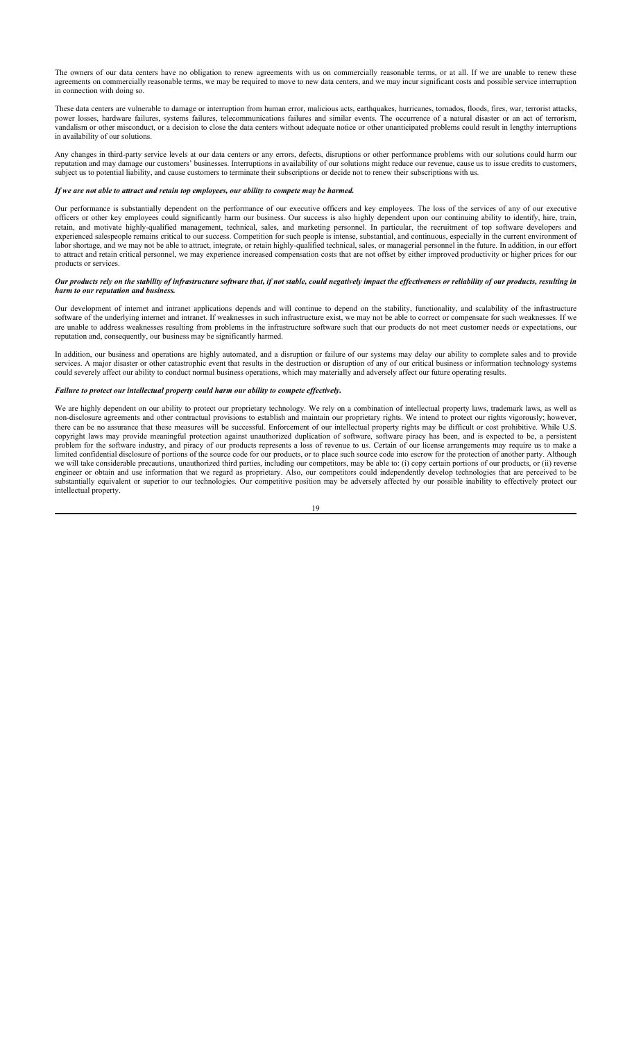The owners of our data centers have no obligation to renew agreements with us on commercially reasonable terms, or at all. If we are unable to renew these agreements on commercially reasonable terms, we may be required to move to new data centers, and we may incur significant costs and possible service interruption in connection with doing so.

These data centers are vulnerable to damage or interruption from human error, malicious acts, earthquakes, hurricanes, tornados, floods, fires, war, terrorist attacks, power losses, hardware failures, systems failures, telecommunications failures and similar events. The occurrence of a natural disaster or an act of terrorism, vandalism or other misconduct, or a decision to close the data centers without adequate notice or other unanticipated problems could result in lengthy interruptions in availability of our solutions.

Any changes in third-party service levels at our data centers or any errors, defects, disruptions or other performance problems with our solutions could harm our reputation and may damage our customers' businesses. Interruptions in availability of our solutions might reduce our revenue, cause us to issue credits to customers, subject us to potential liability, and cause customers to terminate their subscriptions or decide not to renew their subscriptions with us.

## *If we are not able to attract and retain top employees, our ability to compete may be harmed.*

Our performance is substantially dependent on the performance of our executive officers and key employees. The loss of the services of any of our executive officers or other key employees could significantly harm our business. Our success is also highly dependent upon our continuing ability to identify, hire, train, retain, and motivate highly-qualified management, technical, sales, and marketing personnel. In particular, the recruitment of top software developers and experienced salespeople remains critical to our success. Competition for such people is intense, substantial, and continuous, especially in the current environment of labor shortage, and we may not be able to attract, integrate, or retain highly-qualified technical, sales, or managerial personnel in the future. In addition, in our effort to attract and retain critical personnel, we may experience increased compensation costs that are not offset by either improved productivity or higher prices for our products or services.

## *Our products rely on the stability of infrastructure software that, if not stable, could negatively impact the effectiveness or reliability of our products, resulting in harm to our reputation and business.*

Our development of internet and intranet applications depends and will continue to depend on the stability, functionality, and scalability of the infrastructure software of the underlying internet and intranet. If weaknesses in such infrastructure exist, we may not be able to correct or compensate for such weaknesses. If we are unable to address weaknesses resulting from problems in the infrastructure software such that our products do not meet customer needs or expectations, our reputation and, consequently, our business may be significantly harmed.

In addition, our business and operations are highly automated, and a disruption or failure of our systems may delay our ability to complete sales and to provide services. A major disaster or other catastrophic event that results in the destruction or disruption of any of our critical business or information technology systems could severely affect our ability to conduct normal business operations, which may materially and adversely affect our future operating results.

### *Failure to protect our intellectual property could harm our ability to compete effectively.*

We are highly dependent on our ability to protect our proprietary technology. We rely on a combination of intellectual property laws, trademark laws, as well as non-disclosure agreements and other contractual provisions to establish and maintain our proprietary rights. We intend to protect our rights vigorously; however, there can be no assurance that these measures will be successful. Enforcement of our intellectual property rights may be difficult or cost prohibitive. While U.S. copyright laws may provide meaningful protection against unauthorized duplication of software, software piracy has been, and is expected to be, a persistent problem for the software industry, and piracy of our products represents a loss of revenue to us. Certain of our license arrangements may require us to make a limited confidential disclosure of portions of the source code for our products, or to place such source code into escrow for the protection of another party. Although we will take considerable precautions, unauthorized third parties, including our competitors, may be able to: (i) copy certain portions of our products, or (ii) reverse engineer or obtain and use information that we regard as proprietary. Also, our competitors could independently develop technologies that are perceived to be substantially equivalent or superior to our technologies. Our competitive position may be adversely affected by our possible inability to effectively protect our intellectual property.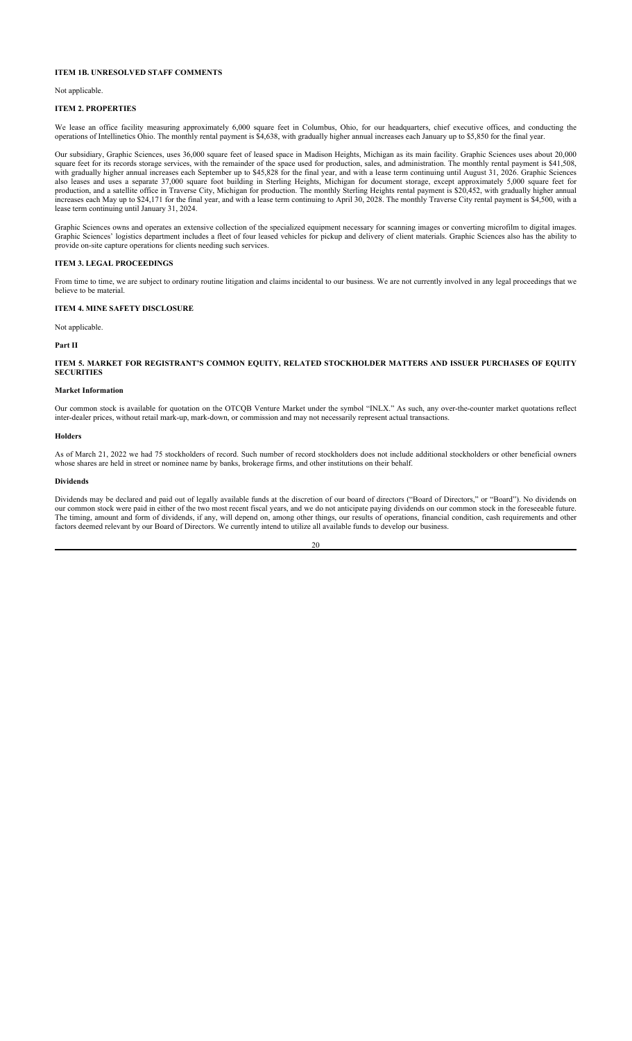## **ITEM 1B. UNRESOLVED STAFF COMMENTS**

Not applicable.

### **ITEM 2. PROPERTIES**

We lease an office facility measuring approximately 6,000 square feet in Columbus, Ohio, for our headquarters, chief executive offices, and conducting the operations of Intellinetics Ohio. The monthly rental payment is \$4,638, with gradually higher annual increases each January up to \$5,850 for the final year.

Our subsidiary, Graphic Sciences, uses 36,000 square feet of leased space in Madison Heights, Michigan as its main facility. Graphic Sciences uses about 20,000 square feet for its records storage services, with the remainder of the space used for production, sales, and administration. The monthly rental payment is \$41,508, with gradually higher annual increases each September up to \$45,828 for the final year, and with a lease term continuing until August 31, 2026. Graphic Sciences also leases and uses a separate 37,000 square foot building in Sterling Heights, Michigan for document storage, except approximately 5,000 square feet for production, and a satellite office in Traverse City, Michigan for production. The monthly Sterling Heights rental payment is \$20,452, with gradually higher annual increases each May up to \$24,171 for the final year, and with a lease term continuing to April 30, 2028. The monthly Traverse City rental payment is \$4,500, with a lease term continuing until January 31, 2024.

Graphic Sciences owns and operates an extensive collection of the specialized equipment necessary for scanning images or converting microfilm to digital images. Graphic Sciences' logistics department includes a fleet of four leased vehicles for pickup and delivery of client materials. Graphic Sciences also has the ability to provide on-site capture operations for clients needing such services.

## **ITEM 3. LEGAL PROCEEDINGS**

From time to time, we are subject to ordinary routine litigation and claims incidental to our business. We are not currently involved in any legal proceedings that we believe to be material.

## **ITEM 4. MINE SAFETY DISCLOSURE**

Not applicable.

**Part II**

## **ITEM 5. MARKET FOR REGISTRANT'S COMMON EQUITY, RELATED STOCKHOLDER MATTERS AND ISSUER PURCHASES OF EQUITY SECURITIES**

#### **Market Information**

Our common stock is available for quotation on the OTCQB Venture Market under the symbol "INLX." As such, any over-the-counter market quotations reflect inter-dealer prices, without retail mark-up, mark-down, or commission and may not necessarily represent actual transactions.

## **Holders**

As of March 21, 2022 we had 75 stockholders of record. Such number of record stockholders does not include additional stockholders or other beneficial owners whose shares are held in street or nominee name by banks, brokerage firms, and other institutions on their behalf.

#### **Dividends**

Dividends may be declared and paid out of legally available funds at the discretion of our board of directors ("Board of Directors," or "Board"). No dividends on our common stock were paid in either of the two most recent fiscal years, and we do not anticipate paying dividends on our common stock in the foreseeable future. The timing, amount and form of dividends, if any, will depend on, among other things, our results of operations, financial condition, cash requirements and other factors deemed relevant by our Board of Directors. We currently intend to utilize all available funds to develop our business.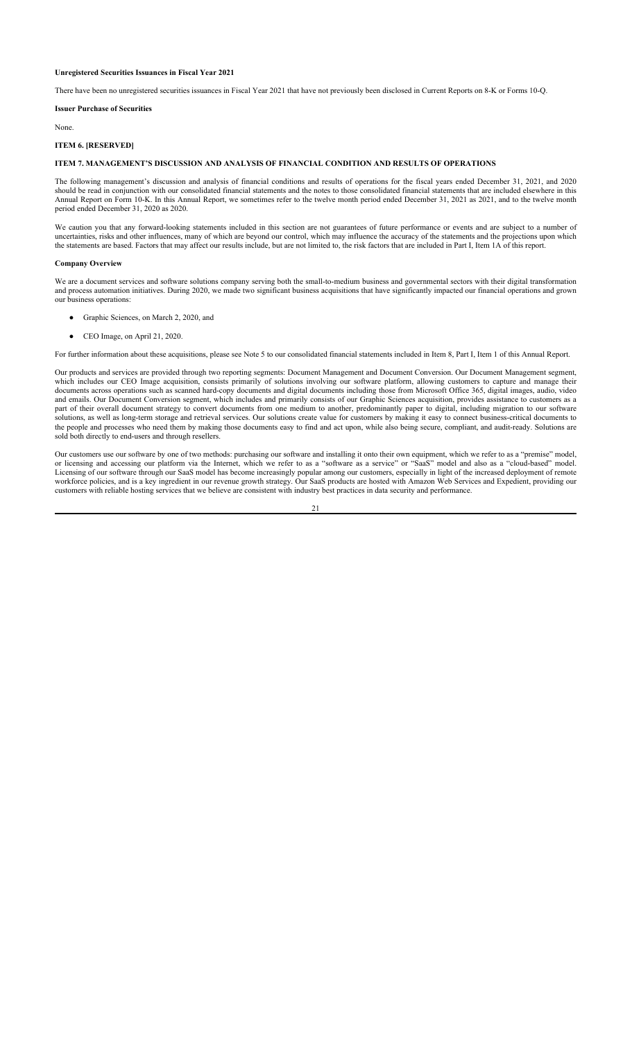## **Unregistered Securities Issuances in Fiscal Year 2021**

There have been no unregistered securities issuances in Fiscal Year 2021 that have not previously been disclosed in Current Reports on 8-K or Forms 10-Q.

### **Issuer Purchase of Securities**

None.

## **ITEM 6. [RESERVED]**

## **ITEM 7. MANAGEMENT'S DISCUSSION AND ANALYSIS OF FINANCIAL CONDITION AND RESULTS OF OPERATIONS**

The following management's discussion and analysis of financial conditions and results of operations for the fiscal years ended December 31, 2021, and 2020 should be read in conjunction with our consolidated financial statements and the notes to those consolidated financial statements that are included elsewhere in this Annual Report on Form 10-K. In this Annual Report, we sometimes refer to the twelve month period ended December 31, 2021 as 2021, and to the twelve month period ended December 31, 2020 as 2020.

We caution you that any forward-looking statements included in this section are not guarantees of future performance or events and are subject to a number of uncertainties, risks and other influences, many of which are beyond our control, which may influence the accuracy of the statements and the projections upon which the statements are based. Factors that may affect our results include, but are not limited to, the risk factors that are included in Part I, Item 1A of this report.

### **Company Overview**

We are a document services and software solutions company serving both the small-to-medium business and governmental sectors with their digital transformation and process automation initiatives. During 2020, we made two significant business acquisitions that have significantly impacted our financial operations and grown our business operations:

- Graphic Sciences, on March 2, 2020, and
- CEO Image, on April 21, 2020.

For further information about these acquisitions, please see Note 5 to our consolidated financial statements included in Item 8, Part I, Item 1 of this Annual Report.

Our products and services are provided through two reporting segments: Document Management and Document Conversion. Our Document Management segment, which includes our CEO Image acquisition, consists primarily of solutions involving our software platform, allowing customers to capture and manage their documents across operations such as scanned hard-copy documents and digital documents including those from Microsoft Office 365, digital images, audio, video and emails. Our Document Conversion segment, which includes and primarily consists of our Graphic Sciences acquisition, provides assistance to customers as a part of their overall document strategy to convert documents from one medium to another, predominantly paper to digital, including migration to our software solutions, as well as long-term storage and retrieval services. Our solutions create value for customers by making it easy to connect business-critical documents to the people and processes who need them by making those documents easy to find and act upon, while also being secure, compliant, and audit-ready. Solutions are sold both directly to end-users and through resellers

Our customers use our software by one of two methods: purchasing our software and installing it onto their own equipment, which we refer to as a "premise" model, or licensing and accessing our platform via the Internet, which we refer to as a "software as a service" or "SaaS" model and also as a "cloud-based" model. Licensing of our software through our SaaS model has become increasingly popular among our customers, especially in light of the increased deployment of remote workforce policies, and is a key ingredient in our revenue growth strategy. Our SaaS products are hosted with Amazon Web Services and Expedient, providing our customers with reliable hosting services that we believe are consistent with industry best practices in data security and performance.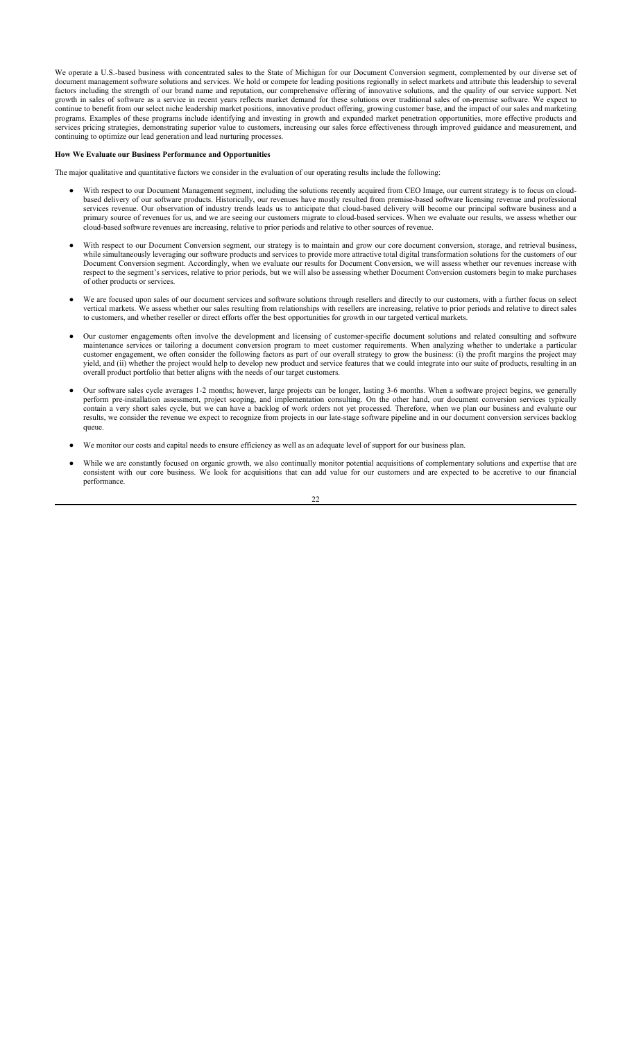We operate a U.S.-based business with concentrated sales to the State of Michigan for our Document Conversion segment, complemented by our diverse set of document management software solutions and services. We hold or compete for leading positions regionally in select markets and attribute this leadership to several factors including the strength of our brand name and reputation, our comprehensive offering of innovative solutions, and the quality of our service support. Net growth in sales of software as a service in recent years reflects market demand for these solutions over traditional sales of on-premise software. We expect to continue to benefit from our select niche leadership market positions, innovative product offering, growing customer base, and the impact of our sales and marketing programs. Examples of these programs include identifying and investing in growth and expanded market penetration opportunities, more effective products and services pricing strategies, demonstrating superior value to customers, increasing our sales force effectiveness through improved guidance and measurement, and continuing to optimize our lead generation and lead nurturing processes.

## **How We Evaluate our Business Performance and Opportunities**

The major qualitative and quantitative factors we consider in the evaluation of our operating results include the following:

- With respect to our Document Management segment, including the solutions recently acquired from CEO Image, our current strategy is to focus on cloudbased delivery of our software products. Historically, our revenues have mostly resulted from premise-based software licensing revenue and professional services revenue. Our observation of industry trends leads us to anticipate that cloud-based delivery will become our principal software business and a primary source of revenues for us, and we are seeing our customers migrate to cloud-based services. When we evaluate our results, we assess whether our cloud-based software revenues are increasing, relative to prior periods and relative to other sources of revenue.
- With respect to our Document Conversion segment, our strategy is to maintain and grow our core document conversion, storage, and retrieval business, while simultaneously leveraging our software products and services to provide more attractive total digital transformation solutions for the customers of our Document Conversion segment. Accordingly, when we evaluate our results for Document Conversion, we will assess whether our revenues increase with respect to the segment's services, relative to prior periods, but we will also be assessing whether Document Conversion customers begin to make purchases of other products or services.
- We are focused upon sales of our document services and software solutions through resellers and directly to our customers, with a further focus on select vertical markets. We assess whether our sales resulting from relationships with resellers are increasing, relative to prior periods and relative to direct sales to customers, and whether reseller or direct efforts offer the best opportunities for growth in our targeted vertical markets.
- Our customer engagements often involve the development and licensing of customer-specific document solutions and related consulting and software maintenance services or tailoring a document conversion program to meet customer requirements. When analyzing whether to undertake a particular customer engagement, we often consider the following factors as part of our overall strategy to grow the business: (i) the profit margins the project may yield, and (ii) whether the project would help to develop new product and service features that we could integrate into our suite of products, resulting in an overall product portfolio that better aligns with the needs of our target customers.
- Our software sales cycle averages 1-2 months; however, large projects can be longer, lasting 3-6 months. When a software project begins, we generally perform pre-installation assessment, project scoping, and implementation consulting. On the other hand, our document conversion services typically contain a very short sales cycle, but we can have a backlog of work orders not yet processed. Therefore, when we plan our business and evaluate our results, we consider the revenue we expect to recognize from projects in our late-stage software pipeline and in our document conversion services backlog queue.
- We monitor our costs and capital needs to ensure efficiency as well as an adequate level of support for our business plan.
- While we are constantly focused on organic growth, we also continually monitor potential acquisitions of complementary solutions and expertise that are consistent with our core business. We look for acquisitions that can add value for our customers and are expected to be accretive to our financial performance.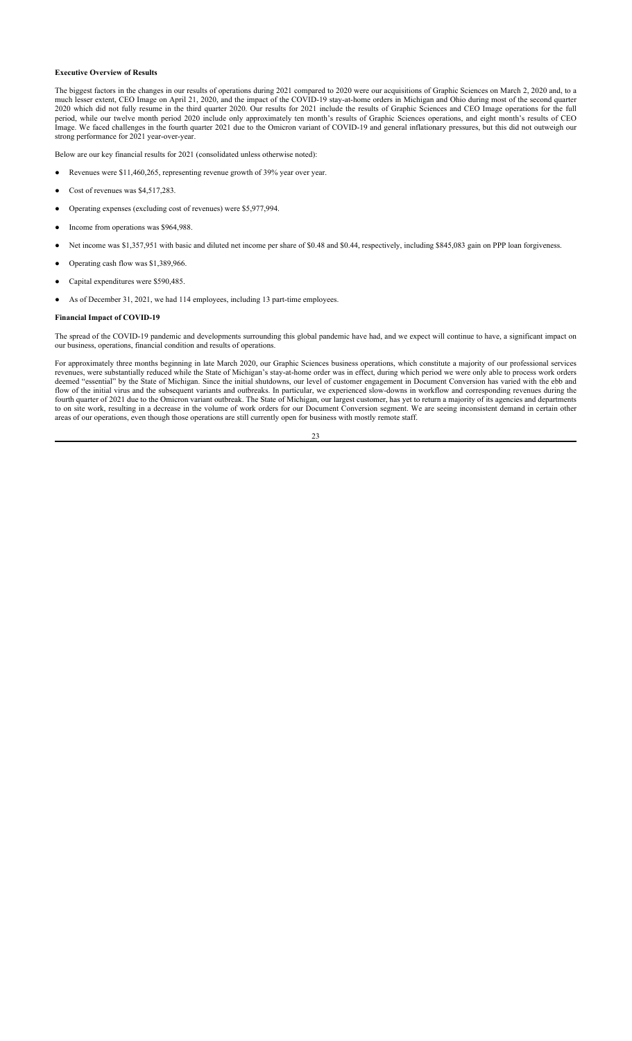## **Executive Overview of Results**

The biggest factors in the changes in our results of operations during 2021 compared to 2020 were our acquisitions of Graphic Sciences on March 2, 2020 and, to a much lesser extent, CEO Image on April 21, 2020, and the impact of the COVID-19 stay-at-home orders in Michigan and Ohio during most of the second quarter 2020 which did not fully resume in the third quarter 2020. Our results for 2021 include the results of Graphic Sciences and CEO Image operations for the full period, while our twelve month period 2020 include only approximately ten month's results of Graphic Sciences operations, and eight month's results of CEO Image. We faced challenges in the fourth quarter 2021 due to the Omicron variant of COVID-19 and general inflationary pressures, but this did not outweigh our strong performance for 2021 year-over-year.

Below are our key financial results for 2021 (consolidated unless otherwise noted):

- Revenues were \$11,460,265, representing revenue growth of 39% year over year.
- Cost of revenues was \$4,517,283.
- Operating expenses (excluding cost of revenues) were \$5,977,994.
- Income from operations was \$964,988.
- Net income was \$1,357,951 with basic and diluted net income per share of \$0.48 and \$0.44, respectively, including \$845,083 gain on PPP loan forgiveness.
- Operating cash flow was \$1,389,966.
- Capital expenditures were \$590,485.
- As of December 31, 2021, we had 114 employees, including 13 part-time employees.

#### **Financial Impact of COVID-19**

The spread of the COVID-19 pandemic and developments surrounding this global pandemic have had, and we expect will continue to have, a significant impact on our business, operations, financial condition and results of operations.

For approximately three months beginning in late March 2020, our Graphic Sciences business operations, which constitute a majority of our professional services revenues, were substantially reduced while the State of Michigan's stay-at-home order was in effect, during which period we were only able to process work orders deemed "essential" by the State of Michigan. Since the initial shutdowns, our level of customer engagement in Document Conversion has varied with the ebb and flow of the initial virus and the subsequent variants and outbreaks. In particular, we experienced slow-downs in workflow and corresponding revenues during the fourth quarter of 2021 due to the Omicron variant outbreak. The State of Michigan, our largest customer, has yet to return a majority of its agencies and departments to on site work, resulting in a decrease in the volume of work orders for our Document Conversion segment. We are seeing inconsistent demand in certain other areas of our operations, even though those operations are still currently open for business with mostly remote staff.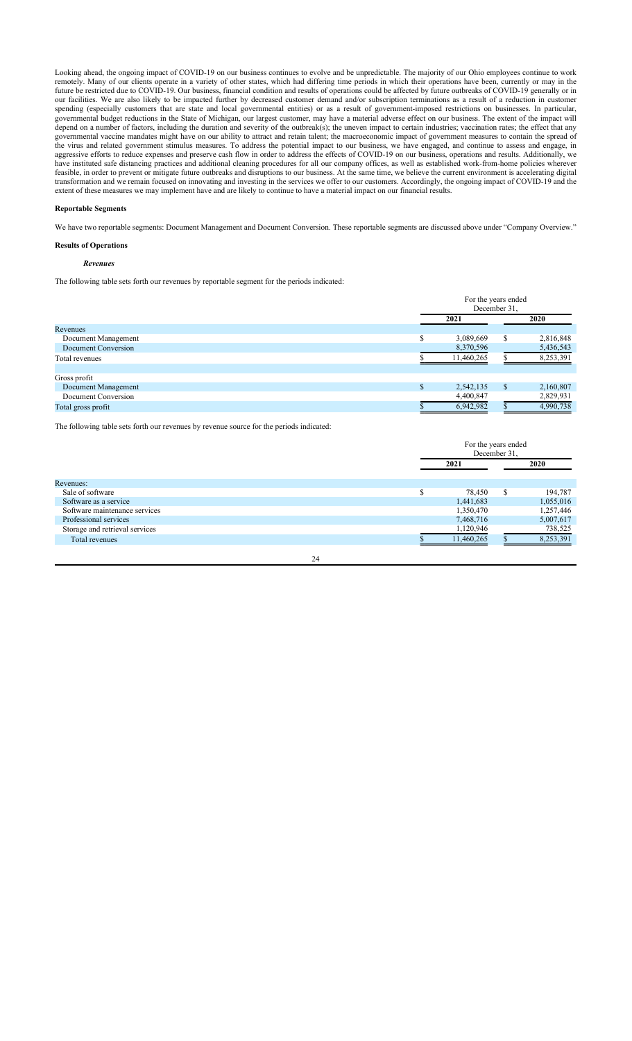Looking ahead, the ongoing impact of COVID-19 on our business continues to evolve and be unpredictable. The majority of our Ohio employees continue to work remotely. Many of our clients operate in a variety of other states, which had differing time periods in which their operations have been, currently or may in the future be restricted due to COVID-19. Our business, financial condition and results of operations could be affected by future outbreaks of COVID-19 generally or in our facilities. We are also likely to be impacted further by decreased customer demand and/or subscription terminations as a result of a reduction in customer spending (especially customers that are state and local governmental entities) or as a result of government-imposed restrictions on businesses. In particular, governmental budget reductions in the State of Michigan, our largest customer, may have a material adverse effect on our business. The extent of the impact will depend on a number of factors, including the duration and severity of the outbreak(s); the uneven impact to certain industries; vaccination rates; the effect that any governmental vaccine mandates might have on our ability to attract and retain talent; the macroeconomic impact of government measures to contain the spread of the virus and related government stimulus measures. To address the potential impact to our business, we have engaged, and continue to assess and engage, in aggressive efforts to reduce expenses and preserve cash flow in order to address the effects of COVID-19 on our business, operations and results. Additionally, we have instituted safe distancing practices and additional cleaning procedures for all our company offices, as well as established work-from-home policies wherever feasible, in order to prevent or mitigate future outbreaks and disruptions to our business. At the same time, we believe the current environment is accelerating digital transformation and we remain focused on innovating and investing in the services we offer to our customers. Accordingly, the ongoing impact of COVID-19 and the extent of these measures we may implement have and are likely to continue to have a material impact on our financial results.

#### **Reportable Segments**

We have two reportable segments: Document Management and Document Conversion. These reportable segments are discussed above under "Company Overview."

## **Results of Operations**

## *Revenues*

The following table sets forth our revenues by reportable segment for the periods indicated:

|                     | For the years ended<br>December 31, |              |           |
|---------------------|-------------------------------------|--------------|-----------|
|                     | 2021                                |              | 2020      |
| Revenues            |                                     |              |           |
| Document Management | 3,089,669                           | S            | 2,816,848 |
| Document Conversion | 8,370,596                           |              | 5,436,543 |
| Total revenues      | 11,460,265                          |              | 8,253,391 |
| Gross profit        |                                     |              |           |
| Document Management | 2,542,135                           | <sup>S</sup> | 2,160,807 |
| Document Conversion | 4,400,847                           |              | 2,829,931 |
| Total gross profit  | 6,942,982                           |              | 4,990,738 |

The following table sets forth our revenues by revenue source for the periods indicated:

|                                |    | For the years ended<br>December 31. |               |           |
|--------------------------------|----|-------------------------------------|---------------|-----------|
|                                |    | 2021                                |               | 2020      |
| Revenues:                      |    |                                     |               |           |
| Sale of software               |    | 78,450                              | <sup>\$</sup> | 194,787   |
| Software as a service          |    | 1,441,683                           |               | 1,055,016 |
| Software maintenance services  |    | 1,350,470                           |               | 1,257,446 |
| Professional services          |    | 7,468,716                           |               | 5,007,617 |
| Storage and retrieval services |    | 1,120,946                           |               | 738,525   |
| Total revenues                 |    | 11,460,265                          |               | 8,253,391 |
|                                | 24 |                                     |               |           |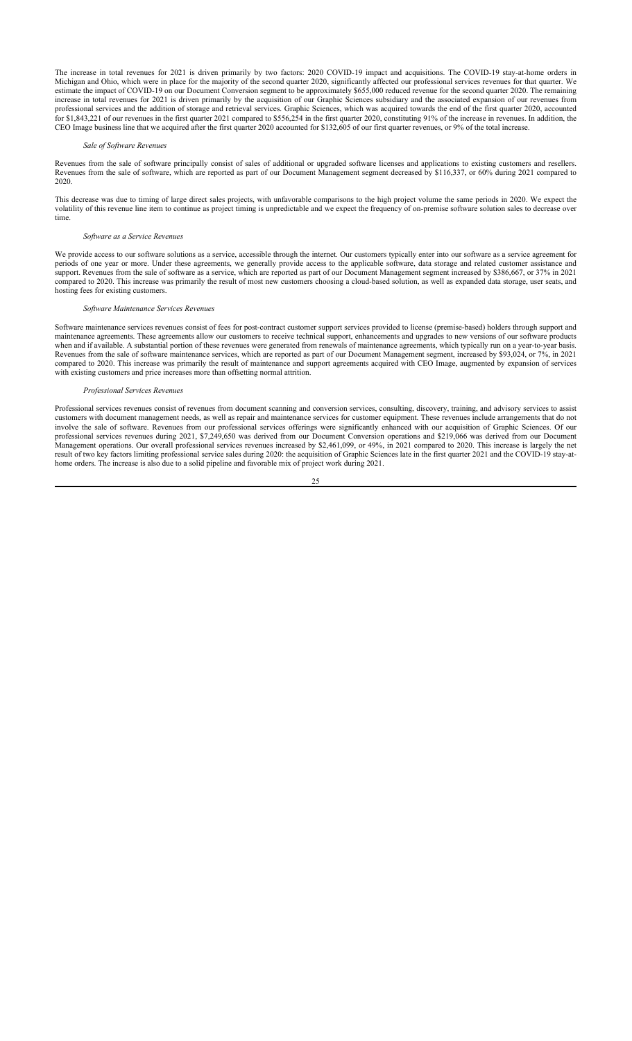The increase in total revenues for 2021 is driven primarily by two factors: 2020 COVID-19 impact and acquisitions. The COVID-19 stay-at-home orders in Michigan and Ohio, which were in place for the majority of the second quarter 2020, significantly affected our professional services revenues for that quarter. We estimate the impact of COVID-19 on our Document Conversion segment to be approximately \$655,000 reduced revenue for the second quarter 2020. The remaining increase in total revenues for 2021 is driven primarily by the acquisition of our Graphic Sciences subsidiary and the associated expansion of our revenues from professional services and the addition of storage and retrieval services. Graphic Sciences, which was acquired towards the end of the first quarter 2020, accounted for \$1,843,221 of our revenues in the first quarter 2021 compared to \$556,254 in the first quarter 2020, constituting 91% of the increase in revenues. In addition, the CEO Image business line that we acquired after the first quarter 2020 accounted for \$132,605 of our first quarter revenues, or 9% of the total increase.

#### *Sale of Software Revenues*

Revenues from the sale of software principally consist of sales of additional or upgraded software licenses and applications to existing customers and resellers. Revenues from the sale of software, which are reported as part of our Document Management segment decreased by \$116,337, or 60% during 2021 compared to 2020.

This decrease was due to timing of large direct sales projects, with unfavorable comparisons to the high project volume the same periods in 2020. We expect the volatility of this revenue line item to continue as project timing is unpredictable and we expect the frequency of on-premise software solution sales to decrease over time.

#### *Software as a Service Revenues*

We provide access to our software solutions as a service, accessible through the internet. Our customers typically enter into our software as a service agreement for periods of one year or more. Under these agreements, we generally provide access to the applicable software, data storage and related customer assistance and support. Revenues from the sale of software as a service, which are reported as part of our Document Management segment increased by \$386,667, or 37% in 2021 compared to 2020. This increase was primarily the result of most new customers choosing a cloud-based solution, as well as expanded data storage, user seats, and hosting fees for existing customers.

#### *Software Maintenance Services Revenues*

Software maintenance services revenues consist of fees for post-contract customer support services provided to license (premise-based) holders through support and maintenance agreements. These agreements allow our customers to receive technical support, enhancements and upgrades to new versions of our software products when and if available. A substantial portion of these revenues were generated from renewals of maintenance agreements, which typically run on a year-to-year basis. Revenues from the sale of software maintenance services, which are reported as part of our Document Management segment, increased by \$93,024, or 7%, in 2021 compared to 2020. This increase was primarily the result of maintenance and support agreements acquired with CEO Image, augmented by expansion of services with existing customers and price increases more than offsetting normal attrition.

#### *Professional Services Revenues*

Professional services revenues consist of revenues from document scanning and conversion services, consulting, discovery, training, and advisory services to assist customers with document management needs, as well as repair and maintenance services for customer equipment. These revenues include arrangements that do not involve the sale of software. Revenues from our professional services offerings were significantly enhanced with our acquisition of Graphic Sciences. Of our professional services revenues during 2021, \$7,249,650 was derived from our Document Conversion operations and \$219,066 was derived from our Document Management operations. Our overall professional services revenues increased by \$2,461,099, or 49%, in 2021 compared to 2020. This increase is largely the net result of two key factors limiting professional service sales during 2020: the acquisition of Graphic Sciences late in the first quarter 2021 and the COVID-19 stay-athome orders. The increase is also due to a solid pipeline and favorable mix of project work during 2021.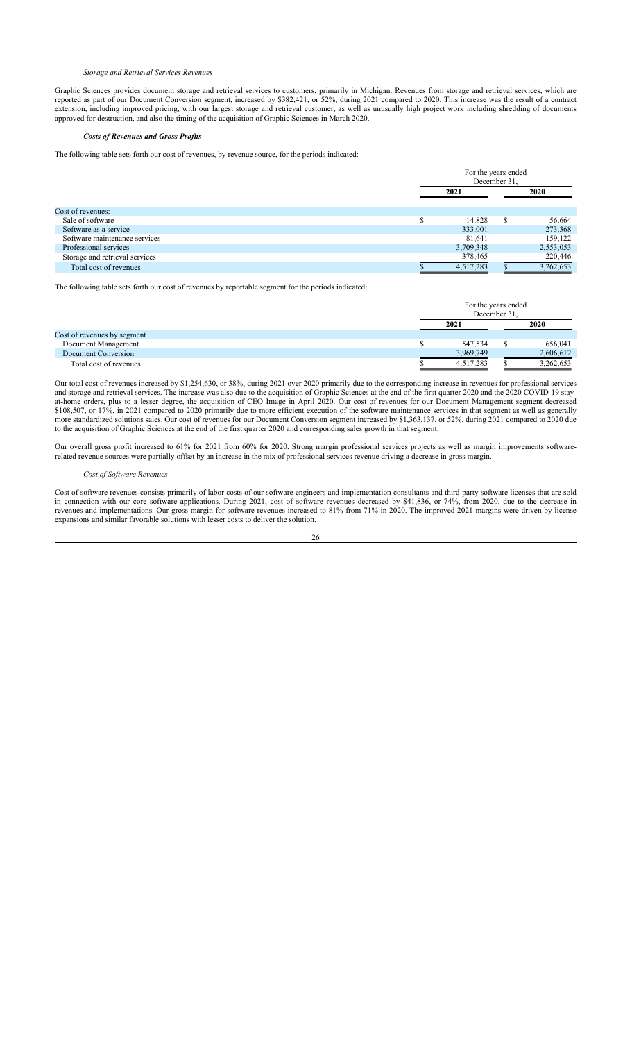## *Storage and Retrieval Services Revenues*

Graphic Sciences provides document storage and retrieval services to customers, primarily in Michigan. Revenues from storage and retrieval services, which are reported as part of our Document Conversion segment, increased by \$382,421, or 52%, during 2021 compared to 2020. This increase was the result of a contract extension, including improved pricing, with our largest storage and retrieval customer, as well as unusually high project work including shredding of documents approved for destruction, and also the timing of the acquisition of Graphic Sciences in March 2020.

## *Costs of Revenues and Gross Profits*

The following table sets forth our cost of revenues, by revenue source, for the periods indicated:

|                                | For the years ended<br>December 31. |   |           |  |
|--------------------------------|-------------------------------------|---|-----------|--|
|                                | 2021                                |   | 2020      |  |
| Cost of revenues:              |                                     |   |           |  |
| Sale of software               | 14.828                              | S | 56,664    |  |
| Software as a service          | 333,001                             |   | 273,368   |  |
| Software maintenance services  | 81.641                              |   | 159,122   |  |
| Professional services          | 3,709,348                           |   | 2,553,053 |  |
| Storage and retrieval services | 378,465                             |   | 220,446   |  |
| Total cost of revenues         | 4,517,283                           |   | 3,262,653 |  |

The following table sets forth our cost of revenues by reportable segment for the periods indicated:

|                             | For the years ended<br>December 31. |  |           |
|-----------------------------|-------------------------------------|--|-----------|
|                             | 2021                                |  | 2020      |
| Cost of revenues by segment |                                     |  |           |
| Document Management         | 547.534                             |  | 656,041   |
| Document Conversion         | 3,969,749                           |  | 2,606,612 |
| Total cost of revenues      | 4,517,283                           |  | 3,262,653 |

Our total cost of revenues increased by \$1,254,630, or 38%, during 2021 over 2020 primarily due to the corresponding increase in revenues for professional services and storage and retrieval services. The increase was also due to the acquisition of Graphic Sciences at the end of the first quarter 2020 and the 2020 COVID-19 stayat-home orders, plus to a lesser degree, the acquisition of CEO Image in April 2020. Our cost of revenues for our Document Management segment decreased \$108,507, or 17%, in 2021 compared to 2020 primarily due to more efficient execution of the software maintenance services in that segment as well as generally more standardized solutions sales. Our cost of revenues for our Document Conversion segment increased by \$1,363,137, or 52%, during 2021 compared to 2020 due to the acquisition of Graphic Sciences at the end of the first quarter 2020 and corresponding sales growth in that segment.

Our overall gross profit increased to 61% for 2021 from 60% for 2020. Strong margin professional services projects as well as margin improvements softwarerelated revenue sources were partially offset by an increase in the mix of professional services revenue driving a decrease in gross margin.

### *Cost of Software Revenues*

Cost of software revenues consists primarily of labor costs of our software engineers and implementation consultants and third-party software licenses that are sold in connection with our core software applications. During 2021, cost of software revenues decreased by \$41,836, or 74%, from 2020, due to the decrease in revenues and implementations. Our gross margin for software revenues increased to 81% from 71% in 2020. The improved 2021 margins were driven by license expansions and similar favorable solutions with lesser costs to deliver the solution.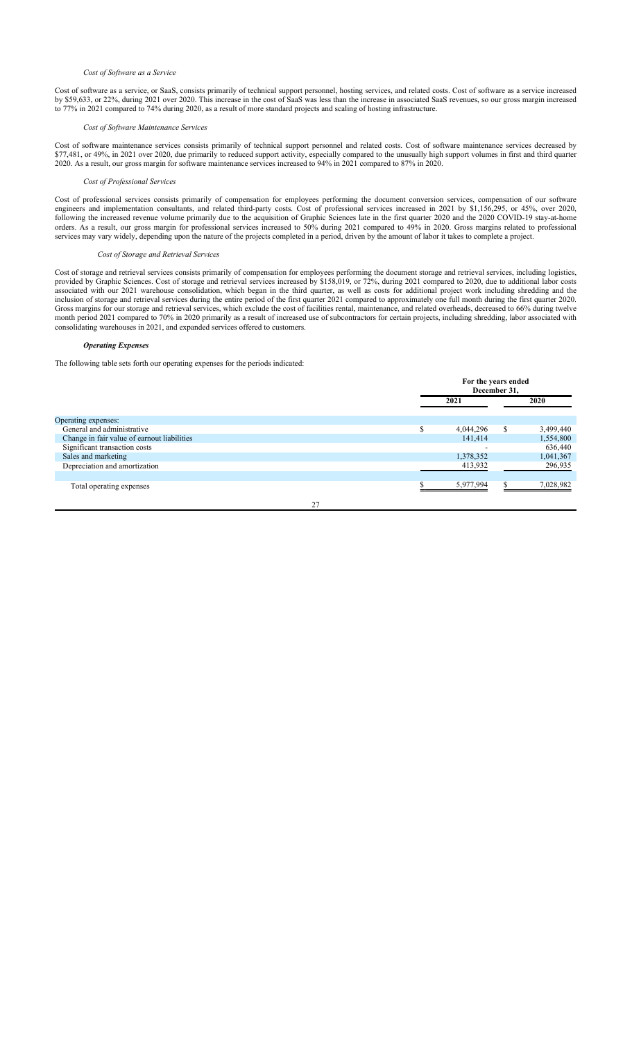#### *Cost of Software as a Service*

Cost of software as a service, or SaaS, consists primarily of technical support personnel, hosting services, and related costs. Cost of software as a service increased by \$59,633, or 22%, during 2021 over 2020. This increase in the cost of SaaS was less than the increase in associated SaaS revenues, so our gross margin increased to 77% in 2021 compared to 74% during 2020, as a result of more standard projects and scaling of hosting infrastructure.

### *Cost of Software Maintenance Services*

Cost of software maintenance services consists primarily of technical support personnel and related costs. Cost of software maintenance services decreased by \$77,481, or 49%, in 2021 over 2020, due primarily to reduced support activity, especially compared to the unusually high support volumes in first and third quarter 2020. As a result, our gross margin for software maintenance services increased to 94% in 2021 compared to 87% in 2020.

#### *Cost of Professional Services*

Cost of professional services consists primarily of compensation for employees performing the document conversion services, compensation of our software engineers and implementation consultants, and related third-party costs. Cost of professional services increased in 2021 by \$1,156,295, or 45%, over 2020, following the increased revenue volume primarily due to the acquisition of Graphic Sciences late in the first quarter 2020 and the 2020 COVID-19 stay-at-home orders. As a result, our gross margin for professional services increased to 50% during 2021 compared to 49% in 2020. Gross margins related to professional services may vary widely, depending upon the nature of the projects completed in a period, driven by the amount of labor it takes to complete a project.

## *Cost of Storage and Retrieval Services*

Cost of storage and retrieval services consists primarily of compensation for employees performing the document storage and retrieval services, including logistics, provided by Graphic Sciences. Cost of storage and retrieval services increased by \$158,019, or 72%, during 2021 compared to 2020, due to additional labor costs associated with our 2021 warehouse consolidation, which began in the third quarter, as well as costs for additional project work including shredding and the inclusion of storage and retrieval services during the entire period of the first quarter 2021 compared to approximately one full month during the first quarter 2020. Gross margins for our storage and retrieval services, which exclude the cost of facilities rental, maintenance, and related overheads, decreased to 66% during twelve month period 2021 compared to 70% in 2020 primarily as a result of increased use of subcontractors for certain projects, including shredding, labor associated with consolidating warehouses in 2021, and expanded services offered to customers.

## *Operating Expenses*

The following table sets forth our operating expenses for the periods indicated:

|                                             |   | For the years ended<br>December 31, |   |           |
|---------------------------------------------|---|-------------------------------------|---|-----------|
|                                             |   | 2021                                |   | 2020      |
| Operating expenses:                         |   |                                     |   |           |
| General and administrative                  | Φ | 4,044,296                           | S | 3,499,440 |
| Change in fair value of earnout liabilities |   | 141,414                             |   | 1,554,800 |
| Significant transaction costs               |   |                                     |   | 636,440   |
| Sales and marketing                         |   | 1,378,352                           |   | 1,041,367 |
| Depreciation and amortization               |   | 413,932                             |   | 296,935   |
|                                             |   |                                     |   |           |
| Total operating expenses                    |   | 5,977,994                           |   | 7,028,982 |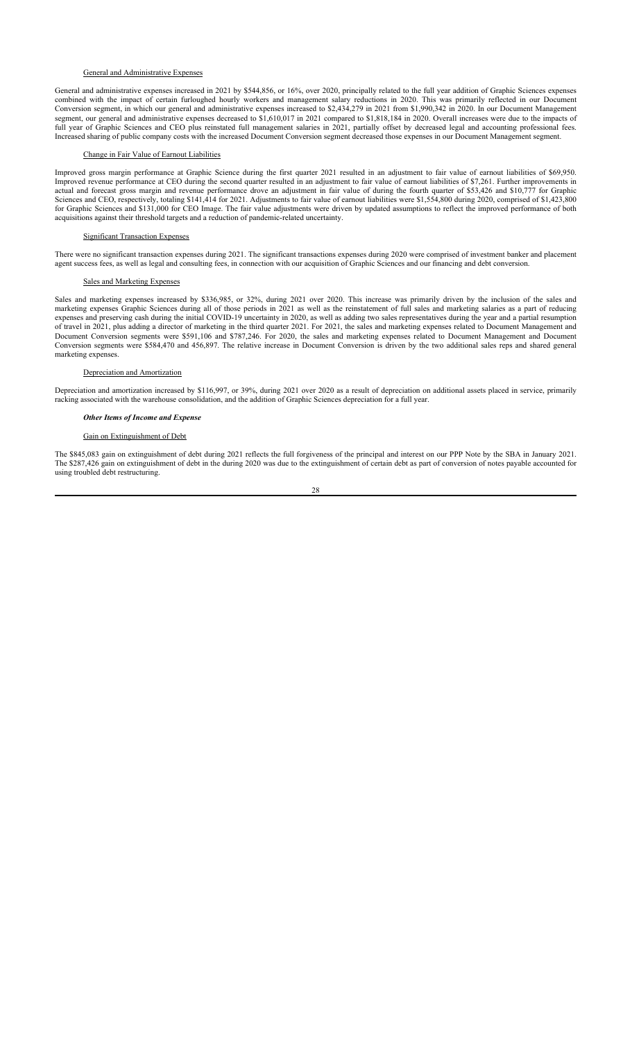### General and Administrative Expenses

General and administrative expenses increased in 2021 by \$544,856, or 16%, over 2020, principally related to the full year addition of Graphic Sciences expenses combined with the impact of certain furloughed hourly workers and management salary reductions in 2020. This was primarily reflected in our Document Conversion segment, in which our general and administrative expenses increased to \$2,434,279 in 2021 from \$1,990,342 in 2020. In our Document Management segment, our general and administrative expenses decreased to \$1,610,017 in 2021 compared to \$1,818,184 in 2020. Overall increases were due to the impacts of full year of Graphic Sciences and CEO plus reinstated full management salaries in 2021, partially offset by decreased legal and accounting professional fees. Increased sharing of public company costs with the increased Document Conversion segment decreased those expenses in our Document Management segment.

### Change in Fair Value of Earnout Liabilities

Improved gross margin performance at Graphic Science during the first quarter 2021 resulted in an adjustment to fair value of earnout liabilities of \$69,950. Improved revenue performance at CEO during the second quarter resulted in an adjustment to fair value of earnout liabilities of \$7,261. Further improvements in actual and forecast gross margin and revenue performance drove an adjustment in fair value of during the fourth quarter of \$53,426 and \$10,777 for Graphic Sciences and CEO, respectively, totaling \$141,414 for 2021. Adjustments to fair value of earnout liabilities were \$1,554,800 during 2020, comprised of \$1,423,800 for Graphic Sciences and \$131,000 for CEO Image. The fair value adjustments were driven by updated assumptions to reflect the improved performance of both acquisitions against their threshold targets and a reduction of pandemic-related uncertainty.

#### Significant Transaction Expenses

There were no significant transaction expenses during 2021. The significant transactions expenses during 2020 were comprised of investment banker and placement agent success fees, as well as legal and consulting fees, in connection with our acquisition of Graphic Sciences and our financing and debt conversion.

## Sales and Marketing Expenses

Sales and marketing expenses increased by \$336,985, or 32%, during 2021 over 2020. This increase was primarily driven by the inclusion of the sales and marketing expenses Graphic Sciences during all of those periods in 2021 as well as the reinstatement of full sales and marketing salaries as a part of reducing expenses and preserving cash during the initial COVID-19 uncertainty in 2020, as well as adding two sales representatives during the year and a partial resumption of travel in 2021, plus adding a director of marketing in the third quarter 2021. For 2021, the sales and marketing expenses related to Document Management and Document Conversion segments were \$591,106 and \$787,246. For 2020, the sales and marketing expenses related to Document Management and Document Conversion segments were \$584,470 and 456,897. The relative increase in Document Conversion is driven by the two additional sales reps and shared general marketing expenses.

#### Depreciation and Amortization

Depreciation and amortization increased by \$116,997, or 39%, during 2021 over 2020 as a result of depreciation on additional assets placed in service, primarily racking associated with the warehouse consolidation, and the addition of Graphic Sciences depreciation for a full year.

#### *Other Items of Income and Expense*

## Gain on Extinguishment of Debt

The \$845,083 gain on extinguishment of debt during 2021 reflects the full forgiveness of the principal and interest on our PPP Note by the SBA in January 2021. The \$287,426 gain on extinguishment of debt in the during 2020 was due to the extinguishment of certain debt as part of conversion of notes payable accounted for using troubled debt restructuring.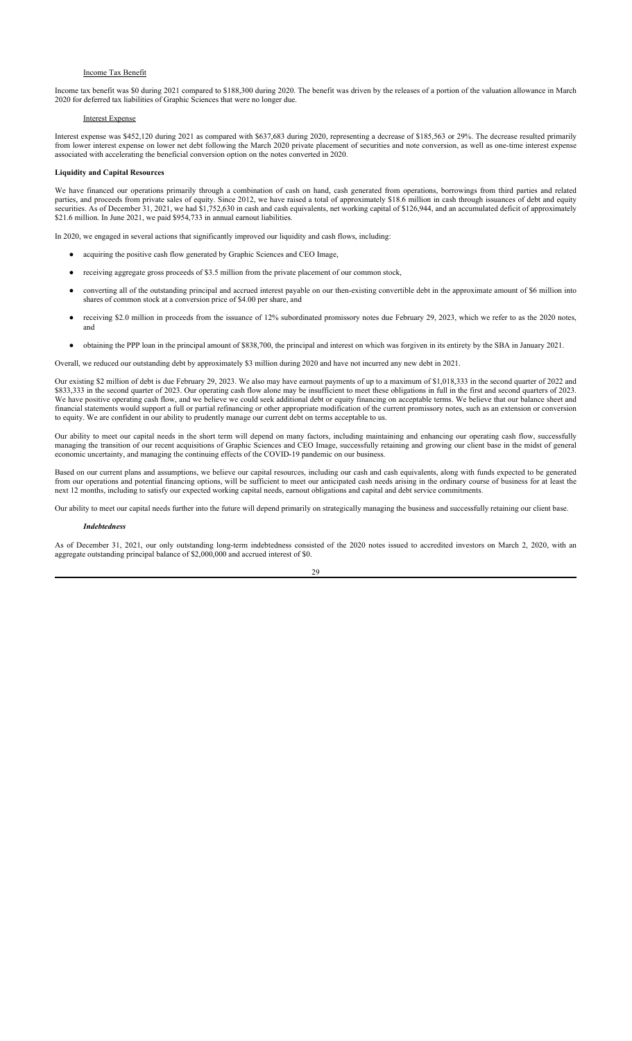## Income Tax Benefit

Income tax benefit was \$0 during 2021 compared to \$188,300 during 2020. The benefit was driven by the releases of a portion of the valuation allowance in March 2020 for deferred tax liabilities of Graphic Sciences that were no longer due.

#### Interest Expense

Interest expense was \$452,120 during 2021 as compared with \$637,683 during 2020, representing a decrease of \$185,563 or 29%. The decrease resulted primarily from lower interest expense on lower net debt following the March 2020 private placement of securities and note conversion, as well as one-time interest expense associated with accelerating the beneficial conversion option on the notes converted in 2020.

### **Liquidity and Capital Resources**

We have financed our operations primarily through a combination of cash on hand, cash generated from operations, borrowings from third parties and related parties, and proceeds from private sales of equity. Since 2012, we have raised a total of approximately \$18.6 million in cash through issuances of debt and equity securities. As of December 31, 2021, we had \$1,752,630 in cash and cash equivalents, net working capital of \$126,944, and an accumulated deficit of approximately \$21.6 million. In June 2021, we paid \$954,733 in annual earnout liabilities.

In 2020, we engaged in several actions that significantly improved our liquidity and cash flows, including:

- acquiring the positive cash flow generated by Graphic Sciences and CEO Image,
- receiving aggregate gross proceeds of \$3.5 million from the private placement of our common stock,
- converting all of the outstanding principal and accrued interest payable on our then-existing convertible debt in the approximate amount of \$6 million into shares of common stock at a conversion price of \$4.00 per share, and
- receiving \$2.0 million in proceeds from the issuance of 12% subordinated promissory notes due February 29, 2023, which we refer to as the 2020 notes, and
- obtaining the PPP loan in the principal amount of \$838,700, the principal and interest on which was forgiven in its entirety by the SBA in January 2021.

Overall, we reduced our outstanding debt by approximately \$3 million during 2020 and have not incurred any new debt in 2021.

Our existing \$2 million of debt is due February 29, 2023. We also may have earnout payments of up to a maximum of \$1,018,333 in the second quarter of 2022 and \$833,333 in the second quarter of 2023. Our operating cash flow alone may be insufficient to meet these obligations in full in the first and second quarters of 2023. We have positive operating cash flow, and we believe we could seek additional debt or equity financing on acceptable terms. We believe that our balance sheet and financial statements would support a full or partial refinancing or other appropriate modification of the current promissory notes, such as an extension or conversion to equity. We are confident in our ability to prudently manage our current debt on terms acceptable to us.

Our ability to meet our capital needs in the short term will depend on many factors, including maintaining and enhancing our operating cash flow, successfully managing the transition of our recent acquisitions of Graphic Sciences and CEO Image, successfully retaining and growing our client base in the midst of general economic uncertainty, and managing the continuing effects of the COVID-19 pandemic on our business.

Based on our current plans and assumptions, we believe our capital resources, including our cash and cash equivalents, along with funds expected to be generated from our operations and potential financing options, will be sufficient to meet our anticipated cash needs arising in the ordinary course of business for at least the next 12 months, including to satisfy our expected working capital needs, earnout obligations and capital and debt service commitments.

Our ability to meet our capital needs further into the future will depend primarily on strategically managing the business and successfully retaining our client base.

#### *Indebtedness*

As of December 31, 2021, our only outstanding long-term indebtedness consisted of the 2020 notes issued to accredited investors on March 2, 2020, with an aggregate outstanding principal balance of \$2,000,000 and accrued interest of \$0.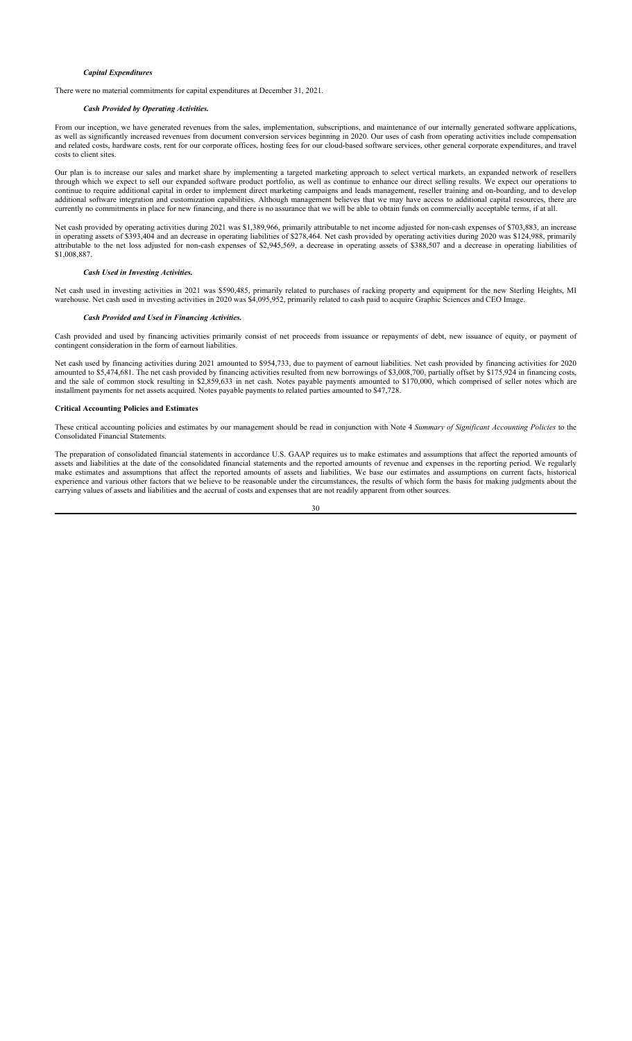### *Capital Expenditures*

There were no material commitments for capital expenditures at December 31, 2021.

#### *Cash Provided by Operating Activities.*

From our inception, we have generated revenues from the sales, implementation, subscriptions, and maintenance of our internally generated software applications, as well as significantly increased revenues from document conversion services beginning in 2020. Our uses of cash from operating activities include compensation and related costs, hardware costs, rent for our corporate offices, hosting fees for our cloud-based software services, other general corporate expenditures, and travel costs to client sites.

Our plan is to increase our sales and market share by implementing a targeted marketing approach to select vertical markets, an expanded network of resellers through which we expect to sell our expanded software product portfolio, as well as continue to enhance our direct selling results. We expect our operations to continue to require additional capital in order to implement direct marketing campaigns and leads management, reseller training and on-boarding, and to develop additional software integration and customization capabilities. Although management believes that we may have access to additional capital resources, there are currently no commitments in place for new financing, and there is no assurance that we will be able to obtain funds on commercially acceptable terms, if at all.

Net cash provided by operating activities during 2021 was \$1,389,966, primarily attributable to net income adjusted for non-cash expenses of \$703,883, an increase in operating assets of \$393,404 and an decrease in operating liabilities of \$278,464. Net cash provided by operating activities during 2020 was \$124,988, primarily attributable to the net loss adjusted for non-cash expenses of \$2,945,569, a decrease in operating assets of \$388,507 and a decrease in operating liabilities of \$1,008,887.

#### *Cash Used in Investing Activities.*

Net cash used in investing activities in 2021 was \$590,485, primarily related to purchases of racking property and equipment for the new Sterling Heights, MI warehouse. Net cash used in investing activities in 2020 was \$4,095,952, primarily related to cash paid to acquire Graphic Sciences and CEO Image.

#### *Cash Provided and Used in Financing Activities.*

Cash provided and used by financing activities primarily consist of net proceeds from issuance or repayments of debt, new issuance of equity, or payment of contingent consideration in the form of earnout liabilities.

Net cash used by financing activities during 2021 amounted to \$954,733, due to payment of earnout liabilities. Net cash provided by financing activities for 2020 amounted to \$5,474,681. The net cash provided by financing activities resulted from new borrowings of \$3,008,700, partially offset by \$175,924 in financing costs, and the sale of common stock resulting in \$2,859,633 in net cash. Notes payable payments amounted to \$170,000, which comprised of seller notes which are installment payments for net assets acquired. Notes payable payments to related parties amounted to \$47,728.

## **Critical Accounting Policies and Estimates**

These critical accounting policies and estimates by our management should be read in conjunction with Note 4 *Summary of Significant Accounting Policies* to the Consolidated Financial Statements.

The preparation of consolidated financial statements in accordance U.S. GAAP requires us to make estimates and assumptions that affect the reported amounts of assets and liabilities at the date of the consolidated financial statements and the reported amounts of revenue and expenses in the reporting period. We regularly make estimates and assumptions that affect the reported amounts of assets and liabilities. We base our estimates and assumptions on current facts, historical experience and various other factors that we believe to be reasonable under the circumstances, the results of which form the basis for making judgments about the carrying values of assets and liabilities and the accrual of costs and expenses that are not readily apparent from other sources.

$$
30\quad
$$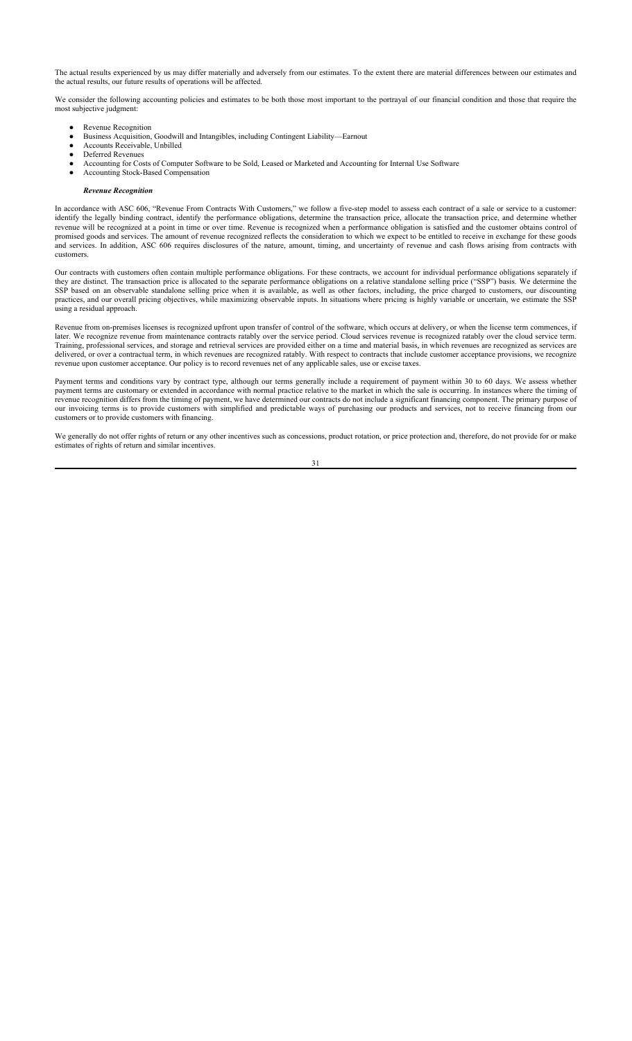The actual results experienced by us may differ materially and adversely from our estimates. To the extent there are material differences between our estimates and the actual results, our future results of operations will be affected.

We consider the following accounting policies and estimates to be both those most important to the portrayal of our financial condition and those that require the most subjective judgment:

- Revenue Recognition
- Business Acquisition, Goodwill and Intangibles, including Contingent Liability—Earnout
- Accounts Receivable, Unbilled
- Deferred Revenues
- Accounting for Costs of Computer Software to be Sold, Leased or Marketed and Accounting for Internal Use Software
- Accounting Stock-Based Compensation

## *Revenue Recognition*

In accordance with ASC 606, "Revenue From Contracts With Customers," we follow a five-step model to assess each contract of a sale or service to a customer: identify the legally binding contract, identify the performance obligations, determine the transaction price, allocate the transaction price, and determine whether revenue will be recognized at a point in time or over time. Revenue is recognized when a performance obligation is satisfied and the customer obtains control of promised goods and services. The amount of revenue recognized reflects the consideration to which we expect to be entitled to receive in exchange for these goods and services. In addition, ASC 606 requires disclosures of the nature, amount, timing, and uncertainty of revenue and cash flows arising from contracts with customers.

Our contracts with customers often contain multiple performance obligations. For these contracts, we account for individual performance obligations separately if they are distinct. The transaction price is allocated to the separate performance obligations on a relative standalone selling price ("SSP") basis. We determine the SSP based on an observable standalone selling price when it is available, as well as other factors, including, the price charged to customers, our discounting practices, and our overall pricing objectives, while maximizing observable inputs. In situations where pricing is highly variable or uncertain, we estimate the SSP using a residual approach.

Revenue from on-premises licenses is recognized upfront upon transfer of control of the software, which occurs at delivery, or when the license term commences, if later. We recognize revenue from maintenance contracts ratably over the service period. Cloud services revenue is recognized ratably over the cloud service term. Training, professional services, and storage and retrieval services are provided either on a time and material basis, in which revenues are recognized as services are delivered, or over a contractual term, in which revenues are recognized ratably. With respect to contracts that include customer acceptance provisions, we recognize revenue upon customer acceptance. Our policy is to record revenues net of any applicable sales, use or excise taxes.

Payment terms and conditions vary by contract type, although our terms generally include a requirement of payment within 30 to 60 days. We assess whether payment terms are customary or extended in accordance with normal practice relative to the market in which the sale is occurring. In instances where the timing of revenue recognition differs from the timing of payment, we have determined our contracts do not include a significant financing component. The primary purpose of our invoicing terms is to provide customers with simplified and predictable ways of purchasing our products and services, not to receive financing from our customers or to provide customers with financing.

We generally do not offer rights of return or any other incentives such as concessions, product rotation, or price protection and, therefore, do not provide for or make estimates of rights of return and similar incentives.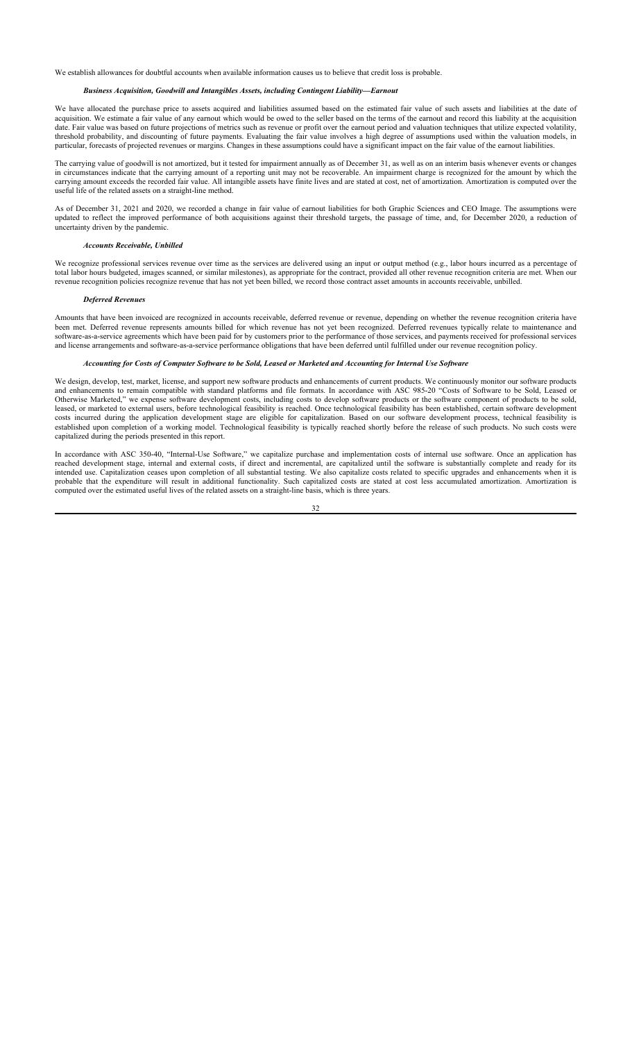We establish allowances for doubtful accounts when available information causes us to believe that credit loss is probable.

#### *Business Acquisition, Goodwill and Intangibles Assets, including Contingent Liability—Earnout*

We have allocated the purchase price to assets acquired and liabilities assumed based on the estimated fair value of such assets and liabilities at the date of acquisition. We estimate a fair value of any earnout which would be owed to the seller based on the terms of the earnout and record this liability at the acquisition date. Fair value was based on future projections of metrics such as revenue or profit over the earnout period and valuation techniques that utilize expected volatility, threshold probability, and discounting of future payments. Evaluating the fair value involves a high degree of assumptions used within the valuation models, in particular, forecasts of projected revenues or margins. Changes in these assumptions could have a significant impact on the fair value of the earnout liabilities.

The carrying value of goodwill is not amortized, but it tested for impairment annually as of December 31, as well as on an interim basis whenever events or changes in circumstances indicate that the carrying amount of a reporting unit may not be recoverable. An impairment charge is recognized for the amount by which the carrying amount exceeds the recorded fair value. All intangible assets have finite lives and are stated at cost, net of amortization. Amortization is computed over the useful life of the related assets on a straight-line method.

As of December 31, 2021 and 2020, we recorded a change in fair value of earnout liabilities for both Graphic Sciences and CEO Image. The assumptions were updated to reflect the improved performance of both acquisitions against their threshold targets, the passage of time, and, for December 2020, a reduction of uncertainty driven by the pandemic.

#### *Accounts Receivable, Unbilled*

We recognize professional services revenue over time as the services are delivered using an input or output method (e.g., labor hours incurred as a percentage of total labor hours budgeted, images scanned, or similar milestones), as appropriate for the contract, provided all other revenue recognition criteria are met. When our revenue recognition policies recognize revenue that has not yet been billed, we record those contract asset amounts in accounts receivable, unbilled.

#### *Deferred Revenues*

Amounts that have been invoiced are recognized in accounts receivable, deferred revenue or revenue, depending on whether the revenue recognition criteria have been met. Deferred revenue represents amounts billed for which revenue has not yet been recognized. Deferred revenues typically relate to maintenance and software-as-a-service agreements which have been paid for by customers prior to the performance of those services, and payments received for professional services and license arrangements and software-as-a-service performance obligations that have been deferred until fulfilled under our revenue recognition policy.

## *Accounting for Costs of Computer Software to be Sold, Leased or Marketed and Accounting for Internal Use Software*

We design, develop, test, market, license, and support new software products and enhancements of current products. We continuously monitor our software products and enhancements to remain compatible with standard platforms and file formats. In accordance with ASC 985-20 "Costs of Software to be Sold, Leased or Otherwise Marketed," we expense software development costs, including costs to develop software products or the software component of products to be sold, leased, or marketed to external users, before technological feasibility is reached. Once technological feasibility has been established, certain software development costs incurred during the application development stage are eligible for capitalization. Based on our software development process, technical feasibility is established upon completion of a working model. Technological feasibility is typically reached shortly before the release of such products. No such costs were capitalized during the periods presented in this report.

In accordance with ASC 350-40, "Internal-Use Software," we capitalize purchase and implementation costs of internal use software. Once an application has reached development stage, internal and external costs, if direct and incremental, are capitalized until the software is substantially complete and ready for its intended use. Capitalization ceases upon completion of all substantial testing. We also capitalize costs related to specific upgrades and enhancements when it is probable that the expenditure will result in additional functionality. Such capitalized costs are stated at cost less accumulated amortization. Amortization is computed over the estimated useful lives of the related assets on a straight-line basis, which is three years.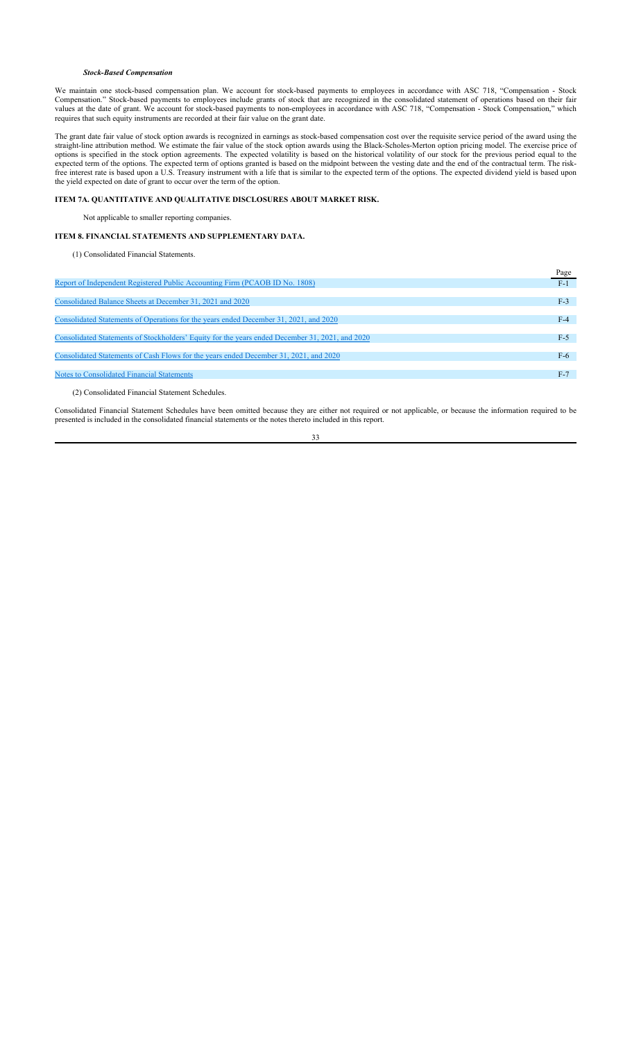## *Stock-Based Compensation*

We maintain one stock-based compensation plan. We account for stock-based payments to employees in accordance with ASC 718, "Compensation - Stock Compensation." Stock-based payments to employees include grants of stock that are recognized in the consolidated statement of operations based on their fair values at the date of grant. We account for stock-based payments to non-employees in accordance with ASC 718, "Compensation - Stock Compensation," which requires that such equity instruments are recorded at their fair value on the grant date.

The grant date fair value of stock option awards is recognized in earnings as stock-based compensation cost over the requisite service period of the award using the straight-line attribution method. We estimate the fair value of the stock option awards using the Black-Scholes-Merton option pricing model. The exercise price of options is specified in the stock option agreements. The expected volatility is based on the historical volatility of our stock for the previous period equal to the expected term of the options. The expected term of options granted is based on the midpoint between the vesting date and the end of the contractual term. The riskfree interest rate is based upon a U.S. Treasury instrument with a life that is similar to the expected term of the options. The expected dividend yield is based upon the yield expected on date of grant to occur over the term of the option.

## **ITEM 7A. QUANTITATIVE AND QUALITATIVE DISCLOSURES ABOUT MARKET RISK.**

Not applicable to smaller reporting companies.

## **ITEM 8. FINANCIAL STATEMENTS AND SUPPLEMENTARY DATA.**

(1) Consolidated Financial Statements.

|                                                                                                 | Page  |
|-------------------------------------------------------------------------------------------------|-------|
| Report of Independent Registered Public Accounting Firm (PCAOB ID No. 1808)                     | $F-1$ |
|                                                                                                 |       |
| Consolidated Balance Sheets at December 31, 2021 and 2020                                       | $F-3$ |
|                                                                                                 |       |
| Consolidated Statements of Operations for the years ended December 31, 2021, and 2020           | $F-4$ |
|                                                                                                 |       |
| Consolidated Statements of Stockholders' Equity for the years ended December 31, 2021, and 2020 | $F-5$ |
|                                                                                                 |       |
| Consolidated Statements of Cash Flows for the years ended December 31, 2021, and 2020           | $F-6$ |
|                                                                                                 |       |
| <b>Notes to Consolidated Financial Statements</b>                                               | $F-7$ |
|                                                                                                 |       |
|                                                                                                 |       |

(2) Consolidated Financial Statement Schedules.

Consolidated Financial Statement Schedules have been omitted because they are either not required or not applicable, or because the information required to be presented is included in the consolidated financial statements or the notes thereto included in this report.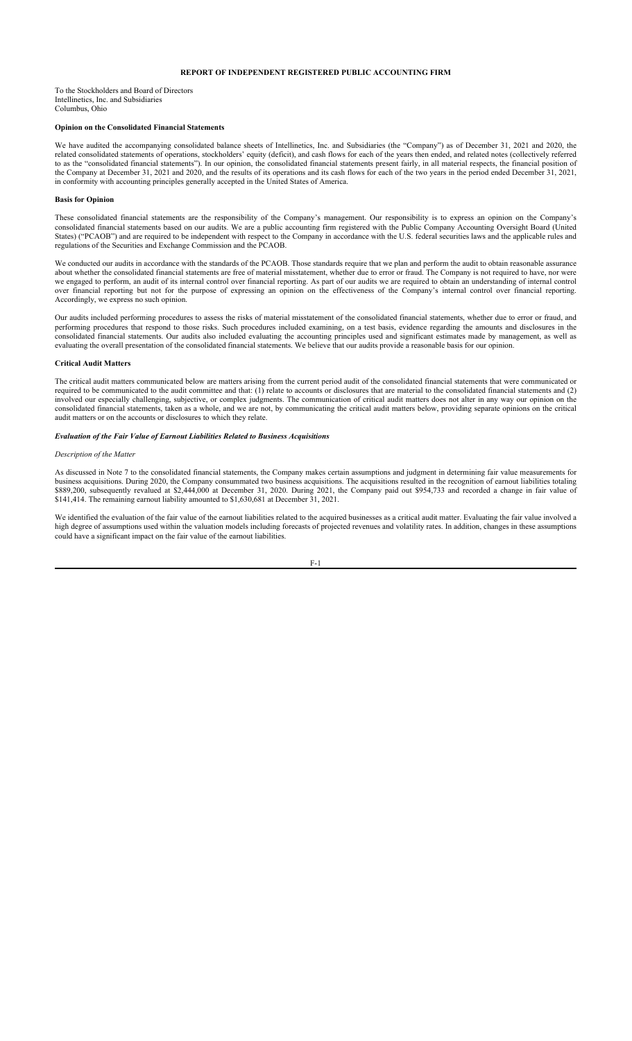## **REPORT OF INDEPENDENT REGISTERED PUBLIC ACCOUNTING FIRM**

To the Stockholders and Board of Directors Intellinetics, Inc. and Subsidiaries Columbus, Ohio

### **Opinion on the Consolidated Financial Statements**

We have audited the accompanying consolidated balance sheets of Intellinetics, Inc. and Subsidiaries (the "Company") as of December 31, 2021 and 2020, the related consolidated statements of operations, stockholders' equity (deficit), and cash flows for each of the years then ended, and related notes (collectively referred to as the "consolidated financial statements"). In our opinion, the consolidated financial statements present fairly, in all material respects, the financial position of the Company at December 31, 2021 and 2020, and the results of its operations and its cash flows for each of the two years in the period ended December 31, 2021, in conformity with accounting principles generally accepted in the United States of America.

#### **Basis for Opinion**

These consolidated financial statements are the responsibility of the Company's management. Our responsibility is to express an opinion on the Company's consolidated financial statements based on our audits. We are a public accounting firm registered with the Public Company Accounting Oversight Board (United States) ("PCAOB") and are required to be independent with respect to the Company in accordance with the U.S. federal securities laws and the applicable rules and regulations of the Securities and Exchange Commission and the PCAOB.

We conducted our audits in accordance with the standards of the PCAOB. Those standards require that we plan and perform the audit to obtain reasonable assurance about whether the consolidated financial statements are free of material misstatement, whether due to error or fraud. The Company is not required to have, nor were we engaged to perform, an audit of its internal control over financial reporting. As part of our audits we are required to obtain an understanding of internal control over financial reporting but not for the purpose of expressing an opinion on the effectiveness of the Company's internal control over financial reporting. Accordingly, we express no such opinion.

Our audits included performing procedures to assess the risks of material misstatement of the consolidated financial statements, whether due to error or fraud, and performing procedures that respond to those risks. Such procedures included examining, on a test basis, evidence regarding the amounts and disclosures in the consolidated financial statements. Our audits also included evaluating the accounting principles used and significant estimates made by management, as well as evaluating the overall presentation of the consolidated financial statements. We believe that our audits provide a reasonable basis for our opinion.

## **Critical Audit Matters**

The critical audit matters communicated below are matters arising from the current period audit of the consolidated financial statements that were communicated or required to be communicated to the audit committee and that: (1) relate to accounts or disclosures that are material to the consolidated financial statements and (2) involved our especially challenging, subjective, or complex judgments. The communication of critical audit matters does not alter in any way our opinion on the consolidated financial statements, taken as a whole, and we are not, by communicating the critical audit matters below, providing separate opinions on the critical audit matters or on the accounts or disclosures to which they relate.

### *Evaluation of the Fair Value of Earnout Liabilities Related to Business Acquisitions*

### *Description of the Matter*

As discussed in Note 7 to the consolidated financial statements, the Company makes certain assumptions and judgment in determining fair value measurements for business acquisitions. During 2020, the Company consummated two business acquisitions. The acquisitions resulted in the recognition of earnout liabilities totaling \$889,200, subsequently revalued at \$2,444,000 at December 31, 2020. During 2021, the Company paid out \$954,733 and recorded a change in fair value of \$141,414. The remaining earnout liability amounted to \$1,630,681 at December 31, 2021.

We identified the evaluation of the fair value of the earnout liabilities related to the acquired businesses as a critical audit matter. Evaluating the fair value involved a high degree of assumptions used within the valuation models including forecasts of projected revenues and volatility rates. In addition, changes in these assumptions could have a significant impact on the fair value of the earnout liabilities.

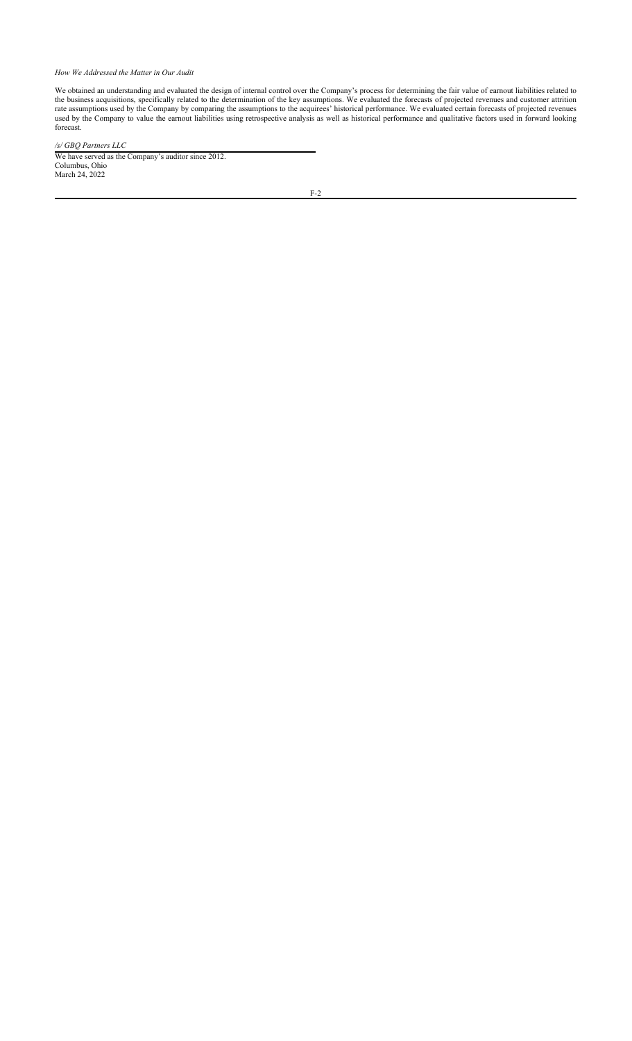## *How We Addressed the Matter in Our Audit*

We obtained an understanding and evaluated the design of internal control over the Company's process for determining the fair value of earnout liabilities related to the business acquisitions, specifically related to the determination of the key assumptions. We evaluated the forecasts of projected revenues and customer attrition rate assumptions used by the Company by comparing the assumptions to the acquirees' historical performance. We evaluated certain forecasts of projected revenues used by the Company to value the earnout liabilities using retrospective analysis as well as historical performance and qualitative factors used in forward looking forecast.

## */s/ GBQ Partners LLC*

We have served as the Company's auditor since 2012. Columbus, Ohio March 24, 2022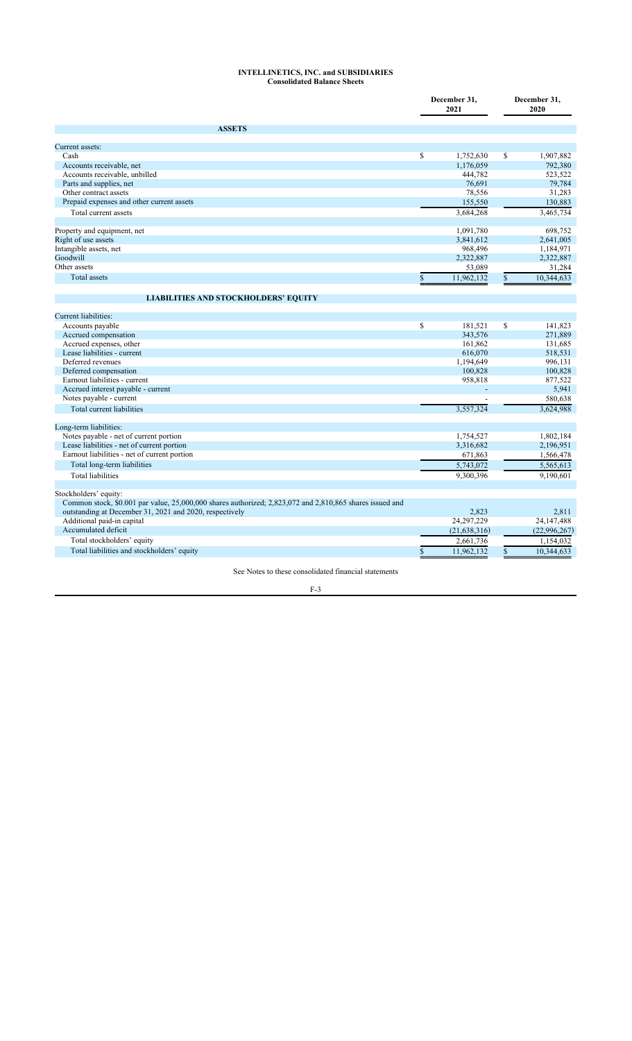### **INTELLINETICS, INC. and SUBSIDIARIES Consolidated Balance Sheets**

|                                                                                                          | December 31,<br>2021 | December 31,<br>2020 |                |
|----------------------------------------------------------------------------------------------------------|----------------------|----------------------|----------------|
| <b>ASSETS</b>                                                                                            |                      |                      |                |
| Current assets:                                                                                          |                      |                      |                |
| Cash                                                                                                     | \$<br>1,752,630      | \$                   | 1,907,882      |
| Accounts receivable, net                                                                                 | 1,176,059            |                      | 792,380        |
| Accounts receivable, unbilled                                                                            | 444,782              |                      | 523,522        |
| Parts and supplies, net                                                                                  | 76,691               |                      | 79,784         |
| Other contract assets                                                                                    | 78,556               |                      | 31,283         |
| Prepaid expenses and other current assets                                                                | 155,550              |                      | 130,883        |
| Total current assets                                                                                     | 3,684,268            |                      | 3,465,734      |
| Property and equipment, net                                                                              | 1,091,780            |                      | 698,752        |
| Right of use assets                                                                                      | 3,841,612            |                      | 2,641,005      |
| Intangible assets, net                                                                                   | 968,496              |                      | 1,184,971      |
| Goodwill                                                                                                 | 2,322,887            |                      | 2,322,887      |
| Other assets                                                                                             | 53,089               |                      | 31,284         |
| Total assets                                                                                             | \$<br>11,962,132     | \$                   | 10,344,633     |
| <b>LIABILITIES AND STOCKHOLDERS' EQUITY</b>                                                              |                      |                      |                |
| Current liabilities:                                                                                     |                      |                      |                |
| Accounts payable                                                                                         | \$<br>181,521        | \$                   | 141,823        |
| Accrued compensation                                                                                     | 343,576              |                      | 271,889        |
| Accrued expenses, other                                                                                  | 161,862              |                      | 131,685        |
| Lease liabilities - current                                                                              | 616,070              |                      | 518,531        |
| Deferred revenues                                                                                        | 1,194,649            |                      | 996,131        |
| Deferred compensation                                                                                    | 100,828              |                      | 100,828        |
| Earnout liabilities - current                                                                            | 958,818              |                      | 877,522        |
| Accrued interest payable - current                                                                       |                      |                      | 5,941          |
| Notes payable - current                                                                                  |                      |                      | 580,638        |
| Total current liabilities                                                                                | 3,557,324            |                      | 3,624,988      |
| Long-term liabilities:                                                                                   |                      |                      |                |
| Notes payable - net of current portion                                                                   | 1,754,527            |                      | 1,802,184      |
| Lease liabilities - net of current portion                                                               | 3,316,682            |                      | 2,196,951      |
| Earnout liabilities - net of current portion                                                             | 671,863              |                      | 1,566,478      |
| Total long-term liabilities                                                                              | 5,743,072            |                      | 5,565,613      |
| <b>Total liabilities</b>                                                                                 | 9,300,396            |                      | 9,190,601      |
| Stockholders' equity:                                                                                    |                      |                      |                |
| Common stock, \$0.001 par value, 25,000,000 shares authorized; 2,823,072 and 2,810,865 shares issued and |                      |                      |                |
| outstanding at December 31, 2021 and 2020, respectively                                                  | 2,823                |                      | 2.811          |
| Additional paid-in capital                                                                               | 24, 297, 229         |                      | 24,147,488     |
| Accumulated deficit                                                                                      | (21, 638, 316)       |                      | (22, 996, 267) |
| Total stockholders' equity                                                                               | 2,661,736            |                      | 1,154,032      |
| Total liabilities and stockholders' equity                                                               | \$<br>11,962,132     | \$                   | 10,344,633     |

See Notes to these consolidated financial statements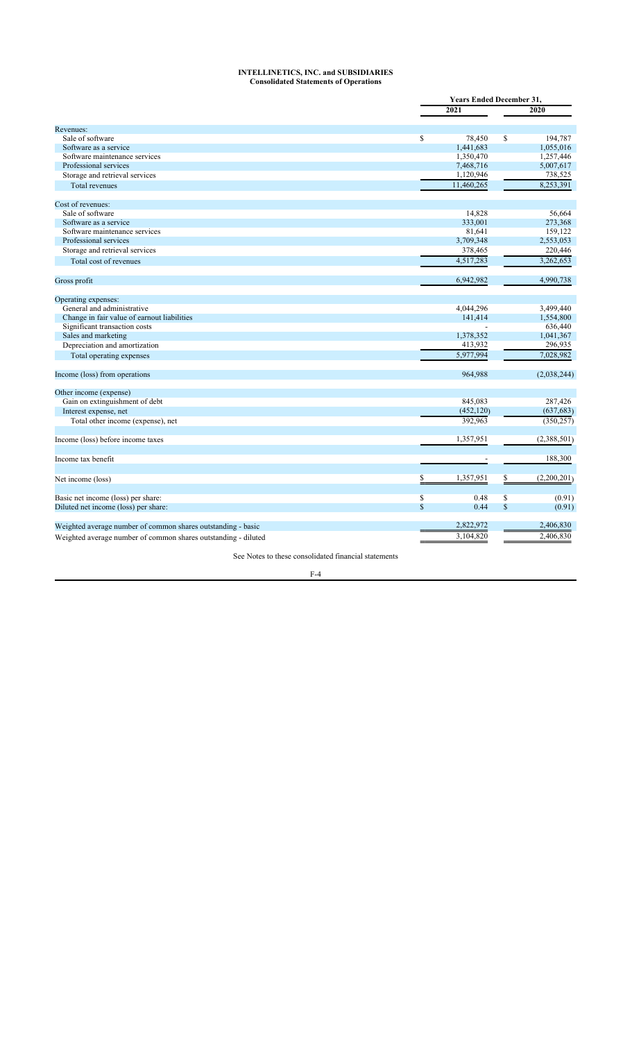### **INTELLINETICS, INC. and SUBSIDIARIES Consolidated Statements of Operations**

|                                                                |              | <b>Years Ended December 31.</b> |              |             |  |
|----------------------------------------------------------------|--------------|---------------------------------|--------------|-------------|--|
|                                                                |              | 2021                            |              | 2020        |  |
| Revenues:                                                      |              |                                 |              |             |  |
|                                                                |              |                                 |              |             |  |
| Sale of software                                               | $\mathbb{S}$ | 78.450                          | \$           | 194,787     |  |
| Software as a service                                          |              | 1,441,683                       |              | 1,055,016   |  |
| Software maintenance services                                  |              | 1,350,470                       |              | 1,257,446   |  |
| Professional services                                          |              | 7,468,716                       |              | 5,007,617   |  |
| Storage and retrieval services                                 |              | 1,120,946                       |              | 738,525     |  |
| Total revenues                                                 |              | 11,460,265                      |              | 8,253,391   |  |
| Cost of revenues:                                              |              |                                 |              |             |  |
| Sale of software                                               |              | 14,828                          |              | 56,664      |  |
| Software as a service                                          |              | 333,001                         |              | 273,368     |  |
| Software maintenance services                                  |              | 81,641                          |              | 159,122     |  |
| Professional services                                          |              | 3,709,348                       |              | 2,553,053   |  |
| Storage and retrieval services                                 |              | 378,465                         |              | 220,446     |  |
| Total cost of revenues                                         |              | 4,517,283                       |              | 3,262,653   |  |
|                                                                |              |                                 |              |             |  |
| Gross profit                                                   |              | 6,942,982                       |              | 4,990,738   |  |
| Operating expenses:                                            |              |                                 |              |             |  |
| General and administrative                                     |              | 4,044,296                       |              | 3,499,440   |  |
| Change in fair value of earnout liabilities                    |              | 141,414                         |              | 1,554,800   |  |
| Significant transaction costs                                  |              |                                 |              | 636,440     |  |
| Sales and marketing                                            |              | 1,378,352                       |              | 1,041,367   |  |
| Depreciation and amortization                                  |              | 413,932                         |              | 296,935     |  |
| Total operating expenses                                       |              | 5,977,994                       |              | 7,028,982   |  |
|                                                                |              |                                 |              |             |  |
| Income (loss) from operations                                  |              | 964,988                         |              | (2,038,244) |  |
| Other income (expense)                                         |              |                                 |              |             |  |
| Gain on extinguishment of debt                                 |              | 845,083                         |              | 287,426     |  |
| Interest expense, net                                          |              | (452, 120)                      |              | (637, 683)  |  |
| Total other income (expense), net                              |              | 392,963                         |              | (350, 257)  |  |
| Income (loss) before income taxes                              |              | 1,357,951                       |              | (2,388,501) |  |
|                                                                |              |                                 |              |             |  |
| Income tax benefit                                             |              |                                 |              | 188,300     |  |
| Net income (loss)                                              |              | 1,357,951                       |              | (2,200,201) |  |
| Basic net income (loss) per share:                             | \$           | 0.48                            | \$           | (0.91)      |  |
| Diluted net income (loss) per share:                           | $\mathbb{S}$ | 0.44                            | $\mathbb{S}$ | (0.91)      |  |
| Weighted average number of common shares outstanding - basic   |              | 2,822,972                       |              | 2,406,830   |  |
|                                                                |              |                                 |              | 2,406,830   |  |
| Weighted average number of common shares outstanding - diluted |              | 3,104,820                       |              |             |  |

See Notes to these consolidated financial statements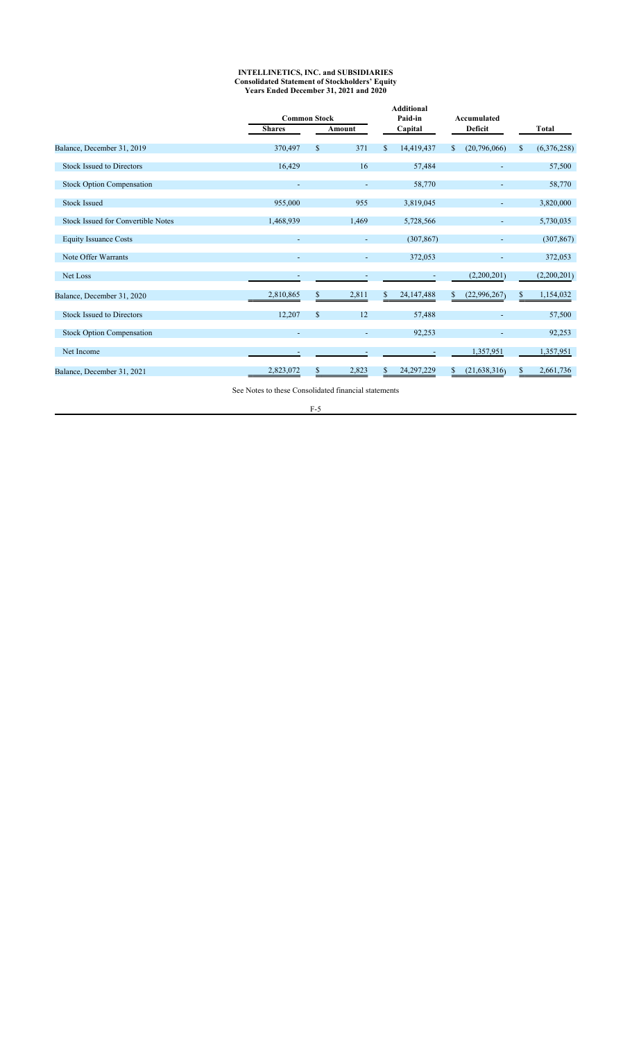#### **INTELLINETICS, INC. and SUBSIDIARIES Consolidated Statement of Stockholders' Equity Years Ended December 31, 2021 and 2020**

|                                           |                          | <b>Common Stock</b> |                          |              |              | Accumulated |                              |    |              |
|-------------------------------------------|--------------------------|---------------------|--------------------------|--------------|--------------|-------------|------------------------------|----|--------------|
|                                           | <b>Shares</b>            |                     | Amount                   |              | Capital      |             | <b>Deficit</b>               |    | <b>Total</b> |
| Balance, December 31, 2019                | 370,497                  | <sup>\$</sup>       | 371                      | $\mathbb{S}$ | 14,419,437   | \$          | (20,796,066)                 | S  | (6,376,258)  |
| <b>Stock Issued to Directors</b>          | 16,429                   |                     | 16                       |              | 57,484       |             |                              |    | 57,500       |
| <b>Stock Option Compensation</b>          |                          |                     |                          |              | 58,770       |             |                              |    | 58,770       |
| <b>Stock Issued</b>                       | 955,000                  |                     | 955                      |              | 3,819,045    |             |                              |    | 3,820,000    |
| <b>Stock Issued for Convertible Notes</b> | 1,468,939                |                     | 1,469                    |              | 5,728,566    |             | ٠                            |    | 5,730,035    |
| <b>Equity Issuance Costs</b>              | $\overline{\phantom{a}}$ |                     | $\overline{\phantom{a}}$ |              | (307, 867)   |             | $\overline{\phantom{a}}$     |    | (307, 867)   |
| Note Offer Warrants                       |                          |                     |                          |              | 372,053      |             | $\qquad \qquad \blacksquare$ |    | 372,053      |
| Net Loss                                  | $\overline{\phantom{a}}$ |                     | $\overline{\phantom{a}}$ |              | $\sim$       |             | (2,200,201)                  |    | (2,200,201)  |
| Balance, December 31, 2020                | 2,810,865                | \$                  | 2,811                    | \$           | 24, 147, 488 | \$.         | (22,996,267)                 | S. | 1,154,032    |
| <b>Stock Issued to Directors</b>          | 12,207                   | $\mathcal{S}$       | 12                       |              | 57,488       |             | ۰                            |    | 57,500       |
| <b>Stock Option Compensation</b>          |                          |                     | $\overline{\phantom{a}}$ |              | 92,253       |             | $\overline{\phantom{a}}$     |    | 92,253       |
| Net Income                                |                          |                     |                          |              |              |             | 1,357,951                    |    | 1,357,951    |
| Balance, December 31, 2021                | 2,823,072                | S                   | 2,823                    | S            | 24, 297, 229 | S           | (21, 638, 316)               |    | 2,661,736    |

See Notes to these Consolidated financial statements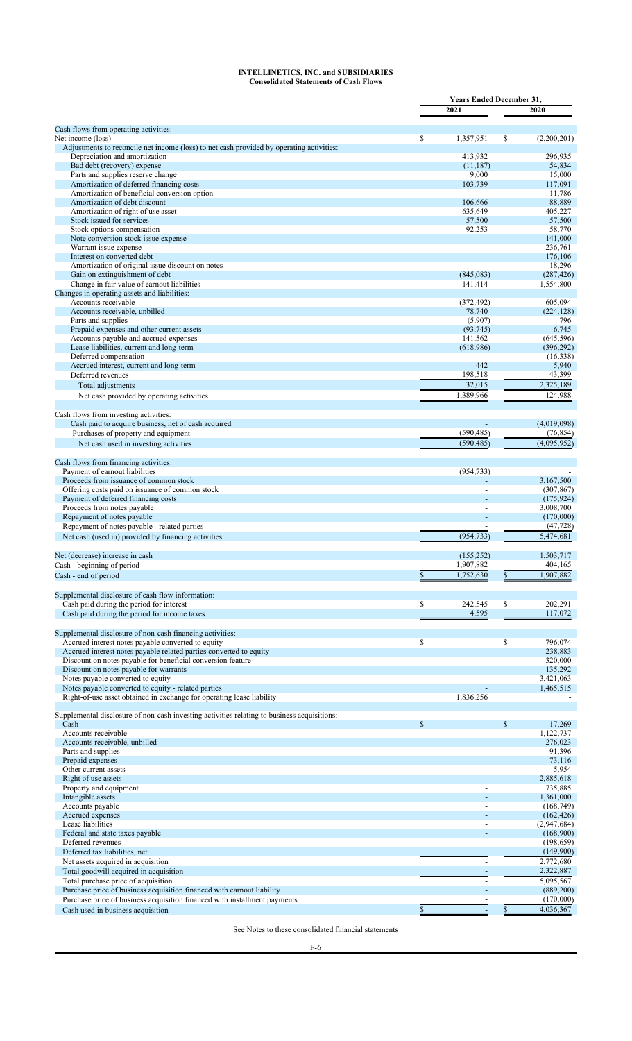### **INTELLINETICS, INC. and SUBSIDIARIES Consolidated Statements of Cash Flows**

|                                                                                                                           | <b>Years Ended December 31.</b> |                          |    |                         |  |
|---------------------------------------------------------------------------------------------------------------------------|---------------------------------|--------------------------|----|-------------------------|--|
|                                                                                                                           |                                 | 2021                     |    | 2020                    |  |
| Cash flows from operating activities:                                                                                     |                                 |                          |    |                         |  |
| Net income (loss)                                                                                                         | \$                              | 1,357,951                | \$ | (2,200,201)             |  |
| Adjustments to reconcile net income (loss) to net cash provided by operating activities:<br>Depreciation and amortization |                                 | 413.932                  |    | 296,935                 |  |
| Bad debt (recovery) expense                                                                                               |                                 | (11, 187)                |    | 54,834                  |  |
| Parts and supplies reserve change                                                                                         |                                 | 9,000                    |    | 15,000                  |  |
| Amortization of deferred financing costs                                                                                  |                                 | 103,739                  |    | 117,091                 |  |
| Amortization of beneficial conversion option                                                                              |                                 |                          |    | 11,786                  |  |
| Amortization of debt discount                                                                                             |                                 | 106,666                  |    | 88,889                  |  |
| Amortization of right of use asset<br>Stock issued for services                                                           |                                 | 635,649<br>57,500        |    | 405,227                 |  |
| Stock options compensation                                                                                                |                                 | 92,253                   |    | 57,500<br>58,770        |  |
| Note conversion stock issue expense                                                                                       |                                 |                          |    | 141,000                 |  |
| Warrant issue expense                                                                                                     |                                 |                          |    | 236,761                 |  |
| Interest on converted debt                                                                                                |                                 |                          |    | 176,106                 |  |
| Amortization of original issue discount on notes                                                                          |                                 |                          |    | 18,296                  |  |
| Gain on extinguishment of debt                                                                                            |                                 | (845,083)                |    | (287, 426)              |  |
| Change in fair value of earnout liabilities                                                                               |                                 | 141,414                  |    | 1,554,800               |  |
| Changes in operating assets and liabilities:                                                                              |                                 |                          |    |                         |  |
| Accounts receivable                                                                                                       |                                 | (372, 492)               |    | 605,094                 |  |
| Accounts receivable, unbilled<br>Parts and supplies                                                                       |                                 | 78,740<br>(5,907)        |    | (224, 128)<br>796       |  |
| Prepaid expenses and other current assets                                                                                 |                                 | (93, 745)                |    | 6,745                   |  |
| Accounts payable and accrued expenses                                                                                     |                                 | 141,562                  |    | (645, 596)              |  |
| Lease liabilities, current and long-term                                                                                  |                                 | (618,986)                |    | (396, 292)              |  |
| Deferred compensation                                                                                                     |                                 |                          |    | (16,338)                |  |
| Accrued interest, current and long-term                                                                                   |                                 | 442                      |    | 5,940                   |  |
| Deferred revenues                                                                                                         |                                 | 198,518                  |    | 43,399                  |  |
| Total adjustments                                                                                                         |                                 | 32.015                   |    | 2,325,189               |  |
| Net cash provided by operating activities                                                                                 |                                 | 1,389,966                |    | 124,988                 |  |
|                                                                                                                           |                                 |                          |    |                         |  |
| Cash flows from investing activities:                                                                                     |                                 |                          |    |                         |  |
| Cash paid to acquire business, net of cash acquired                                                                       |                                 |                          |    | (4,019,098)             |  |
| Purchases of property and equipment                                                                                       |                                 | (590, 485)               |    | (76, 854)               |  |
| Net cash used in investing activities                                                                                     |                                 | (590, 485)               |    | (4,095,952)             |  |
|                                                                                                                           |                                 |                          |    |                         |  |
| Cash flows from financing activities:                                                                                     |                                 |                          |    |                         |  |
| Payment of earnout liabilities                                                                                            |                                 | (954, 733)               |    |                         |  |
| Proceeds from issuance of common stock                                                                                    |                                 |                          |    | 3,167,500               |  |
| Offering costs paid on issuance of common stock<br>Payment of deferred financing costs                                    |                                 | $\overline{a}$           |    | (307, 867)              |  |
| Proceeds from notes payable                                                                                               |                                 | $\overline{a}$           |    | (175, 924)<br>3,008,700 |  |
| Repayment of notes payable                                                                                                |                                 |                          |    | (170,000)               |  |
| Repayment of notes payable - related parties                                                                              |                                 |                          |    | (47, 728)               |  |
| Net cash (used in) provided by financing activities                                                                       |                                 | (954, 733)               |    | 5,474,681               |  |
|                                                                                                                           |                                 |                          |    |                         |  |
| Net (decrease) increase in cash                                                                                           |                                 | (155, 252)               |    | 1.503.717               |  |
| Cash - beginning of period                                                                                                |                                 | 1,907,882                |    | 404,165                 |  |
| Cash - end of period                                                                                                      |                                 | 1,752,630                |    | 1,907,882               |  |
|                                                                                                                           |                                 |                          |    |                         |  |
| Supplemental disclosure of cash flow information:                                                                         |                                 |                          |    |                         |  |
| Cash paid during the period for interest                                                                                  | \$                              | 242,545                  | \$ | 202,291                 |  |
| Cash paid during the period for income taxes                                                                              |                                 | 4,595                    |    | 117,072                 |  |
|                                                                                                                           |                                 |                          |    |                         |  |
| Supplemental disclosure of non-cash financing activities:                                                                 |                                 |                          |    |                         |  |
| Accrued interest notes payable converted to equity                                                                        | \$                              |                          | S  | 796,074                 |  |
| Accrued interest notes payable related parties converted to equity                                                        |                                 |                          |    | 238,883                 |  |
| Discount on notes payable for beneficial conversion feature                                                               |                                 |                          |    | 320,000                 |  |
| Discount on notes payable for warrants<br>Notes payable converted to equity                                               |                                 |                          |    | 135,292<br>3,421,063    |  |
| Notes payable converted to equity - related parties                                                                       |                                 |                          |    | 1,465,515               |  |
| Right-of-use asset obtained in exchange for operating lease liability                                                     |                                 | 1,836,256                |    |                         |  |
|                                                                                                                           |                                 |                          |    |                         |  |
| Supplemental disclosure of non-cash investing activities relating to business acquisitions:                               |                                 |                          |    |                         |  |
| Cash                                                                                                                      | $\mathbb{S}$                    |                          | \$ | 17,269                  |  |
| Accounts receivable                                                                                                       |                                 |                          |    | 1,122,737               |  |
| Accounts receivable, unbilled                                                                                             |                                 |                          |    | 276,023                 |  |
| Parts and supplies                                                                                                        |                                 |                          |    | 91,396                  |  |
| Prepaid expenses                                                                                                          |                                 |                          |    | 73,116                  |  |
| Other current assets                                                                                                      |                                 |                          |    | 5,954                   |  |
| Right of use assets<br>Property and equipment                                                                             |                                 |                          |    | 2,885,618<br>735,885    |  |
| Intangible assets                                                                                                         |                                 |                          |    | 1,361,000               |  |
| Accounts payable                                                                                                          |                                 |                          |    | (168, 749)              |  |
| Accrued expenses                                                                                                          |                                 |                          |    | (162, 426)              |  |
| Lease liabilities                                                                                                         |                                 | $\overline{a}$           |    | (2,947,684)             |  |
| Federal and state taxes payable                                                                                           |                                 |                          |    | (168,900)               |  |
| Deferred revenues                                                                                                         |                                 | $\overline{a}$           |    | (198, 659)              |  |
| Deferred tax liabilities, net                                                                                             |                                 |                          |    | (149,900)               |  |
| Net assets acquired in acquisition                                                                                        |                                 | $\overline{a}$           |    | 2,772,680               |  |
| Total goodwill acquired in acquisition                                                                                    |                                 | $\overline{\phantom{a}}$ |    | 2,322,887               |  |
| Total purchase price of acquisition                                                                                       |                                 |                          |    | 5,095,567               |  |
| Purchase price of business acquisition financed with earnout liability                                                    |                                 |                          |    | (889, 200)              |  |
| Purchase price of business acquisition financed with installment payments                                                 |                                 |                          |    | (170,000)               |  |
| Cash used in business acquisition                                                                                         | \$                              |                          | \$ | 4,036,367               |  |

See Notes to these consolidated financial statements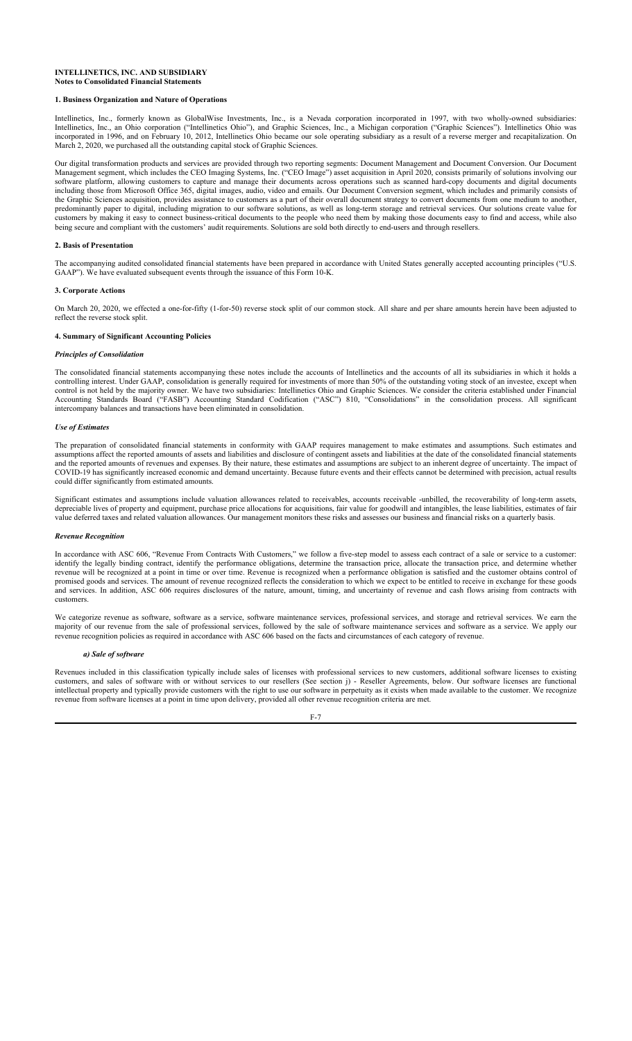### **INTELLINETICS, INC. AND SUBSIDIARY Notes to Consolidated Financial Statements**

### **1. Business Organization and Nature of Operations**

Intellinetics, Inc., formerly known as GlobalWise Investments, Inc., is a Nevada corporation incorporated in 1997, with two wholly-owned subsidiaries: Intellinetics, Inc., an Ohio corporation ("Intellinetics Ohio"), and Graphic Sciences, Inc., a Michigan corporation ("Graphic Sciences"). Intellinetics Ohio was incorporated in 1996, and on February 10, 2012, Intellinetics Ohio became our sole operating subsidiary as a result of a reverse merger and recapitalization. On March 2, 2020, we purchased all the outstanding capital stock of Graphic Sciences.

Our digital transformation products and services are provided through two reporting segments: Document Management and Document Conversion. Our Document Management segment, which includes the CEO Imaging Systems, Inc. ("CEO Image") asset acquisition in April 2020, consists primarily of solutions involving our software platform, allowing customers to capture and manage their documents across operations such as scanned hard-copy documents and digital documents including those from Microsoft Office 365, digital images, audio, video and emails. Our Document Conversion segment, which includes and primarily consists of the Graphic Sciences acquisition, provides assistance to customers as a part of their overall document strategy to convert documents from one medium to another, predominantly paper to digital, including migration to our software solutions, as well as long-term storage and retrieval services. Our solutions create value for customers by making it easy to connect business-critical documents to the people who need them by making those documents easy to find and access, while also being secure and compliant with the customers' audit requirements. Solutions are sold both directly to end-users and through resellers.

### **2. Basis of Presentation**

The accompanying audited consolidated financial statements have been prepared in accordance with United States generally accepted accounting principles ("U.S. GAAP"). We have evaluated subsequent events through the issuance of this Form 10-K.

### **3. Corporate Actions**

On March 20, 2020, we effected a one-for-fifty (1-for-50) reverse stock split of our common stock. All share and per share amounts herein have been adjusted to reflect the reverse stock split.

## **4. Summary of Significant Accounting Policies**

### *Principles of Consolidation*

The consolidated financial statements accompanying these notes include the accounts of Intellinetics and the accounts of all its subsidiaries in which it holds a controlling interest. Under GAAP, consolidation is generally required for investments of more than 50% of the outstanding voting stock of an investee, except when control is not held by the majority owner. We have two subsidiaries: Intellinetics Ohio and Graphic Sciences. We consider the criteria established under Financial Accounting Standards Board ("FASB") Accounting Standard Codification ("ASC") 810, "Consolidations" in the consolidation process. All significant intercompany balances and transactions have been eliminated in consolidation.

### *Use of Estimates*

The preparation of consolidated financial statements in conformity with GAAP requires management to make estimates and assumptions. Such estimates and assumptions affect the reported amounts of assets and liabilities and disclosure of contingent assets and liabilities at the date of the consolidated financial statements and the reported amounts of revenues and expenses. By their nature, these estimates and assumptions are subject to an inherent degree of uncertainty. The impact of COVID-19 has significantly increased economic and demand uncertainty. Because future events and their effects cannot be determined with precision, actual results could differ significantly from estimated amounts.

Significant estimates and assumptions include valuation allowances related to receivables, accounts receivable -unbilled, the recoverability of long-term assets, depreciable lives of property and equipment, purchase price allocations for acquisitions, fair value for goodwill and intangibles, the lease liabilities, estimates of fair value deferred taxes and related valuation allowances. Our management monitors these risks and assesses our business and financial risks on a quarterly basis.

#### *Revenue Recognition*

In accordance with ASC 606, "Revenue From Contracts With Customers," we follow a five-step model to assess each contract of a sale or service to a customer: identify the legally binding contract, identify the performance obligations, determine the transaction price, allocate the transaction price, and determine whether revenue will be recognized at a point in time or over time. Revenue is recognized when a performance obligation is satisfied and the customer obtains control of promised goods and services. The amount of revenue recognized reflects the consideration to which we expect to be entitled to receive in exchange for these goods and services. In addition, ASC 606 requires disclosures of the nature, amount, timing, and uncertainty of revenue and cash flows arising from contracts with customers.

We categorize revenue as software, software as a service, software maintenance services, professional services, and storage and retrieval services. We earn the majority of our revenue from the sale of professional services, followed by the sale of software maintenance services and software as a service. We apply our revenue recognition policies as required in accordance with ASC 606 based on the facts and circumstances of each category of revenue.

#### *a) Sale of software*

Revenues included in this classification typically include sales of licenses with professional services to new customers, additional software licenses to existing customers, and sales of software with or without services to our resellers (See section j) - Reseller Agreements, below. Our software licenses are functional intellectual property and typically provide customers with the right to use our software in perpetuity as it exists when made available to the customer. We recognize revenue from software licenses at a point in time upon delivery, provided all other revenue recognition criteria are met.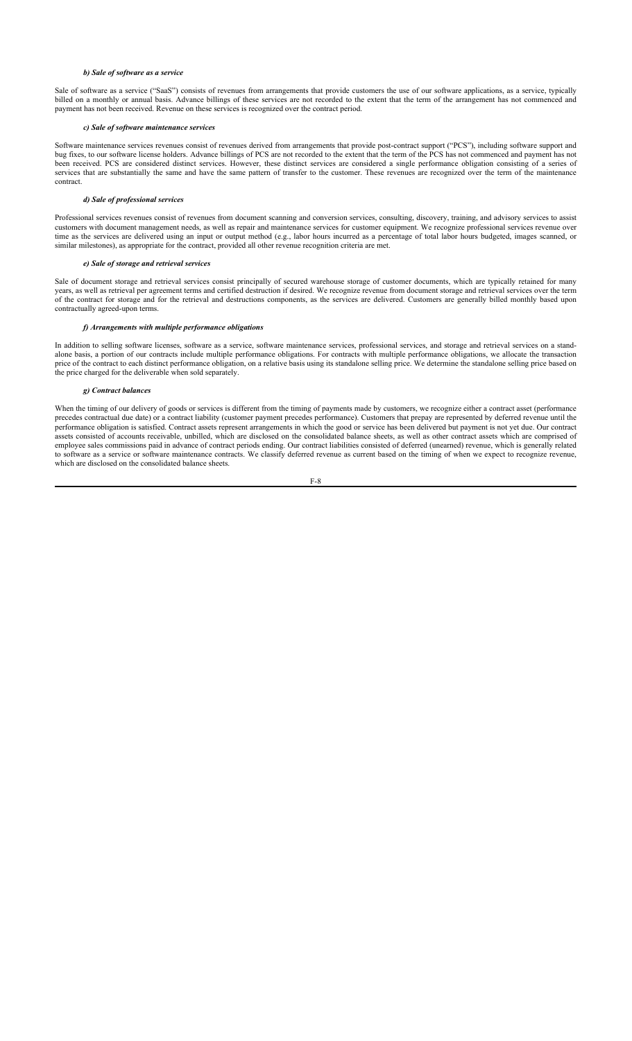## *b) Sale of software as a service*

Sale of software as a service ("SaaS") consists of revenues from arrangements that provide customers the use of our software applications, as a service, typically billed on a monthly or annual basis. Advance billings of these services are not recorded to the extent that the term of the arrangement has not commenced and payment has not been received. Revenue on these services is recognized over the contract period.

### *c) Sale of software maintenance services*

Software maintenance services revenues consist of revenues derived from arrangements that provide post-contract support ("PCS"), including software support and bug fixes, to our software license holders. Advance billings of PCS are not recorded to the extent that the term of the PCS has not commenced and payment has not been received. PCS are considered distinct services. However, these distinct services are considered a single performance obligation consisting of a series of services that are substantially the same and have the same pattern of transfer to the customer. These revenues are recognized over the term of the maintenance contract.

#### *d) Sale of professional services*

Professional services revenues consist of revenues from document scanning and conversion services, consulting, discovery, training, and advisory services to assist customers with document management needs, as well as repair and maintenance services for customer equipment. We recognize professional services revenue over time as the services are delivered using an input or output method (e.g., labor hours incurred as a percentage of total labor hours budgeted, images scanned, or similar milestones), as appropriate for the contract, provided all other revenue recognition criteria are met.

## *e) Sale of storage and retrieval services*

Sale of document storage and retrieval services consist principally of secured warehouse storage of customer documents, which are typically retained for many years, as well as retrieval per agreement terms and certified destruction if desired. We recognize revenue from document storage and retrieval services over the term of the contract for storage and for the retrieval and destructions components, as the services are delivered. Customers are generally billed monthly based upon contractually agreed-upon terms.

### *f) Arrangements with multiple performance obligations*

In addition to selling software licenses, software as a service, software maintenance services, professional services, and storage and retrieval services on a standalone basis, a portion of our contracts include multiple performance obligations. For contracts with multiple performance obligations, we allocate the transaction price of the contract to each distinct performance obligation, on a relative basis using its standalone selling price. We determine the standalone selling price based on the price charged for the deliverable when sold separately.

## *g) Contract balances*

When the timing of our delivery of goods or services is different from the timing of payments made by customers, we recognize either a contract asset (performance precedes contractual due date) or a contract liability (customer payment precedes performance). Customers that prepay are represented by deferred revenue until the performance obligation is satisfied. Contract assets represent arrangements in which the good or service has been delivered but payment is not yet due. Our contract assets consisted of accounts receivable, unbilled, which are disclosed on the consolidated balance sheets, as well as other contract assets which are comprised of employee sales commissions paid in advance of contract periods ending. Our contract liabilities consisted of deferred (unearned) revenue, which is generally related to software as a service or software maintenance contracts. We classify deferred revenue as current based on the timing of when we expect to recognize revenue, which are disclosed on the consolidated balance sheets.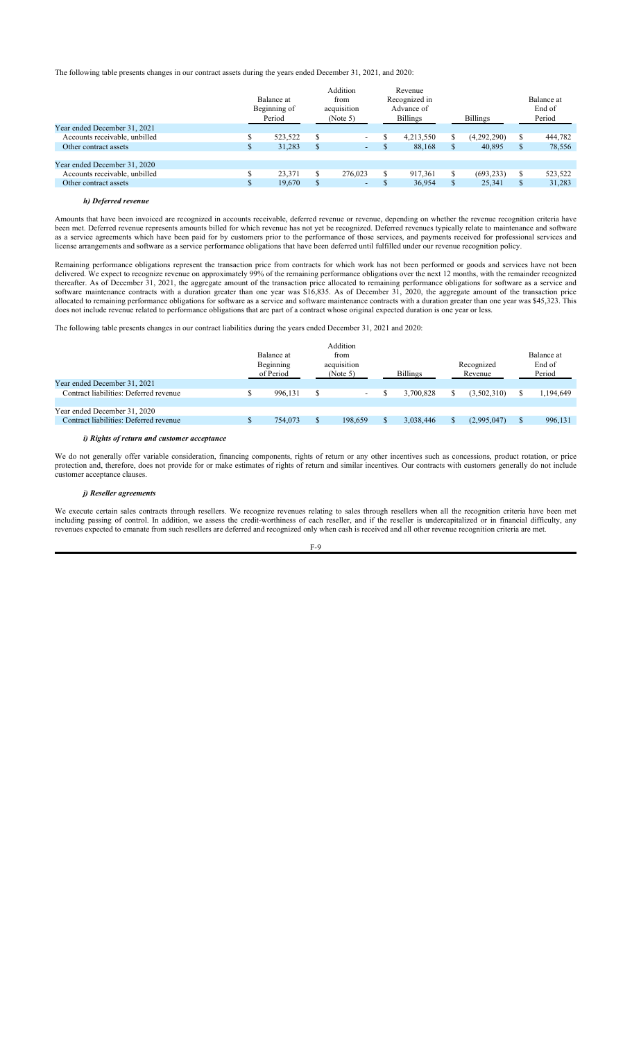The following table presents changes in our contract assets during the years ended December 31, 2021, and 2020:

|                               |   | Balance at<br>Beginning of<br>Period | Addition<br>from<br>acquisition<br>(Note 5) |   | Revenue<br>Recognized in<br>Advance of<br><b>Billings</b> |     | <b>Billings</b> |    | Balance at<br>End of<br>Period |
|-------------------------------|---|--------------------------------------|---------------------------------------------|---|-----------------------------------------------------------|-----|-----------------|----|--------------------------------|
| Year ended December 31, 2021  |   |                                      |                                             |   |                                                           |     |                 |    |                                |
| Accounts receivable, unbilled |   | 523,522                              | $\sim$                                      |   | 4,213,550                                                 |     | (4,292,290)     |    | 444,782                        |
| Other contract assets         | S | 31,283                               | $\sim$                                      | S | 88,168                                                    | \$. | 40,895          | S. | 78,556                         |
|                               |   |                                      |                                             |   |                                                           |     |                 |    |                                |
| Year ended December 31, 2020  |   |                                      |                                             |   |                                                           |     |                 |    |                                |
| Accounts receivable, unbilled |   | 23.371                               | 276,023                                     | S | 917,361                                                   |     | (693, 233)      |    | 523,522                        |
| Other contract assets         | ъ | 19,670                               | $\overline{\phantom{0}}$                    | Ф | 36,954                                                    | ъ   | 25,341          | Ъ. | 31,283                         |
|                               |   |                                      |                                             |   |                                                           |     |                 |    |                                |

## *h) Deferred revenue*

Amounts that have been invoiced are recognized in accounts receivable, deferred revenue or revenue, depending on whether the revenue recognition criteria have been met. Deferred revenue represents amounts billed for which revenue has not yet be recognized. Deferred revenues typically relate to maintenance and software as a service agreements which have been paid for by customers prior to the performance of those services, and payments received for professional services and license arrangements and software as a service performance obligations that have been deferred until fulfilled under our revenue recognition policy.

Remaining performance obligations represent the transaction price from contracts for which work has not been performed or goods and services have not been delivered. We expect to recognize revenue on approximately 99% of the remaining performance obligations over the next 12 months, with the remainder recognized thereafter. As of December 31, 2021, the aggregate amount of the transaction price allocated to remaining performance obligations for software as a service and software maintenance contracts with a duration greater than one year was \$16,835. As of December 31, 2020, the aggregate amount of the transaction price allocated to remaining performance obligations for software as a service and software maintenance contracts with a duration greater than one year was \$45,323. This does not include revenue related to performance obligations that are part of a contract whose original expected duration is one year or less.

The following table presents changes in our contract liabilities during the years ended December 31, 2021 and 2020:

|                                        | Balance at<br>Beginning<br>of Period | Addition<br>from<br>acquisition<br>(Note 5) | <b>Billings</b> | Recognized<br>Revenue | Balance at<br>End of<br>Period |
|----------------------------------------|--------------------------------------|---------------------------------------------|-----------------|-----------------------|--------------------------------|
| Year ended December 31, 2021           |                                      |                                             |                 |                       |                                |
| Contract liabilities: Deferred revenue | 996.131                              | $\overline{\phantom{a}}$                    | 3.700.828       | (3,502,310)           | 1,194,649                      |
|                                        |                                      |                                             |                 |                       |                                |
| Year ended December 31, 2020           |                                      |                                             |                 |                       |                                |
| Contract liabilities: Deferred revenue | 754,073                              | 198,659                                     | 3.038.446       | (2,995,047)           | 996,131                        |
|                                        |                                      |                                             |                 |                       |                                |

### *i) Rights of return and customer acceptance*

We do not generally offer variable consideration, financing components, rights of return or any other incentives such as concessions, product rotation, or price protection and, therefore, does not provide for or make estimates of rights of return and similar incentives. Our contracts with customers generally do not include customer acceptance clauses.

## *j) Reseller agreements*

We execute certain sales contracts through resellers. We recognize revenues relating to sales through resellers when all the recognition criteria have been met including passing of control. In addition, we assess the credit-worthiness of each reseller, and if the reseller is undercapitalized or in financial difficulty, any revenues expected to emanate from such resellers are deferred and recognized only when cash is received and all other revenue recognition criteria are met.

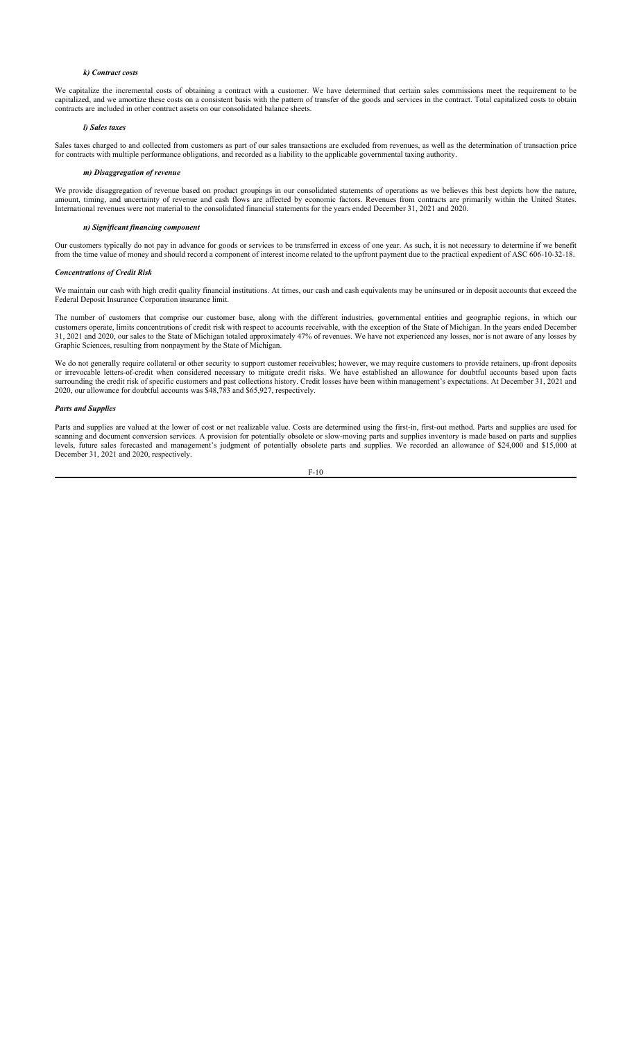## *k) Contract costs*

We capitalize the incremental costs of obtaining a contract with a customer. We have determined that certain sales commissions meet the requirement to be capitalized, and we amortize these costs on a consistent basis with the pattern of transfer of the goods and services in the contract. Total capitalized costs to obtain contracts are included in other contract assets on our consolidated balance sheets.

### *l) Sales taxes*

Sales taxes charged to and collected from customers as part of our sales transactions are excluded from revenues, as well as the determination of transaction price for contracts with multiple performance obligations, and recorded as a liability to the applicable governmental taxing authority.

### *m) Disaggregation of revenue*

We provide disaggregation of revenue based on product groupings in our consolidated statements of operations as we believes this best depicts how the nature, amount, timing, and uncertainty of revenue and cash flows are affected by economic factors. Revenues from contracts are primarily within the United States. International revenues were not material to the consolidated financial statements for the years ended December 31, 2021 and 2020.

### *n) Significant financing component*

Our customers typically do not pay in advance for goods or services to be transferred in excess of one year. As such, it is not necessary to determine if we benefit from the time value of money and should record a component of interest income related to the upfront payment due to the practical expedient of ASC 606-10-32-18.

#### *Concentrations of Credit Risk*

We maintain our cash with high credit quality financial institutions. At times, our cash and cash equivalents may be uninsured or in deposit accounts that exceed the Federal Deposit Insurance Corporation insurance limit.

The number of customers that comprise our customer base, along with the different industries, governmental entities and geographic regions, in which our customers operate, limits concentrations of credit risk with respect to accounts receivable, with the exception of the State of Michigan. In the years ended December 31, 2021 and 2020, our sales to the State of Michigan totaled approximately 47% of revenues. We have not experienced any losses, nor is not aware of any losses by Graphic Sciences, resulting from nonpayment by the State of Michigan.

We do not generally require collateral or other security to support customer receivables; however, we may require customers to provide retainers, up-front deposits or irrevocable letters-of-credit when considered necessary to mitigate credit risks. We have established an allowance for doubtful accounts based upon facts surrounding the credit risk of specific customers and past collections history. Credit losses have been within management's expectations. At December 31, 2021 and 2020, our allowance for doubtful accounts was \$48,783 and \$65,927, respectively.

# *Parts and Supplies*

Parts and supplies are valued at the lower of cost or net realizable value. Costs are determined using the first-in, first-out method. Parts and supplies are used for scanning and document conversion services. A provision for potentially obsolete or slow-moving parts and supplies inventory is made based on parts and supplies levels, future sales forecasted and management's judgment of potentially obsolete parts and supplies. We recorded an allowance of \$24,000 and \$15,000 at December 31, 2021 and 2020, respectively.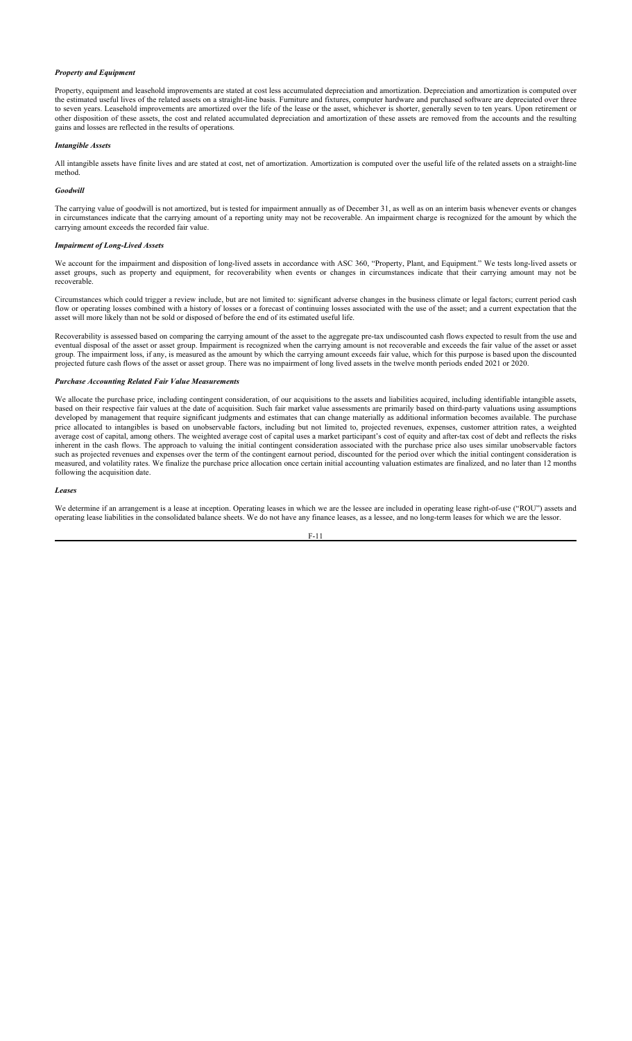## *Property and Equipment*

Property, equipment and leasehold improvements are stated at cost less accumulated depreciation and amortization. Depreciation and amortization is computed over the estimated useful lives of the related assets on a straight-line basis. Furniture and fixtures, computer hardware and purchased software are depreciated over three to seven years. Leasehold improvements are amortized over the life of the lease or the asset, whichever is shorter, generally seven to ten years. Upon retirement or other disposition of these assets, the cost and related accumulated depreciation and amortization of these assets are removed from the accounts and the resulting gains and losses are reflected in the results of operations.

### *Intangible Assets*

All intangible assets have finite lives and are stated at cost, net of amortization. Amortization is computed over the useful life of the related assets on a straight-line method.

## *Goodwill*

The carrying value of goodwill is not amortized, but is tested for impairment annually as of December 31, as well as on an interim basis whenever events or changes in circumstances indicate that the carrying amount of a reporting unity may not be recoverable. An impairment charge is recognized for the amount by which the carrying amount exceeds the recorded fair value.

## *Impairment of Long-Lived Assets*

We account for the impairment and disposition of long-lived assets in accordance with ASC 360, "Property, Plant, and Equipment." We tests long-lived assets or asset groups, such as property and equipment, for recoverability when events or changes in circumstances indicate that their carrying amount may not be recoverable.

Circumstances which could trigger a review include, but are not limited to: significant adverse changes in the business climate or legal factors; current period cash flow or operating losses combined with a history of losses or a forecast of continuing losses associated with the use of the asset; and a current expectation that the asset will more likely than not be sold or disposed of before the end of its estimated useful life.

Recoverability is assessed based on comparing the carrying amount of the asset to the aggregate pre-tax undiscounted cash flows expected to result from the use and eventual disposal of the asset or asset group. Impairment is recognized when the carrying amount is not recoverable and exceeds the fair value of the asset or asset group. The impairment loss, if any, is measured as the amount by which the carrying amount exceeds fair value, which for this purpose is based upon the discounted projected future cash flows of the asset or asset group. There was no impairment of long lived assets in the twelve month periods ended 2021 or 2020.

## *Purchase Accounting Related Fair Value Measurements*

We allocate the purchase price, including contingent consideration, of our acquisitions to the assets and liabilities acquired, including identifiable intangible assets, based on their respective fair values at the date of acquisition. Such fair market value assessments are primarily based on third-party valuations using assumptions developed by management that require significant judgments and estimates that can change materially as additional information becomes available. The purchase price allocated to intangibles is based on unobservable factors, including but not limited to, projected revenues, expenses, customer attrition rates, a weighted average cost of capital, among others. The weighted average cost of capital uses a market participant's cost of equity and after-tax cost of debt and reflects the risks inherent in the cash flows. The approach to valuing the initial contingent consideration associated with the purchase price also uses similar unobservable factors such as projected revenues and expenses over the term of the contingent earnout period, discounted for the period over which the initial contingent consideration is measured, and volatility rates. We finalize the purchase price allocation once certain initial accounting valuation estimates are finalized, and no later than 12 months following the acquisition date.

### *Leases*

We determine if an arrangement is a lease at inception. Operating leases in which we are the lessee are included in operating lease right-of-use ("ROU") assets and operating lease liabilities in the consolidated balance sheets. We do not have any finance leases, as a lessee, and no long-term leases for which we are the lessor.

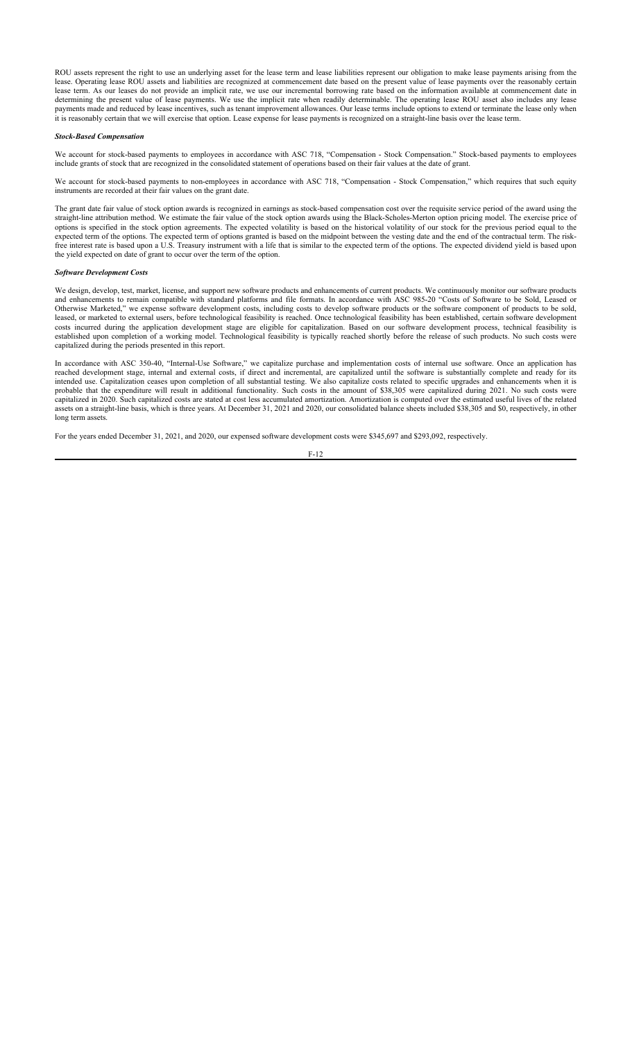ROU assets represent the right to use an underlying asset for the lease term and lease liabilities represent our obligation to make lease payments arising from the lease. Operating lease ROU assets and liabilities are recognized at commencement date based on the present value of lease payments over the reasonably certain lease term. As our leases do not provide an implicit rate, we use our incremental borrowing rate based on the information available at commencement date in determining the present value of lease payments. We use the implicit rate when readily determinable. The operating lease ROU asset also includes any lease payments made and reduced by lease incentives, such as tenant improvement allowances. Our lease terms include options to extend or terminate the lease only when it is reasonably certain that we will exercise that option. Lease expense for lease payments is recognized on a straight-line basis over the lease term.

### *Stock-Based Compensation*

We account for stock-based payments to employees in accordance with ASC 718, "Compensation - Stock Compensation." Stock-based payments to employees include grants of stock that are recognized in the consolidated statement of operations based on their fair values at the date of grant.

We account for stock-based payments to non-employees in accordance with ASC 718, "Compensation - Stock Compensation," which requires that such equity instruments are recorded at their fair values on the grant date.

The grant date fair value of stock option awards is recognized in earnings as stock-based compensation cost over the requisite service period of the award using the straight-line attribution method. We estimate the fair value of the stock option awards using the Black-Scholes-Merton option pricing model. The exercise price of options is specified in the stock option agreements. The expected volatility is based on the historical volatility of our stock for the previous period equal to the expected term of the options. The expected term of options granted is based on the midpoint between the vesting date and the end of the contractual term. The riskfree interest rate is based upon a U.S. Treasury instrument with a life that is similar to the expected term of the options. The expected dividend yield is based upon the yield expected on date of grant to occur over the term of the option.

#### *Software Development Costs*

We design, develop, test, market, license, and support new software products and enhancements of current products. We continuously monitor our software products and enhancements to remain compatible with standard platforms and file formats. In accordance with ASC 985-20 "Costs of Software to be Sold, Leased or Otherwise Marketed," we expense software development costs, including costs to develop software products or the software component of products to be sold, leased, or marketed to external users, before technological feasibility is reached. Once technological feasibility has been established, certain software development costs incurred during the application development stage are eligible for capitalization. Based on our software development process, technical feasibility is established upon completion of a working model. Technological feasibility is typically reached shortly before the release of such products. No such costs were capitalized during the periods presented in this report.

In accordance with ASC 350-40, "Internal-Use Software," we capitalize purchase and implementation costs of internal use software. Once an application has reached development stage, internal and external costs, if direct and incremental, are capitalized until the software is substantially complete and ready for its intended use. Capitalization ceases upon completion of all substantial testing. We also capitalize costs related to specific upgrades and enhancements when it is probable that the expenditure will result in additional functionality. Such costs in the amount of \$38,305 were capitalized during 2021. No such costs were capitalized in 2020. Such capitalized costs are stated at cost less accumulated amortization. Amortization is computed over the estimated useful lives of the related assets on a straight-line basis, which is three years. At December 31, 2021 and 2020, our consolidated balance sheets included \$38,305 and \$0, respectively, in other long term assets.

For the years ended December 31, 2021, and 2020, our expensed software development costs were \$345,697 and \$293,092, respectively.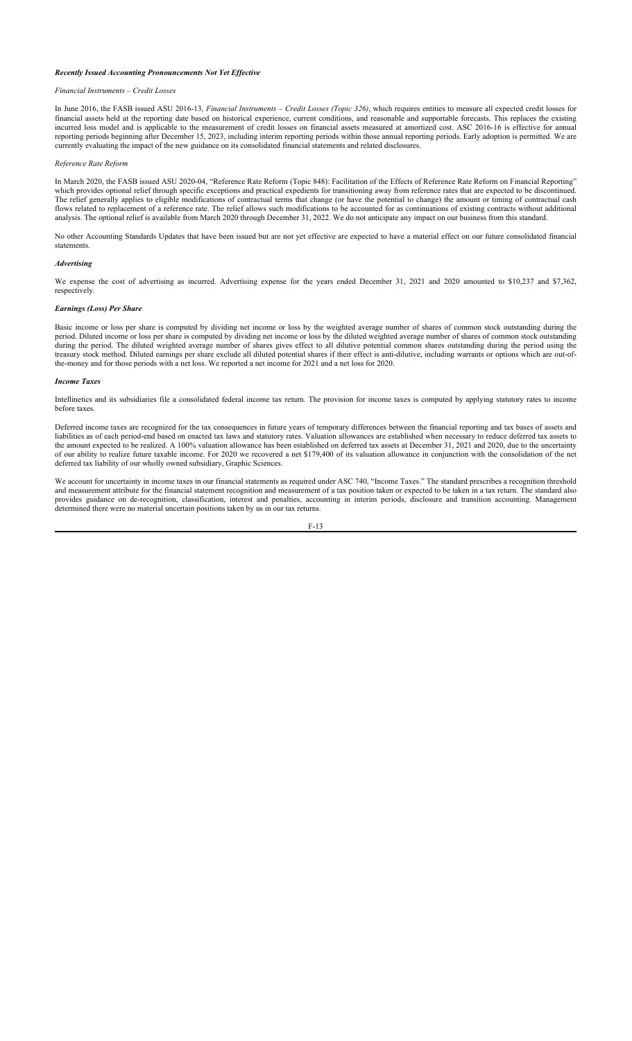## *Recently Issued Accounting Pronouncements Not Yet Effective*

### *Financial Instruments – Credit Losses*

In June 2016, the FASB issued ASU 2016-13, *Financial Instruments – Credit Losses (Topic 326)*, which requires entities to measure all expected credit losses for financial assets held at the reporting date based on historical experience, current conditions, and reasonable and supportable forecasts. This replaces the existing incurred loss model and is applicable to the measurement of credit losses on financial assets measured at amortized cost. ASC 2016-16 is effective for annual reporting periods beginning after December 15, 2023, including interim reporting periods within those annual reporting periods. Early adoption is permitted. We are currently evaluating the impact of the new guidance on its consolidated financial statements and related disclosures.

### *Reference Rate Reform*

In March 2020, the FASB issued ASU 2020-04, "Reference Rate Reform (Topic 848): Facilitation of the Effects of Reference Rate Reform on Financial Reporting" which provides optional relief through specific exceptions and practical expedients for transitioning away from reference rates that are expected to be discontinued. The relief generally applies to eligible modifications of contractual terms that change (or have the potential to change) the amount or timing of contractual cash flows related to replacement of a reference rate. The relief allows such modifications to be accounted for as continuations of existing contracts without additional analysis. The optional relief is available from March 2020 through December 31, 2022. We do not anticipate any impact on our business from this standard.

No other Accounting Standards Updates that have been issued but are not yet effective are expected to have a material effect on our future consolidated financial statements.

## *Advertising*

We expense the cost of advertising as incurred. Advertising expense for the years ended December 31, 2021 and 2020 amounted to \$10,237 and \$7,362, respectively.

### *Earnings (Loss) Per Share*

Basic income or loss per share is computed by dividing net income or loss by the weighted average number of shares of common stock outstanding during the period. Diluted income or loss per share is computed by dividing net income or loss by the diluted weighted average number of shares of common stock outstanding during the period. The diluted weighted average number of shares gives effect to all dilutive potential common shares outstanding during the period using the treasury stock method. Diluted earnings per share exclude all diluted potential shares if their effect is anti-dilutive, including warrants or options which are out-ofthe-money and for those periods with a net loss. We reported a net income for 2021 and a net loss for 2020.

### *Income Taxes*

Intellinetics and its subsidiaries file a consolidated federal income tax return. The provision for income taxes is computed by applying statutory rates to income before taxes.

Deferred income taxes are recognized for the tax consequences in future years of temporary differences between the financial reporting and tax bases of assets and liabilities as of each period-end based on enacted tax laws and statutory rates. Valuation allowances are established when necessary to reduce deferred tax assets to the amount expected to be realized. A 100% valuation allowance has been established on deferred tax assets at December 31, 2021 and 2020, due to the uncertainty the amount expected to be realized. A 100% valuation allowanc of our ability to realize future taxable income. For 2020 we recovered a net \$179,400 of its valuation allowance in conjunction with the consolidation of the net deferred tax liability of our wholly owned subsidiary, Graphic Sciences.

We account for uncertainty in income taxes in our financial statements as required under ASC 740, "Income Taxes." The standard prescribes a recognition threshold and measurement attribute for the financial statement recognition and measurement of a tax position taken or expected to be taken in a tax return. The standard also provides guidance on de-recognition, classification, interest and penalties, accounting in interim periods, disclosure and transition accounting. Management determined there were no material uncertain positions taken by us in our tax returns.

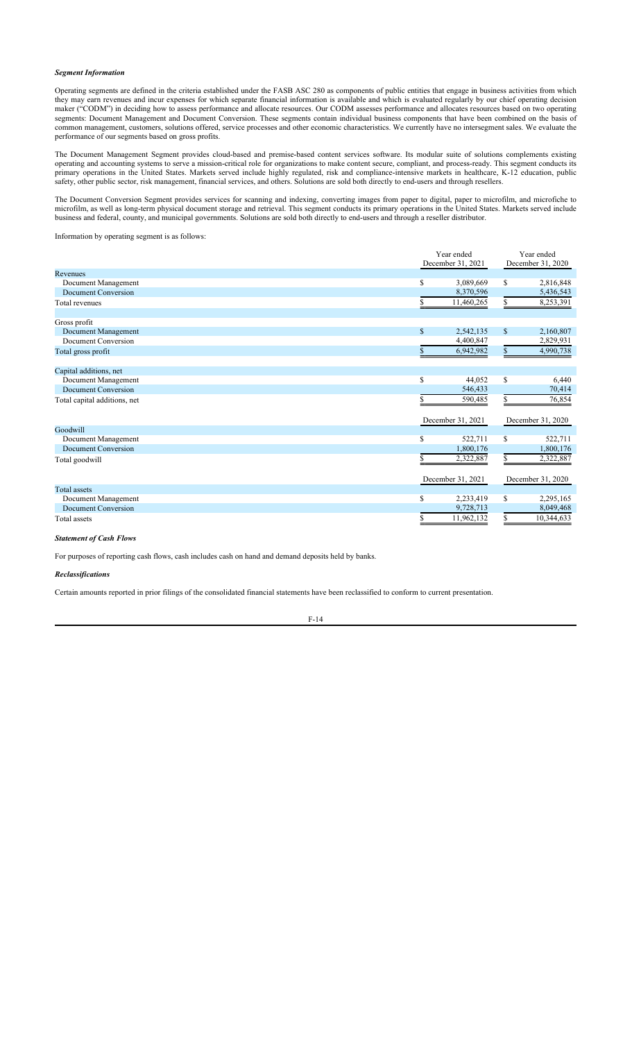## *Segment Information*

Operating segments are defined in the criteria established under the FASB ASC 280 as components of public entities that engage in business activities from which they may earn revenues and incur expenses for which separate financial information is available and which is evaluated regularly by our chief operating decision maker ("CODM") in deciding how to assess performance and allocate resources. Our CODM assesses performance and allocates resources based on two operating segments: Document Management and Document Conversion. These segments contain individual business components that have been combined on the basis of common management, customers, solutions offered, service processes and other economic characteristics. We currently have no intersegment sales. We evaluate the performance of our segments based on gross profits.

The Document Management Segment provides cloud-based and premise-based content services software. Its modular suite of solutions complements existing operating and accounting systems to serve a mission-critical role for organizations to make content secure, compliant, and process-ready. This segment conducts its primary operations in the United States. Markets served include highly regulated, risk and compliance-intensive markets in healthcare, K-12 education, public safety, other public sector, risk management, financial services, and others. Solutions are sold both directly to end-users and through resellers.

The Document Conversion Segment provides services for scanning and indexing, converting images from paper to digital, paper to microfilm, and microfiche to microfilm, as well as long-term physical document storage and retrieval. This segment conducts its primary operations in the United States. Markets served include business and federal, county, and municipal governments. Solutions are sold both directly to end-users and through a reseller distributor.

Information by operating segment is as follows:

|                              |              | Year ended        | Year ended    |                   |  |
|------------------------------|--------------|-------------------|---------------|-------------------|--|
|                              |              | December 31, 2021 |               | December 31, 2020 |  |
| Revenues                     |              |                   |               |                   |  |
| Document Management          | \$           | 3,089,669         | \$            | 2,816,848         |  |
| Document Conversion          |              | 8,370,596         |               | 5,436,543         |  |
| Total revenues               |              | 11,460,265        |               | 8,253,391         |  |
| Gross profit                 |              |                   |               |                   |  |
| Document Management          | $\mathbb{S}$ | 2,542,135         | $\mathbb{S}$  | 2,160,807         |  |
| Document Conversion          |              | 4,400,847         |               | 2,829,931         |  |
| Total gross profit           |              | 6,942,982         | \$            | 4,990,738         |  |
| Capital additions, net       |              |                   |               |                   |  |
| Document Management          | $\mathbf S$  | 44.052            | <sup>\$</sup> | 6,440             |  |
| Document Conversion          |              | 546,433           |               | 70,414            |  |
| Total capital additions, net |              | 590,485           |               | 76,854            |  |
|                              |              | December 31, 2021 |               | December 31, 2020 |  |
| Goodwill                     |              |                   |               |                   |  |
| Document Management          | \$           | 522,711           | S             | 522,711           |  |
| Document Conversion          |              | 1,800,176         |               | 1,800,176         |  |
| Total goodwill               |              | 2,322,887         |               | 2,322,887         |  |
|                              |              | December 31, 2021 |               | December 31, 2020 |  |
| Total assets                 |              |                   |               |                   |  |
| Document Management          | \$           | 2,233,419         | <sup>\$</sup> | 2,295,165         |  |
| Document Conversion          |              | 9,728,713         |               | 8,049,468         |  |
| Total assets                 |              | 11,962,132        |               | 10,344,633        |  |

## *Statement of Cash Flows*

For purposes of reporting cash flows, cash includes cash on hand and demand deposits held by banks.

## *Reclassifications*

Certain amounts reported in prior filings of the consolidated financial statements have been reclassified to conform to current presentation.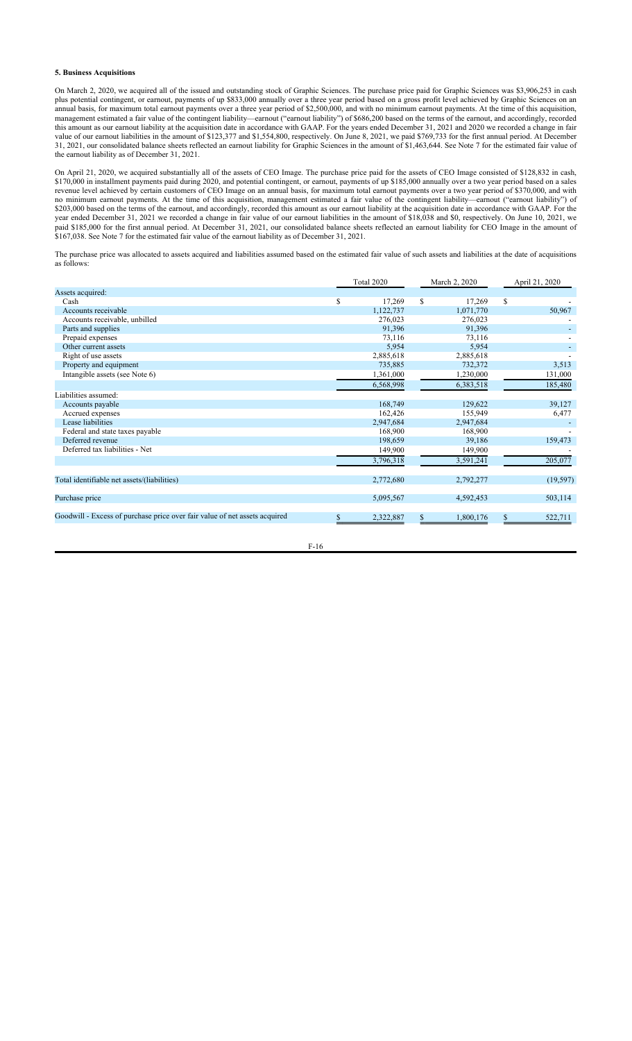## **5. Business Acquisitions**

On March 2, 2020, we acquired all of the issued and outstanding stock of Graphic Sciences. The purchase price paid for Graphic Sciences was \$3,906,253 in cash plus potential contingent, or earnout, payments of up \$833,000 annually over a three year period based on a gross profit level achieved by Graphic Sciences on an annual basis, for maximum total earnout payments over a three year period of \$2,500,000, and with no minimum earnout payments. At the time of this acquisition, management estimated a fair value of the contingent liability—earnout ("earnout liability") of \$686,200 based on the terms of the earnout, and accordingly, recorded this amount as our earnout liability at the acquisition date in accordance with GAAP. For the years ended December 31, 2021 and 2020 we recorded a change in fair value of our earnout liabilities in the amount of \$123,377 and \$1,554,800, respectively. On June 8, 2021, we paid \$769,733 for the first annual period. At December 31, 2021, our consolidated balance sheets reflected an earnout liability for Graphic Sciences in the amount of \$1,463,644. See Note 7 for the estimated fair value of the earnout liability as of December 31, 2021.

On April 21, 2020, we acquired substantially all of the assets of CEO Image. The purchase price paid for the assets of CEO Image consisted of \$128,832 in cash, \$170,000 in installment payments paid during 2020, and potential contingent, or earnout, payments of up \$185,000 annually over a two year period based on a sales revenue level achieved by certain customers of CEO Image on an annual basis, for maximum total earnout payments over a two year period of \$370,000, and with no minimum earnout payments. At the time of this acquisition, management estimated a fair value of the contingent liability—earnout ("earnout liability") of \$203,000 based on the terms of the earnout, and accordingly, recorded this amount as our earnout liability at the acquisition date in accordance with GAAP. For the year ended December 31, 2021 we recorded a change in fair value of our earnout liabilities in the amount of \$18,038 and \$0, respectively. On June 10, 2021, we paid \$185,000 for the first annual period. At December 31, 2021, our consolidated balance sheets reflected an earnout liability for CEO Image in the amount of \$167,038. See Note 7 for the estimated fair value of the earnout liability as of December 31, 2021.

The purchase price was allocated to assets acquired and liabilities assumed based on the estimated fair value of such assets and liabilities at the date of acquisitions as follows:

|                                                                            |   | Total 2020 |     | March 2, 2020 |    | April 21, 2020 |
|----------------------------------------------------------------------------|---|------------|-----|---------------|----|----------------|
| Assets acquired:                                                           |   |            |     |               |    |                |
| Cash                                                                       | S | 17,269     | \$  | 17,269        | \$ |                |
| Accounts receivable                                                        |   | 1,122,737  |     | 1,071,770     |    | 50,967         |
| Accounts receivable, unbilled                                              |   | 276,023    |     | 276,023       |    |                |
| Parts and supplies                                                         |   | 91,396     |     | 91,396        |    |                |
| Prepaid expenses                                                           |   | 73,116     |     | 73,116        |    |                |
| Other current assets                                                       |   | 5,954      |     | 5,954         |    |                |
| Right of use assets                                                        |   | 2,885,618  |     | 2,885,618     |    |                |
| Property and equipment                                                     |   | 735,885    |     | 732,372       |    | 3,513          |
| Intangible assets (see Note 6)                                             |   | 1,361,000  |     | 1,230,000     |    | 131,000        |
|                                                                            |   | 6,568,998  |     | 6,383,518     |    | 185,480        |
| Liabilities assumed:                                                       |   |            |     |               |    |                |
| Accounts payable                                                           |   | 168,749    |     | 129,622       |    | 39,127         |
| Accrued expenses                                                           |   | 162,426    |     | 155,949       |    | 6,477          |
| Lease liabilities                                                          |   | 2,947,684  |     | 2,947,684     |    |                |
| Federal and state taxes payable                                            |   | 168,900    |     | 168,900       |    |                |
| Deferred revenue                                                           |   | 198,659    |     | 39,186        |    | 159,473        |
| Deferred tax liabilities - Net                                             |   | 149,900    |     | 149,900       |    |                |
|                                                                            |   | 3,796,318  |     | 3,591,241     |    | 205,077        |
| Total identifiable net assets/(liabilities)                                |   | 2,772,680  |     | 2,792,277     |    | (19, 597)      |
|                                                                            |   |            |     |               |    |                |
| Purchase price                                                             |   | 5,095,567  |     | 4,592,453     |    | 503,114        |
| Goodwill - Excess of purchase price over fair value of net assets acquired |   | 2,322,887  | \$. | 1,800,176     | S. | 522,711        |
|                                                                            |   |            |     |               |    |                |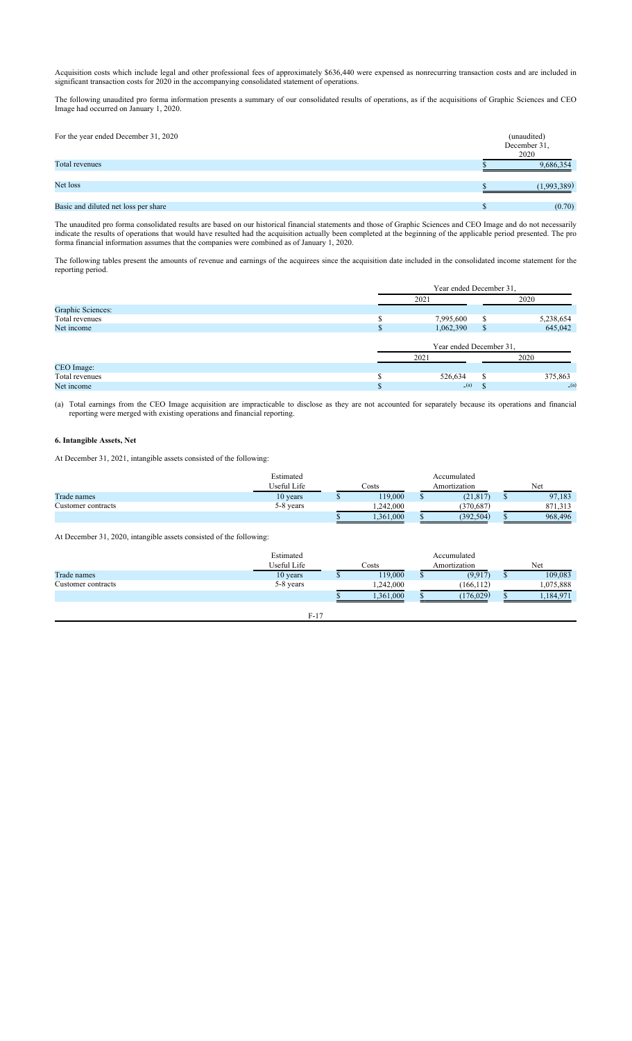Acquisition costs which include legal and other professional fees of approximately \$636,440 were expensed as nonrecurring transaction costs and are included in significant transaction costs for 2020 in the accompanying consolidated statement of operations.

The following unaudited pro forma information presents a summary of our consolidated results of operations, as if the acquisitions of Graphic Sciences and CEO Image had occurred on January 1, 2020.

| For the year ended December 31, 2020 | (unaudited)<br>December 31,<br>2020 |
|--------------------------------------|-------------------------------------|
| Total revenues                       | 9,686,354                           |
| Net loss                             | (1,993,389)                         |
| Basic and diluted net loss per share | (0.70)                              |

The unaudited pro forma consolidated results are based on our historical financial statements and those of Graphic Sciences and CEO Image and do not necessarily indicate the results of operations that would have resulted had the acquisition actually been completed at the beginning of the applicable period presented. The pro forma financial information assumes that the companies were combined as of January 1, 2020.

The following tables present the amounts of revenue and earnings of the acquirees since the acquisition date included in the consolidated income statement for the reporting period.

|                   |               | Year ended December 31, |      |           |  |  |  |  |  |
|-------------------|---------------|-------------------------|------|-----------|--|--|--|--|--|
|                   |               | 2021                    | 2020 |           |  |  |  |  |  |
| Graphic Sciences: |               |                         |      |           |  |  |  |  |  |
| Total revenues    |               | 7,995,600               | S    | 5,238,654 |  |  |  |  |  |
| Net income        | <sup>\$</sup> | 1,062,390               | S    | 645,042   |  |  |  |  |  |
|                   |               | Year ended December 31, |      |           |  |  |  |  |  |
|                   |               | 2021                    |      | 2020      |  |  |  |  |  |
| CEO Image:        |               |                         |      |           |  |  |  |  |  |
| Total revenues    | $\triangle$   | 526,634                 | S    | 375,863   |  |  |  |  |  |
| Net income        |               | (a)                     |      | (a)       |  |  |  |  |  |

(a) Total earnings from the CEO Image acquisition are impracticable to disclose as they are not accounted for separately because its operations and financial reporting were merged with existing operations and financial reporting.

# **6. Intangible Assets, Net**

At December 31, 2021, intangible assets consisted of the following:

|                    | Estimated   |       |           |  | Accumulated |         |              |  |     |
|--------------------|-------------|-------|-----------|--|-------------|---------|--------------|--|-----|
|                    | Useful Life | Costs |           |  |             |         | Amortization |  | Net |
| Trade names        | 10 vears    |       | 119,000   |  | (21, 817)   | 97,183  |              |  |     |
| Customer contracts | 5-8 years   |       | .242,000  |  | 370.687     | 871.313 |              |  |     |
|                    |             |       | 1,361,000 |  | (392,504)   | 968,496 |              |  |     |

At December 31, 2020, intangible assets consisted of the following:

|                    | Estimated   |           |           | Accumulated  |           |
|--------------------|-------------|-----------|-----------|--------------|-----------|
|                    | Useful Life | $\cos$ ts |           | Amortization | Net       |
| Trade names        | 10 years    |           | 119,000   | (9, 917)     | 109,083   |
| Customer contracts | 5-8 years   |           | .242.000  | (166, 112)   | 1,075,888 |
|                    |             |           | 1.361.000 | (176, 029)   | 1,184,971 |
|                    |             |           |           |              |           |

| _ |  |
|---|--|
|   |  |
|   |  |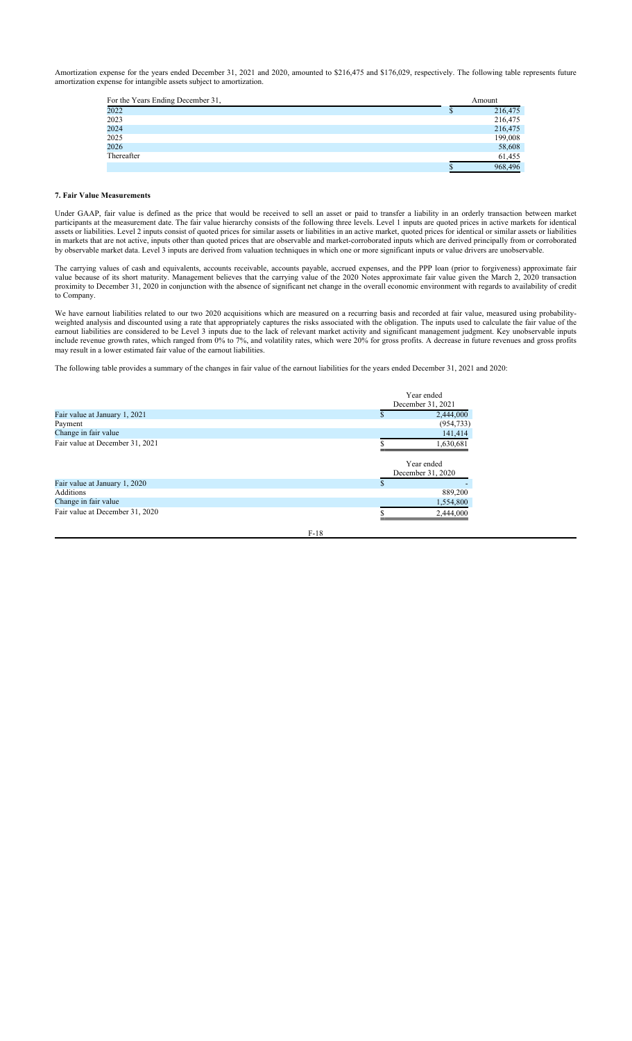Amortization expense for the years ended December 31, 2021 and 2020, amounted to \$216,475 and \$176,029, respectively. The following table represents future amortization expense for intangible assets subject to amortization.

| For the Years Ending December 31, |  | Amount  |
|-----------------------------------|--|---------|
| 2022                              |  | 216,475 |
| 2023                              |  | 216,475 |
| 2024                              |  | 216,475 |
| 2025                              |  | 199,008 |
| 2026                              |  | 58,608  |
| Thereafter                        |  | 61,455  |
|                                   |  | 968,496 |

## **7. Fair Value Measurements**

Under GAAP, fair value is defined as the price that would be received to sell an asset or paid to transfer a liability in an orderly transaction between market participants at the measurement date. The fair value hierarchy consists of the following three levels. Level 1 inputs are quoted prices in active markets for identical assets or liabilities. Level 2 inputs consist of quoted prices for similar assets or liabilities in an active market, quoted prices for identical or similar assets or liabilities in markets that are not active, inputs other than quoted prices that are observable and market-corroborated inputs which are derived principally from or corroborated by observable market data. Level 3 inputs are derived from valuation techniques in which one or more significant inputs or value drivers are unobservable.

The carrying values of cash and equivalents, accounts receivable, accounts payable, accrued expenses, and the PPP loan (prior to forgiveness) approximate fair value because of its short maturity. Management believes that the carrying value of the 2020 Notes approximate fair value given the March 2, 2020 transaction proximity to December 31, 2020 in conjunction with the absence of significant net change in the overall economic environment with regards to availability of credit to Company.

We have earnout liabilities related to our two 2020 acquisitions which are measured on a recurring basis and recorded at fair value, measured using probabilityweighted analysis and discounted using a rate that appropriately captures the risks associated with the obligation. The inputs used to calculate the fair value of the such as associated with the obligation. The inputs used earnout liabilities are considered to be Level 3 inputs due to the lack of relevant market activity and significant management judgment. Key unobservable inputs include revenue growth rates, which ranged from 0% to 7%, and volatility rates, which were 20% for gross profits. A decrease in future revenues and gross profits may result in a lower estimated fair value of the earnout liabilities.

The following table provides a summary of the changes in fair value of the earnout liabilities for the years ended December 31, 2021 and 2020:

|                                 | Year ended<br>December 31, 2021 |
|---------------------------------|---------------------------------|
| Fair value at January 1, 2021   | 2,444,000                       |
| Payment                         | (954, 733)                      |
| Change in fair value            | 141,414                         |
| Fair value at December 31, 2021 | 1,630,681                       |
|                                 | Year ended<br>December 31, 2020 |
| Fair value at January 1, 2020   |                                 |
| Additions                       | 889,200                         |
| Change in fair value            | 1,554,800                       |
| Fair value at December 31, 2020 | 2,444,000                       |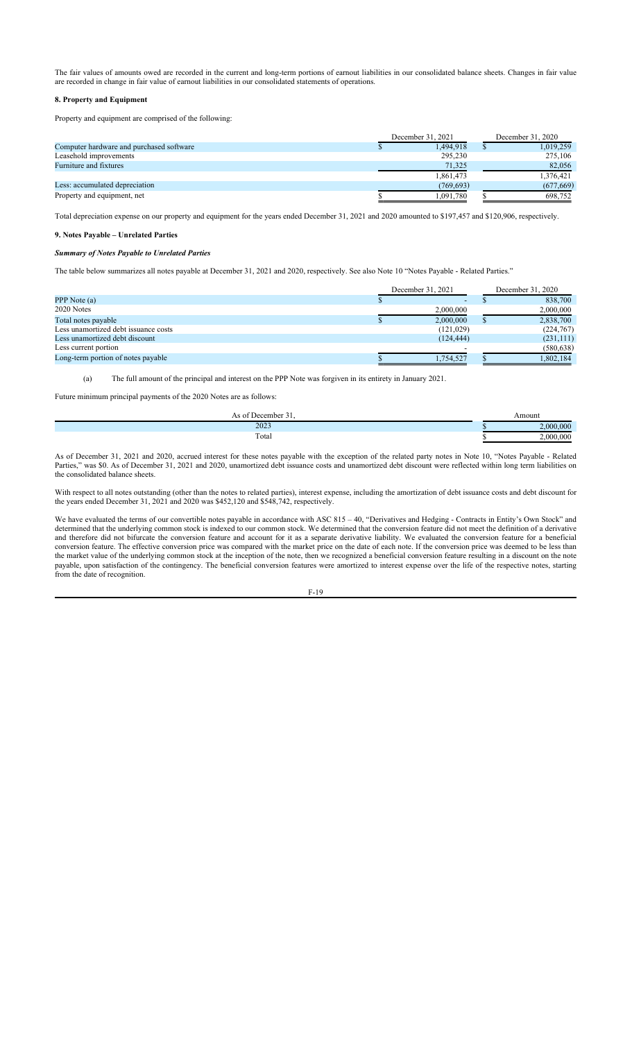The fair values of amounts owed are recorded in the current and long-term portions of earnout liabilities in our consolidated balance sheets. Changes in fair value are recorded in change in fair value of earnout liabilities in our consolidated statements of operations.

## **8. Property and Equipment**

Property and equipment are comprised of the following:

|                                          |  | December 31, 2021 |  | December 31, 2020 |  |
|------------------------------------------|--|-------------------|--|-------------------|--|
| Computer hardware and purchased software |  | 1.494.918         |  | 1,019,259         |  |
| Leasehold improvements                   |  | 295,230           |  | 275,106           |  |
| Furniture and fixtures                   |  | 71,325            |  | 82,056            |  |
|                                          |  | 1,861,473         |  | 1,376,421         |  |
| Less: accumulated depreciation           |  | (769, 693)        |  | (677, 669)        |  |
| Property and equipment, net              |  | 1,091,780         |  | 698,752           |  |

Total depreciation expense on our property and equipment for the years ended December 31, 2021 and 2020 amounted to \$197,457 and \$120,906, respectively.

# **9. Notes Payable – Unrelated Parties**

## *Summary of Notes Payable to Unrelated Parties*

The table below summarizes all notes payable at December 31, 2021 and 2020, respectively. See also Note 10 "Notes Payable - Related Parties."

|                                      |  | December 31, 2021 | December 31, 2020 |  |
|--------------------------------------|--|-------------------|-------------------|--|
| PPP Note (a)                         |  | -                 | 838,700           |  |
| 2020 Notes                           |  | 2,000,000         | 2,000,000         |  |
| Total notes payable                  |  | 2,000,000         | 2,838,700         |  |
| Less unamortized debt issuance costs |  | (121, 029)        | (224,767)         |  |
| Less unamortized debt discount       |  | (124, 444)        | (231,111)         |  |
| Less current portion                 |  |                   | (580, 638)        |  |
| Long-term portion of notes payable   |  | 1,754,527         | 1,802,184         |  |

(a) The full amount of the principal and interest on the PPP Note was forgiven in its entirety in January 2021.

Future minimum principal payments of the 2020 Notes are as follows:

| ان م ۱<br>tacamhar | Amoun. |
|--------------------|--------|
| 2023               | .000   |
| Total              | .000   |

As of December 31, 2021 and 2020, accrued interest for these notes payable with the exception of the related party notes in Note 10, "Notes Payable - Related Parties," was \$0. As of December 31, 2021 and 2020, unamortized debt issuance costs and unamortized debt discount were reflected within long term liabilities on the consolidated balance sheets.

With respect to all notes outstanding (other than the notes to related parties), interest expense, including the amortization of debt issuance costs and debt discount for the years ended December 31, 2021 and 2020 was \$452,120 and \$548,742, respectively.

We have evaluated the terms of our convertible notes payable in accordance with ASC 815 – 40, "Derivatives and Hedging - Contracts in Entity's Own Stock" and determined that the underlying common stock is indexed to our common stock. We determined that the conversion feature did not meet the definition of a derivative and therefore did not bifurcate the conversion feature and account for it as a separate derivative liability. We evaluated the conversion feature for a beneficial conversion feature. The effective conversion price was compared with the market price on the date of each note. If the conversion price was deemed to be less than the market value of the underlying common stock at the inception of the note, then we recognized a beneficial conversion feature resulting in a discount on the note payable, upon satisfaction of the contingency. The beneficial conversion features were amortized to interest expense over the life of the respective notes, starting from the date of recognition.

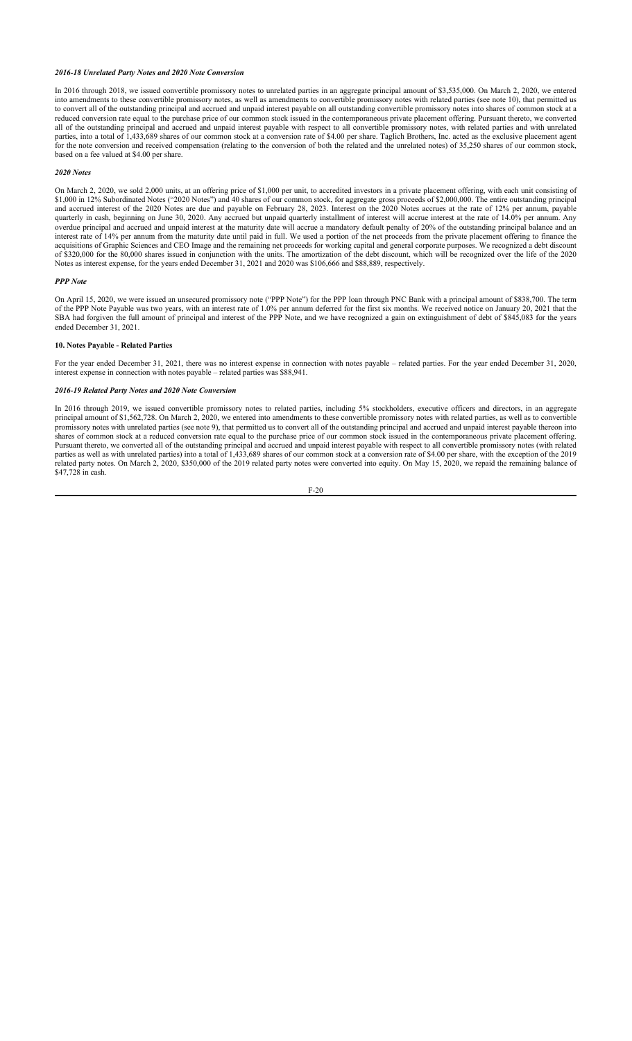## *2016-18 Unrelated Party Notes and 2020 Note Conversion*

In 2016 through 2018, we issued convertible promissory notes to unrelated parties in an aggregate principal amount of \$3,535,000. On March 2, 2020, we entered into amendments to these convertible promissory notes, as well as amendments to convertible promissory notes with related parties (see note 10), that permitted us to convert all of the outstanding principal and accrued and unpaid interest payable on all outstanding convertible promissory notes into shares of common stock at a reduced conversion rate equal to the purchase price of our common stock issued in the contemporaneous private placement offering. Pursuant thereto, we converted all of the outstanding principal and accrued and unpaid interest payable with respect to all convertible promissory notes, with related parties and with unrelated parties, into a total of 1,433,689 shares of our common stock at a conversion rate of \$4.00 per share. Taglich Brothers, Inc. acted as the exclusive placement agent for the note conversion and received compensation (relating to the conversion of both the related and the unrelated notes) of 35,250 shares of our common stock, based on a fee valued at \$4.00 per share.

### *2020 Notes*

On March 2, 2020, we sold 2,000 units, at an offering price of \$1,000 per unit, to accredited investors in a private placement offering, with each unit consisting of \$1,000 in 12% Subordinated Notes ("2020 Notes") and 40 shares of our common stock, for aggregate gross proceeds of \$2,000,000. The entire outstanding principal and accrued interest of the 2020 Notes are due and payable on February 28, 2023. Interest on the 2020 Notes accrues at the rate of 12% per annum, payable quarterly in cash, beginning on June 30, 2020. Any accrued but unpaid quarterly installment of interest will accrue interest at the rate of 14.0% per annum. Any overdue principal and accrued and unpaid interest at the maturity date will accrue a mandatory default penalty of 20% of the outstanding principal balance and an interest rate of 14% per annum from the maturity date until paid in full. We used a portion of the net proceeds from the private placement offering to finance the acquisitions of Graphic Sciences and CEO Image and the remaining net proceeds for working capital and general corporate purposes. We recognized a debt discount of \$320,000 for the 80,000 shares issued in conjunction with the units. The amortization of the debt discount, which will be recognized over the life of the 2020 Notes as interest expense, for the years ended December 31, 2021 and 2020 was \$106,666 and \$88,889, respectively.

## *PPP Note*

On April 15, 2020, we were issued an unsecured promissory note ("PPP Note") for the PPP loan through PNC Bank with a principal amount of \$838,700. The term of the PPP Note Payable was two years, with an interest rate of 1.0% per annum deferred for the first six months. We received notice on January 20, 2021 that the SBA had forgiven the full amount of principal and interest of the PPP Note, and we have recognized a gain on extinguishment of debt of \$845,083 for the years ended December 31, 2021.

### **10. Notes Payable - Related Parties**

For the year ended December 31, 2021, there was no interest expense in connection with notes payable – related parties. For the year ended December 31, 2020, interest expense in connection with notes payable – related parties was \$88,941.

## *2016-19 Related Party Notes and 2020 Note Conversion*

In 2016 through 2019, we issued convertible promissory notes to related parties, including 5% stockholders, executive officers and directors, in an aggregate principal amount of \$1,562,728. On March 2, 2020, we entered into amendments to these convertible promissory notes with related parties, as well as to convertible promissory notes with unrelated parties (see note 9), that permitted us to convert all of the outstanding principal and accrued and unpaid interest payable thereon into shares of common stock at a reduced conversion rate equal to the purchase price of our common stock issued in the contemporaneous private placement offering. Pursuant thereto, we converted all of the outstanding principal and accrued and unpaid interest payable with respect to all convertible promissory notes (with related parties as well as with unrelated parties) into a total of 1,433,689 shares of our common stock at a conversion rate of \$4.00 per share, with the exception of the 2019 related party notes. On March 2, 2020, \$350,000 of the 2019 related party notes were converted into equity. On May 15, 2020, we repaid the remaining balance of \$47,728 in cash.

$$
F-20
$$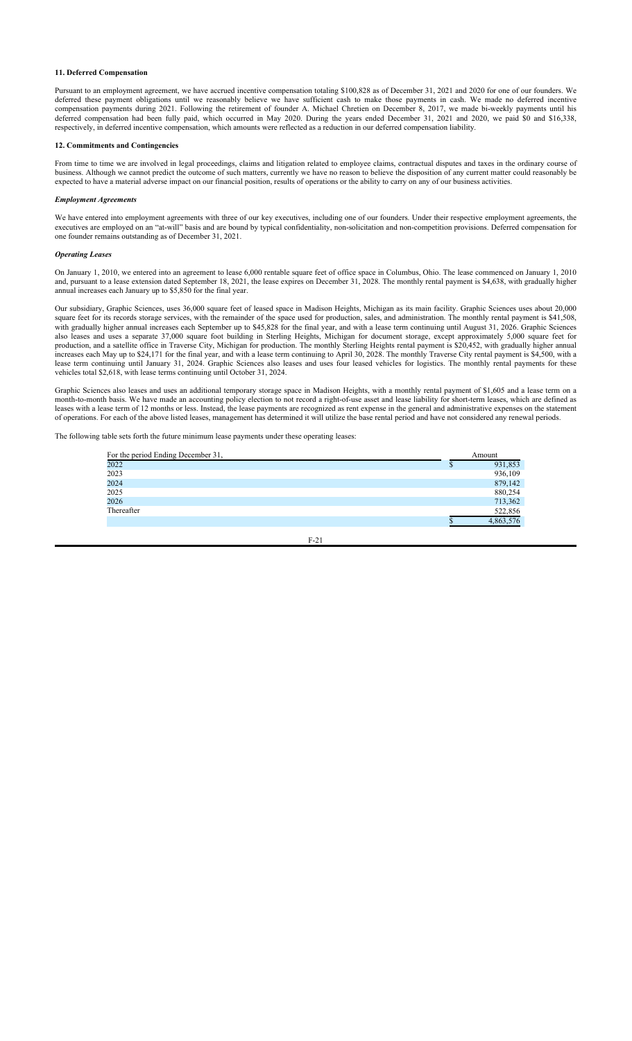## **11. Deferred Compensation**

Pursuant to an employment agreement, we have accrued incentive compensation totaling \$100,828 as of December 31, 2021 and 2020 for one of our founders. We deferred these payment obligations until we reasonably believe we have sufficient cash to make those payments in cash. We made no deferred incentive compensation payments during 2021. Following the retirement of founder A. Michael Chretien on December 8, 2017, we made bi-weekly payments until his deferred compensation had been fully paid, which occurred in May 2020. During the years ended December 31, 2021 and 2020, we paid \$0 and \$16,338, respectively, in deferred incentive compensation, which amounts were reflected as a reduction in our deferred compensation liability.

### **12. Commitments and Contingencies**

From time to time we are involved in legal proceedings, claims and litigation related to employee claims, contractual disputes and taxes in the ordinary course of business. Although we cannot predict the outcome of such matters, currently we have no reason to believe the disposition of any current matter could reasonably be expected to have a material adverse impact on our financial position, results of operations or the ability to carry on any of our business activities.

### *Employment Agreements*

We have entered into employment agreements with three of our key executives, including one of our founders. Under their respective employment agreements, the executives are employed on an "at-will" basis and are bound by typical confidentiality, non-solicitation and non-competition provisions. Deferred compensation for one founder remains outstanding as of December 31, 2021.

### *Operating Leases*

On January 1, 2010, we entered into an agreement to lease 6,000 rentable square feet of office space in Columbus, Ohio. The lease commenced on January 1, 2010 and, pursuant to a lease extension dated September 18, 2021, the lease expires on December 31, 2028. The monthly rental payment is \$4,638, with gradually higher annual increases each January up to \$5,850 for the final year.

Our subsidiary, Graphic Sciences, uses 36,000 square feet of leased space in Madison Heights, Michigan as its main facility. Graphic Sciences uses about 20,000 square feet for its records storage services, with the remainder of the space used for production, sales, and administration. The monthly rental payment is \$41,508, with gradually higher annual increases each September up to \$45,828 for the final year, and with a lease term continuing until August 31, 2026. Graphic Sciences also leases and uses a separate 37,000 square foot building in Sterling Heights, Michigan for document storage, except approximately 5,000 square feet for production, and a satellite office in Traverse City, Michigan for production. The monthly Sterling Heights rental payment is \$20,452, with gradually higher annual increases each May up to \$24,171 for the final year, and with a lease term continuing to April 30, 2028. The monthly Traverse City rental payment is \$4,500, with a lease term continuing until January 31, 2024. Graphic Sciences also leases and uses four leased vehicles for logistics. The monthly rental payments for these vehicles total \$2,618, with lease terms continuing until October 31, 2024.

Graphic Sciences also leases and uses an additional temporary storage space in Madison Heights, with a monthly rental payment of \$1,605 and a lease term on a month-to-month basis. We have made an accounting policy election to not record a right-of-use asset and lease liability for short-term leases, which are defined as leases with a lease term of 12 months or less. Instead, the lease payments are recognized as rent expense in the general and administrative expenses on the statement of operations. For each of the above listed leases, management has determined it will utilize the base rental period and have not considered any renewal periods.

The following table sets forth the future minimum lease payments under these operating leases:

| For the period Ending December 31, | Amount    |
|------------------------------------|-----------|
| 2022                               | 931,853   |
| 2023                               | 936,109   |
| 2024                               | 879,142   |
| 2025                               | 880,254   |
| 2026                               | 713,362   |
| Thereafter                         | 522,856   |
|                                    | 4,863,576 |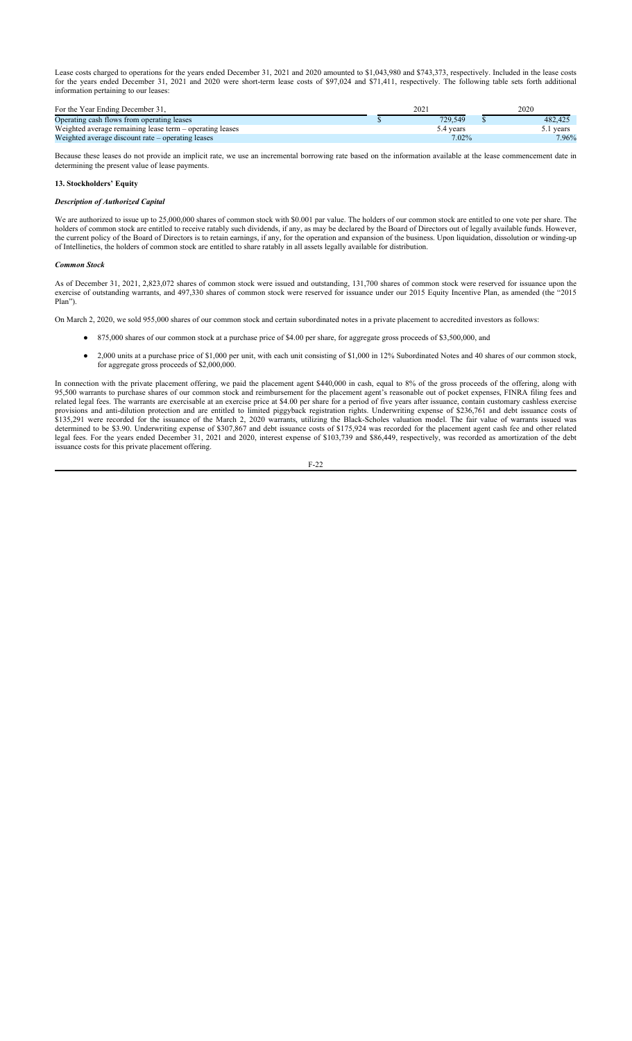Lease costs charged to operations for the years ended December 31, 2021 and 2020 amounted to \$1,043,980 and \$743,373, respectively. Included in the lease costs for the years ended December 31, 2021 and 2020 were short-term lease costs of \$97,024 and \$71,411, respectively. The following table sets forth additional information pertaining to our leases:

| For the Year Ending December 31.                         |  | 2021      | 2020      |  |
|----------------------------------------------------------|--|-----------|-----------|--|
| Operating cash flows from operating leases               |  | 729.549   | 482,425   |  |
| Weighted average remaining lease term – operating leases |  | 5.4 vears | 5.1 vears |  |
| Weighted average discount rate – operating leases        |  | 7.02%     | 7.96%     |  |

Because these leases do not provide an implicit rate, we use an incremental borrowing rate based on the information available at the lease commencement date in determining the present value of lease payments.

## **13. Stockholders' Equity**

### *Description of Authorized Capital*

We are authorized to issue up to 25,000,000 shares of common stock with \$0,001 par value. The holders of our common stock are entitled to one vote per share. The holders of common stock are entitled to receive ratably such dividends, if any, as may be declared by the Board of Directors out of legally available funds. However, the current policy of the Board of Directors is to retain earnings, if any, for the operation and expansion of the business. Upon liquidation, dissolution or winding-up of Intellinetics, the holders of common stock are entitled to share ratably in all assets legally available for distribution.

### *Common Stock*

As of December 31, 2021, 2,823,072 shares of common stock were issued and outstanding, 131,700 shares of common stock were reserved for issuance upon the exercise of outstanding warrants, and 497,330 shares of common stock were reserved for issuance under our 2015 Equity Incentive Plan, as amended (the "2015 Plan").

On March 2, 2020, we sold 955,000 shares of our common stock and certain subordinated notes in a private placement to accredited investors as follows:

- 875,000 shares of our common stock at a purchase price of \$4.00 per share, for aggregate gross proceeds of \$3,500,000, and
- 2,000 units at a purchase price of \$1,000 per unit, with each unit consisting of \$1,000 in 12% Subordinated Notes and 40 shares of our common stock, for aggregate gross proceeds of \$2,000,000.

In connection with the private placement offering, we paid the placement agent \$440,000 in cash, equal to 8% of the gross proceeds of the offering, along with 95,500 warrants to purchase shares of our common stock and reimbursement for the placement agent's reasonable out of pocket expenses, FINRA filing fees and related legal fees. The warrants are exercisable at an exercise price at \$4.00 per share for a period of five years after issuance, contain customary cashless exercise provisions and anti-dilution protection and are entitled to limited piggyback registration rights. Underwriting expense of \$236,761 and debt issuance costs of \$135,291 were recorded for the issuance of the March 2, 2020 warrants, utilizing the Black-Scholes valuation model. The fair value of warrants issued was determined to be \$3.90. Underwriting expense of \$307,867 and debt issuance costs of \$175,924 was recorded for the placement agent cash fee and other related legal fees. For the years ended December 31, 2021 and 2020, interest expense of \$103,739 and \$86,449, respectively, was recorded as amortization of the debt issuance costs for this private placement offering.

$$
F-22
$$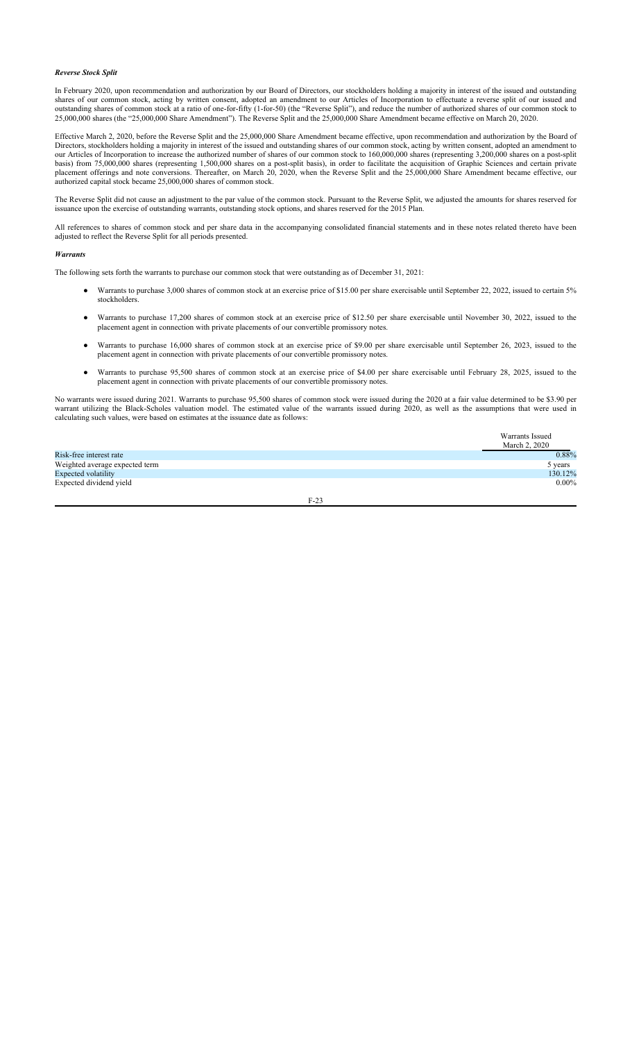## *Reverse Stock Split*

In February 2020, upon recommendation and authorization by our Board of Directors, our stockholders holding a majority in interest of the issued and outstanding shares of our common stock, acting by written consent, adopted an amendment to our Articles of Incorporation to effectuate a reverse split of our issued and outstanding shares of common stock at a ratio of one-for-fifty (1-for-50) (the "Reverse Split"), and reduce the number of authorized shares of our common stock to 25,000,000 shares (the "25,000,000 Share Amendment"). The Reverse Split and the 25,000,000 Share Amendment became effective on March 20, 2020.

Effective March 2, 2020, before the Reverse Split and the 25,000,000 Share Amendment became effective, upon recommendation and authorization by the Board of Directors, stockholders holding a majority in interest of the issued and outstanding shares of our common stock, acting by written consent, adopted an amendment to our Articles of Incorporation to increase the authorized number of shares of our common stock to 160,000,000 shares (representing 3,200,000 shares on a post-split basis) from 75,000,000 shares (representing 1,500,000 shares on a post-split basis), in order to facilitate the acquisition of Graphic Sciences and certain private placement offerings and note conversions. Thereafter, on March 20, 2020, when the Reverse Split and the 25,000,000 Share Amendment became effective, our authorized capital stock became 25,000,000 shares of common stock.

The Reverse Split did not cause an adjustment to the par value of the common stock. Pursuant to the Reverse Split, we adjusted the amounts for shares reserved for issuance upon the exercise of outstanding warrants, outstanding stock options, and shares reserved for the 2015 Plan.

All references to shares of common stock and per share data in the accompanying consolidated financial statements and in these notes related thereto have been adjusted to reflect the Reverse Split for all periods presented.

### *Warrants*

The following sets forth the warrants to purchase our common stock that were outstanding as of December 31, 2021:

- Warrants to purchase 3,000 shares of common stock at an exercise price of \$15.00 per share exercisable until September 22, 2022, issued to certain 5% stockholders.
- Warrants to purchase 17,200 shares of common stock at an exercise price of \$12.50 per share exercisable until November 30, 2022, issued to the placement agent in connection with private placements of our convertible promissory notes.
- Warrants to purchase 16,000 shares of common stock at an exercise price of \$9.00 per share exercisable until September 26, 2023, issued to the placement agent in connection with private placements of our convertible promissory notes.
- Warrants to purchase 95,500 shares of common stock at an exercise price of \$4.00 per share exercisable until February 28, 2025, issued to the placement agent in connection with private placements of our convertible promissory notes.

No warrants were issued during 2021. Warrants to purchase 95,500 shares of common stock were issued during the 2020 at a fair value determined to be \$3.90 per warrant utilizing the Black-Scholes valuation model. The estimated value of the warrants issued during 2020, as well as the assumptions that were used in calculating such values, were based on estimates at the issuance date as follows:

|                                | Warrants Issued<br>March 2, 2020 |
|--------------------------------|----------------------------------|
| Risk-free interest rate        | 0.88%                            |
| Weighted average expected term | 5 years                          |
| Expected volatility            | 130.12%                          |
| Expected dividend yield        | $0.00\%$                         |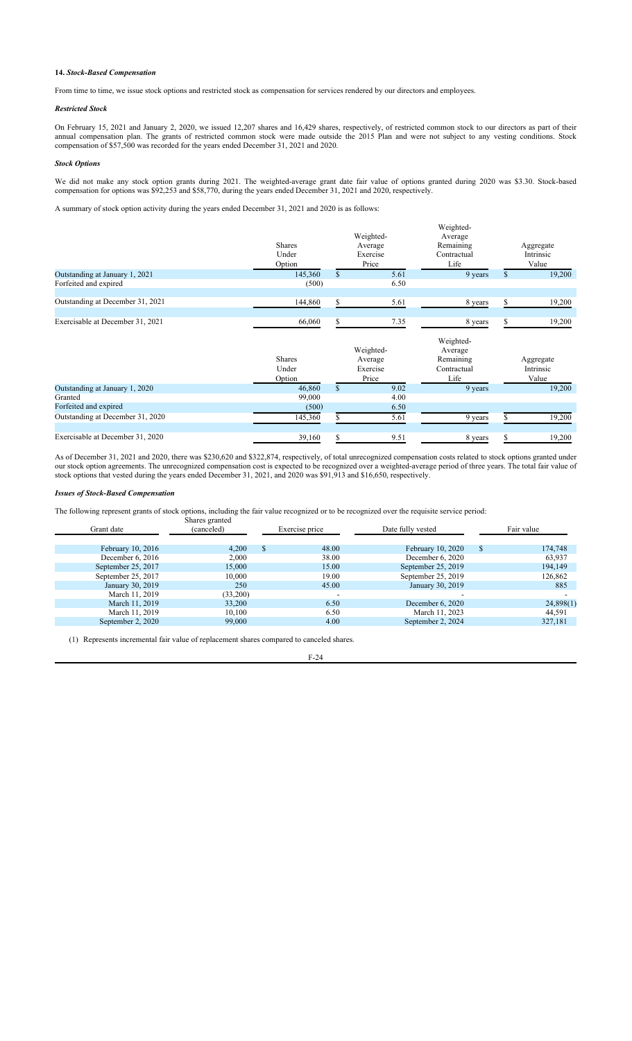## **14.** *Stock-Based Compensation*

From time to time, we issue stock options and restricted stock as compensation for services rendered by our directors and employees.

## *Restricted Stock*

On February 15, 2021 and January 2, 2020, we issued 12,207 shares and 16,429 shares, respectively, of restricted common stock to our directors as part of their annual compensation plan. The grants of restricted common stock were made outside the 2015 Plan and were not subject to any vesting conditions. Stock compensation of \$57,500 was recorded for the years ended December 31, 2021 and 2020.

# *Stock Options*

We did not make any stock option grants during 2021. The weighted-average grant date fair value of options granted during 2020 was \$3.30. Stock-based compensation for options was \$92,253 and \$58,770, during the years ended December 31, 2021 and 2020, respectively.

A summary of stock option activity during the years ended December 31, 2021 and 2020 is as follows:

|                                  | <b>Shares</b><br>Under<br>Option |              | Weighted-<br>Average<br>Exercise<br>Price | Weighted-<br>Average<br>Remaining<br>Contractual<br>Life | Aggregate<br>Intrinsic<br>Value |
|----------------------------------|----------------------------------|--------------|-------------------------------------------|----------------------------------------------------------|---------------------------------|
| Outstanding at January 1, 2021   | 145,360                          | $\mathbb{S}$ | 5.61                                      | 9 years                                                  | 19,200                          |
| Forfeited and expired            | (500)                            |              | 6.50                                      |                                                          |                                 |
| Outstanding at December 31, 2021 | 144,860                          | S.           | 5.61                                      | 8 years                                                  | \$<br>19,200                    |
| Exercisable at December 31, 2021 | 66,060                           | S            | 7.35                                      | 8 years                                                  | 19,200                          |
|                                  | <b>Shares</b><br>Under<br>Option |              | Weighted-<br>Average<br>Exercise<br>Price | Weighted-<br>Average<br>Remaining<br>Contractual<br>Life | Aggregate<br>Intrinsic<br>Value |
| Outstanding at January 1, 2020   | 46,860                           | $\mathbb{S}$ | 9.02                                      | 9 years                                                  | 19,200                          |
| Granted                          | 99,000                           |              | 4.00                                      |                                                          |                                 |
| Forfeited and expired            | (500)                            |              | 6.50                                      |                                                          |                                 |
| Outstanding at December 31, 2020 | 145,360                          |              | 5.61                                      | 9 years                                                  | 19,200                          |
| Exercisable at December 31, 2020 | 39,160                           | \$           | 9.51                                      | 8 years                                                  | \$<br>19,200                    |

As of December 31, 2021 and 2020, there was \$230,620 and \$322,874, respectively, of total unrecognized compensation costs related to stock options granted under our stock option agreements. The unrecognized compensation cost is expected to be recognized over a weighted-average period of three years. The total fair value of stock options that vested during the years ended December 31, 2021, and 2020 was \$91,913 and \$16,650, respectively.

## *Issues of Stock-Based Compensation*

The following represent grants of stock options, including the fair value recognized or to be recognized over the requisite service period:

| Grant date         | Shares granted<br>(canceled) | Exercise price           | Date fully vested  |              | Fair value |
|--------------------|------------------------------|--------------------------|--------------------|--------------|------------|
|                    |                              |                          |                    |              |            |
| February 10, 2016  | 4.200                        | \$<br>48.00              | February 10, 2020  | <sup>S</sup> | 174,748    |
| December 6, 2016   | 2.000                        | 38.00                    | December 6, 2020   |              | 63,937     |
| September 25, 2017 | 15,000                       | 15.00                    | September 25, 2019 |              | 194,149    |
| September 25, 2017 | 10,000                       | 19.00                    | September 25, 2019 |              | 126,862    |
| January 30, 2019   | 250                          | 45.00                    | January 30, 2019   |              | 885        |
| March 11, 2019     | (33,200)                     | $\overline{\phantom{a}}$ | -                  |              |            |
| March 11, 2019     | 33,200                       | 6.50                     | December $6, 2020$ |              | 24,898(1)  |
| March 11, 2019     | 10,100                       | 6.50                     | March 11, 2023     |              | 44,591     |
| September 2, 2020  | 99,000                       | 4.00                     | September 2, 2024  |              | 327,181    |
|                    |                              |                          |                    |              |            |

(1) Represents incremental fair value of replacement shares compared to canceled shares.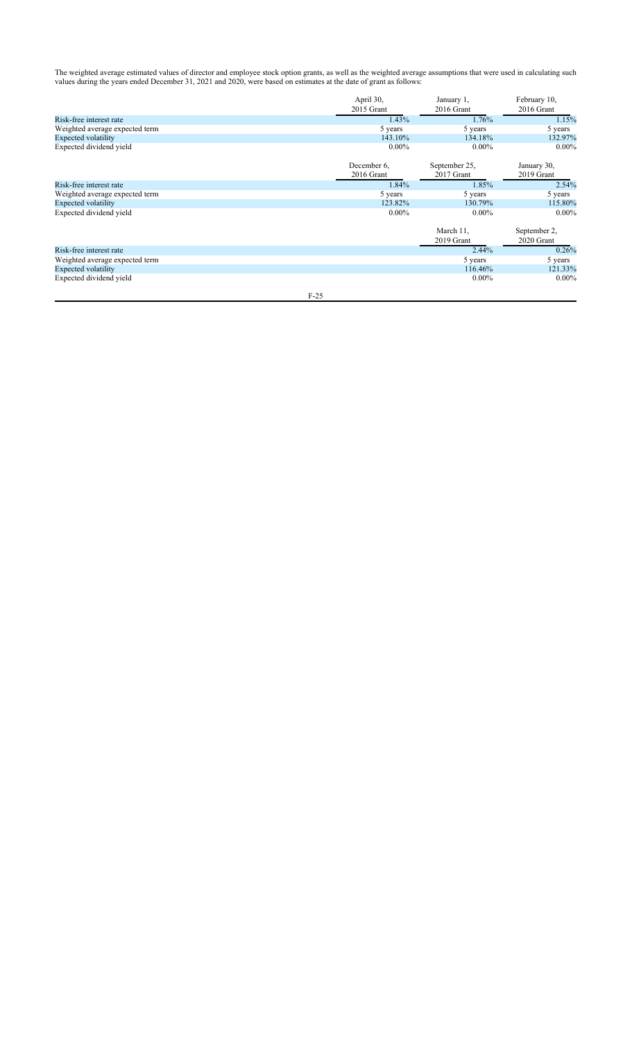The weighted average estimated values of director and employee stock option grants, as well as the weighted average assumptions that were used in calculating such values during the years ended December 31, 2021 and 2020, were based on estimates at the date of grant as follows:

|                                | April 30,<br>2015 Grant | January 1,<br>2016 Grant | February 10,<br>2016 Grant |
|--------------------------------|-------------------------|--------------------------|----------------------------|
| Risk-free interest rate        | 1.43%                   | 1.76%                    | 1.15%                      |
| Weighted average expected term | 5 years                 | 5 years                  | 5 years                    |
| Expected volatility            | 143.10%                 | 134.18%                  | 132.97%                    |
| Expected dividend yield        | $0.00\%$                | $0.00\%$                 | $0.00\%$                   |
|                                | December 6,             | September 25,            | January 30,                |
|                                | 2016 Grant              | 2017 Grant               | 2019 Grant                 |
| Risk-free interest rate        | 1.84%                   | 1.85%                    | 2.54%                      |
| Weighted average expected term | 5 years                 | 5 years                  | 5 years                    |
| Expected volatility            | 123.82%                 | 130.79%                  | 115.80%                    |
| Expected dividend yield        | $0.00\%$                | $0.00\%$                 | $0.00\%$                   |
|                                |                         | March 11,                | September 2,               |
|                                |                         | 2019 Grant               | 2020 Grant                 |
| Risk-free interest rate        |                         | 2.44%                    | 0.26%                      |
| Weighted average expected term |                         | 5 years                  | 5 years                    |
| Expected volatility            |                         | 116.46%                  | 121.33%                    |
| Expected dividend yield        |                         | $0.00\%$                 | $0.00\%$                   |
| $F-25$                         |                         |                          |                            |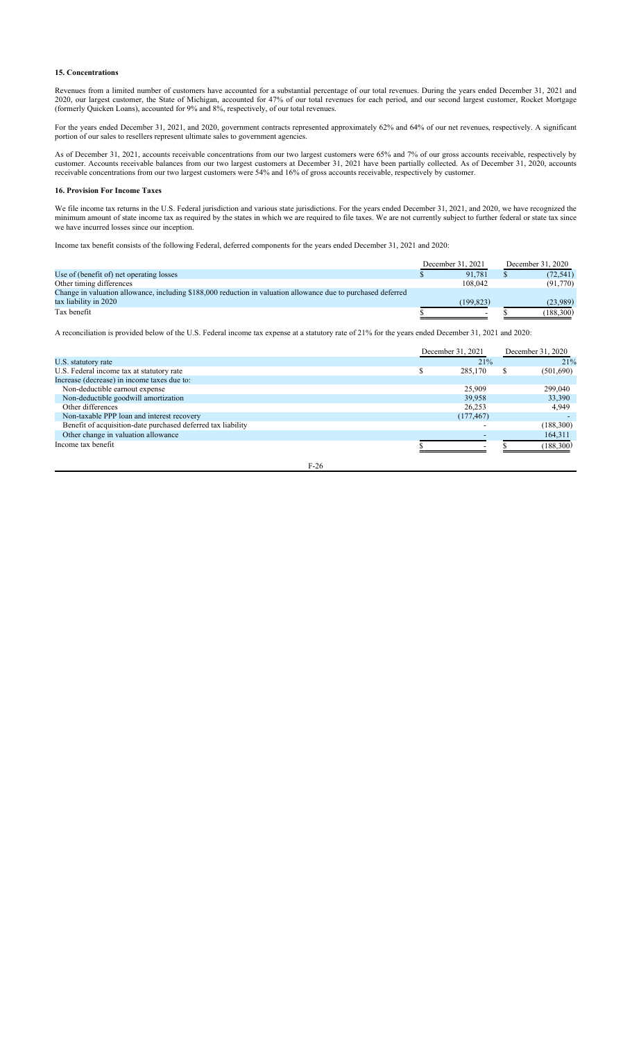## **15. Concentrations**

Revenues from a limited number of customers have accounted for a substantial percentage of our total revenues. During the years ended December 31, 2021 and 2020, our largest customer, the State of Michigan, accounted for 47% of our total revenues for each period, and our second largest customer, Rocket Mortgage (formerly Quicken Loans), accounted for 9% and 8%, respectively, of our total revenues.

For the years ended December 31, 2021, and 2020, government contracts represented approximately 62% and 64% of our net revenues, respectively. A significant portion of our sales to resellers represent ultimate sales to government agencies.

As of December 31, 2021, accounts receivable concentrations from our two largest customers were 65% and 7% of our gross accounts receivable, respectively by customer. Accounts receivable balances from our two largest customers at December 31, 2021 have been partially collected. As of December 31, 2020, accounts receivable concentrations from our two largest customers were 54% and 16% of gross accounts receivable, respectively by customer.

## **16. Provision For Income Taxes**

We file income tax returns in the U.S. Federal jurisdiction and various state jurisdictions. For the years ended December 31, 2021, and 2020, we have recognized the minimum amount of state income tax as required by the states in which we are required to file taxes. We are not currently subject to further federal or state tax since we have incurred losses since our inception.

Income tax benefit consists of the following Federal, deferred components for the years ended December 31, 2021 and 2020:

|                                                                                                               | December 31, 2021 |           | December 31, 2020 |           |
|---------------------------------------------------------------------------------------------------------------|-------------------|-----------|-------------------|-----------|
| Use of (benefit of) net operating losses                                                                      |                   | 91.781    |                   | (72, 541) |
| Other timing differences                                                                                      |                   | 108,042   |                   | (91,770)  |
| Change in valuation allowance, including \$188,000 reduction in valuation allowance due to purchased deferred |                   |           |                   |           |
| tax liability in 2020                                                                                         |                   | (199.823) |                   | (23.989)  |
| Tax benefit                                                                                                   |                   |           |                   | (188,300) |

A reconciliation is provided below of the U.S. Federal income tax expense at a statutory rate of 21% for the years ended December 31, 2021 and 2020:

|                                                              |        | December 31, 2021 |   | December 31, 2020 |  |
|--------------------------------------------------------------|--------|-------------------|---|-------------------|--|
| U.S. statutory rate                                          |        | 21%               |   | 21%               |  |
| U.S. Federal income tax at statutory rate                    |        | 285,170           | S | (501,690)         |  |
| Increase (decrease) in income taxes due to:                  |        |                   |   |                   |  |
| Non-deductible earnout expense                               |        | 25,909            |   | 299,040           |  |
| Non-deductible goodwill amortization                         |        | 39,958            |   | 33,390            |  |
| Other differences                                            |        | 26,253            |   | 4,949             |  |
| Non-taxable PPP loan and interest recovery                   |        | (177, 467)        |   |                   |  |
| Benefit of acquisition-date purchased deferred tax liability |        |                   |   | (188,300)         |  |
| Other change in valuation allowance                          |        |                   |   | 164,311           |  |
| Income tax benefit                                           |        |                   |   | (188,300)         |  |
|                                                              | $F-26$ |                   |   |                   |  |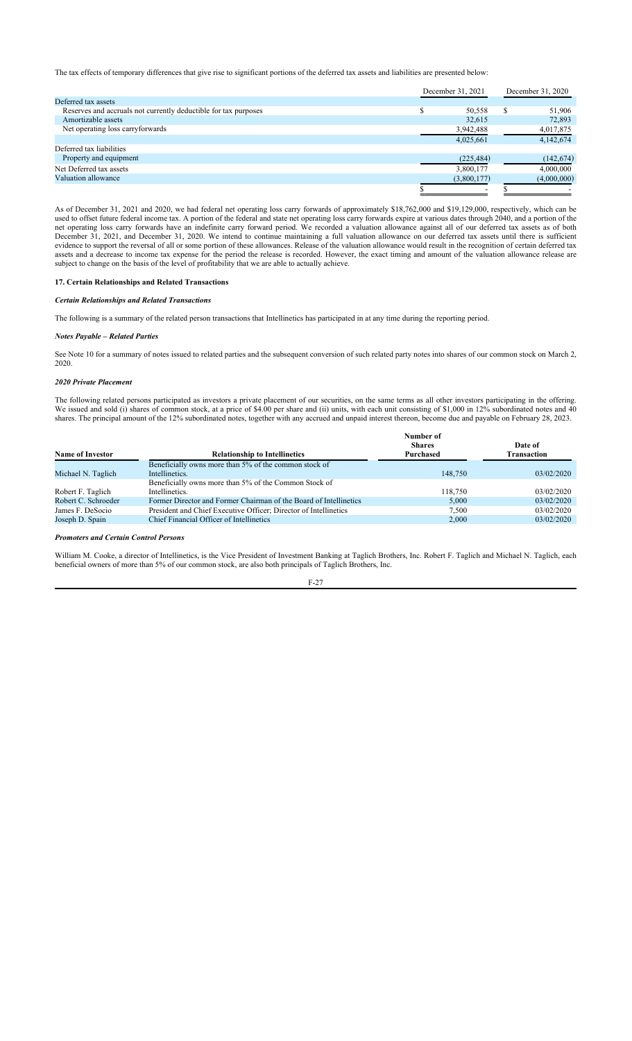The tax effects of temporary differences that give rise to significant portions of the deferred tax assets and liabilities are presented below:

|                                                                 | December 31, 2021 |  | December 31, 2020 |
|-----------------------------------------------------------------|-------------------|--|-------------------|
| Deferred tax assets                                             |                   |  |                   |
| Reserves and accruals not currently deductible for tax purposes | 50,558            |  | 51,906            |
| Amortizable assets                                              | 32,615            |  | 72,893            |
| Net operating loss carryforwards                                | 3,942,488         |  | 4,017,875         |
|                                                                 | 4,025,661         |  | 4,142,674         |
| Deferred tax liabilities                                        |                   |  |                   |
| Property and equipment                                          | (225, 484)        |  | (142, 674)        |
| Net Deferred tax assets                                         | 3,800,177         |  | 4,000,000         |
| Valuation allowance                                             | (3,800,177)       |  | (4,000,000)       |
|                                                                 |                   |  |                   |

As of December 31, 2021 and 2020, we had federal net operating loss carry forwards of approximately \$18,762,000 and \$19,129,000, respectively, which can be used to offset future federal income tax. A portion of the federal and state net operating loss carry forwards expire at various dates through 2040, and a portion of the net operating loss carry forwards have an indefinite carry forward period. We recorded a valuation allowance against all of our deferred tax assets as of both December 31, 2021, and December 31, 2020. We intend to continue maintaining a full valuation allowance on our deferred tax assets until there is sufficient evidence to support the reversal of all or some portion of these allowances. Release of the valuation allowance would result in the recognition of certain deferred tax assets and a decrease to income tax expense for the period the release is recorded. However, the exact timing and amount of the valuation allowance release are subject to change on the basis of the level of profitability that we are able to actually achieve.

## **17. Certain Relationships and Related Transactions**

*Certain Relationships and Related Transactions*

The following is a summary of the related person transactions that Intellinetics has participated in at any time during the reporting period.

## *Notes Payable – Related Parties*

See Note 10 for a summary of notes issued to related parties and the subsequent conversion of such related party notes into shares of our common stock on March 2, 2020.

### *2020 Private Placement*

The following related persons participated as investors a private placement of our securities, on the same terms as all other investors participating in the offering. We issued and sold (i) shares of common stock, at a price of \$4.00 per share and (ii) units, with each unit consisting of \$1,000 in 12% subordinated notes and 40 shares. The principal amount of the 12% subordinated notes, together with any accrued and unpaid interest thereon, become due and payable on February 28, 2023.

|                                                                   | Number of |               |  |
|-------------------------------------------------------------------|-----------|---------------|--|
|                                                                   |           | Date of       |  |
| <b>Relationship to Intellinetics</b>                              | Purchased | Transaction   |  |
| Beneficially owns more than 5% of the common stock of             |           |               |  |
| Intellinetics.                                                    | 148,750   | 03/02/2020    |  |
| Beneficially owns more than 5% of the Common Stock of             |           |               |  |
| Intellinetics.                                                    | 118,750   | 03/02/2020    |  |
| Former Director and Former Chairman of the Board of Intellinetics | 5.000     | 03/02/2020    |  |
| President and Chief Executive Officer; Director of Intellinetics  | 7.500     | 03/02/2020    |  |
| Chief Financial Officer of Intellinetics                          | 2,000     | 03/02/2020    |  |
|                                                                   |           | <b>Shares</b> |  |

*Promoters and Certain Control Persons*

William M. Cooke, a director of Intellinetics, is the Vice President of Investment Banking at Taglich Brothers, Inc. Robert F. Taglich and Michael N. Taglich, each beneficial owners of more than 5% of our common stock, are also both principals of Taglich Brothers, Inc.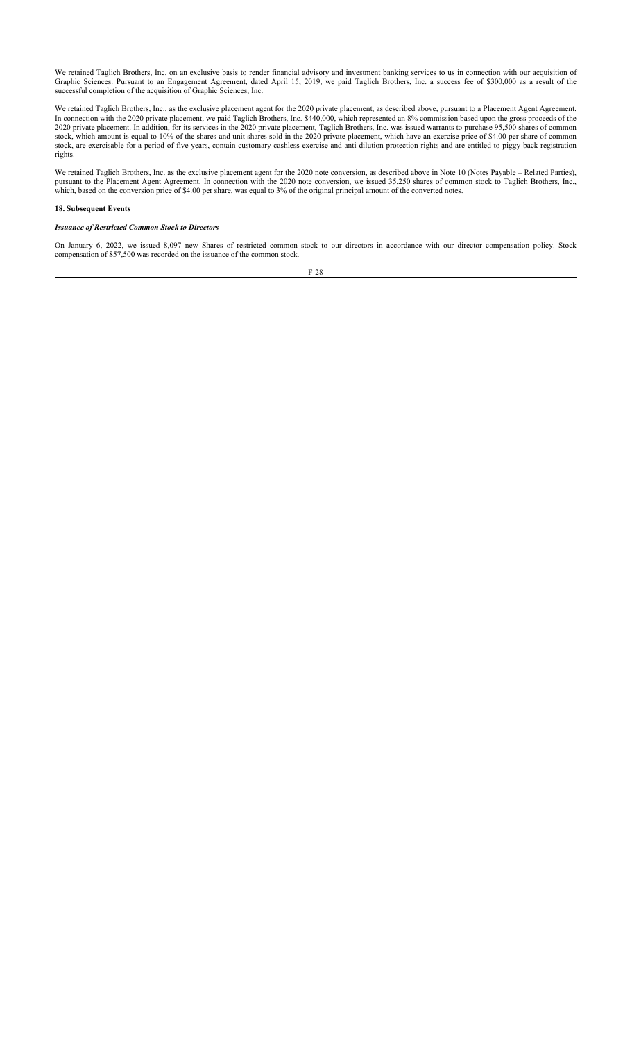We retained Taglich Brothers, Inc. on an exclusive basis to render financial advisory and investment banking services to us in connection with our acquisition of Graphic Sciences. Pursuant to an Engagement Agreement, dated April 15, 2019, we paid Taglich Brothers, Inc. a success fee of \$300,000 as a result of the successful completion of the acquisition of Graphic Sciences, Inc.

We retained Taglich Brothers, Inc., as the exclusive placement agent for the 2020 private placement, as described above, pursuant to a Placement Agent Agreement. In connection with the 2020 private placement, we paid Taglich Brothers, Inc. \$440,000, which represented an 8% commission based upon the gross proceeds of the 2020 private placement. In addition, for its services in the 2020 private placement, Taglich Brothers, Inc. was issued warrants to purchase 95,500 shares of common stock, which amount is equal to 10% of the shares and unit shares sold in the 2020 private placement, which have an exercise price of \$4.00 per share of common stock, are exercisable for a period of five years, contain customary cashless exercise and anti-dilution protection rights and are entitled to piggy-back registration rights.

We retained Taglich Brothers, Inc. as the exclusive placement agent for the 2020 note conversion, as described above in Note 10 (Notes Payable – Related Parties), pursuant to the Placement Agent Agreement. In connection with the 2020 note conversion, we issued 35,250 shares of common stock to Taglich Brothers, Inc., which, based on the conversion price of \$4.00 per share, was equal to 3% of the original principal amount of the converted notes.

#### **18. Subsequent Events**

### *Issuance of Restricted Common Stock to Directors*

On January 6, 2022, we issued 8,097 new Shares of restricted common stock to our directors in accordance with our director compensation policy. Stock compensation of \$57,500 was recorded on the issuance of the common stock.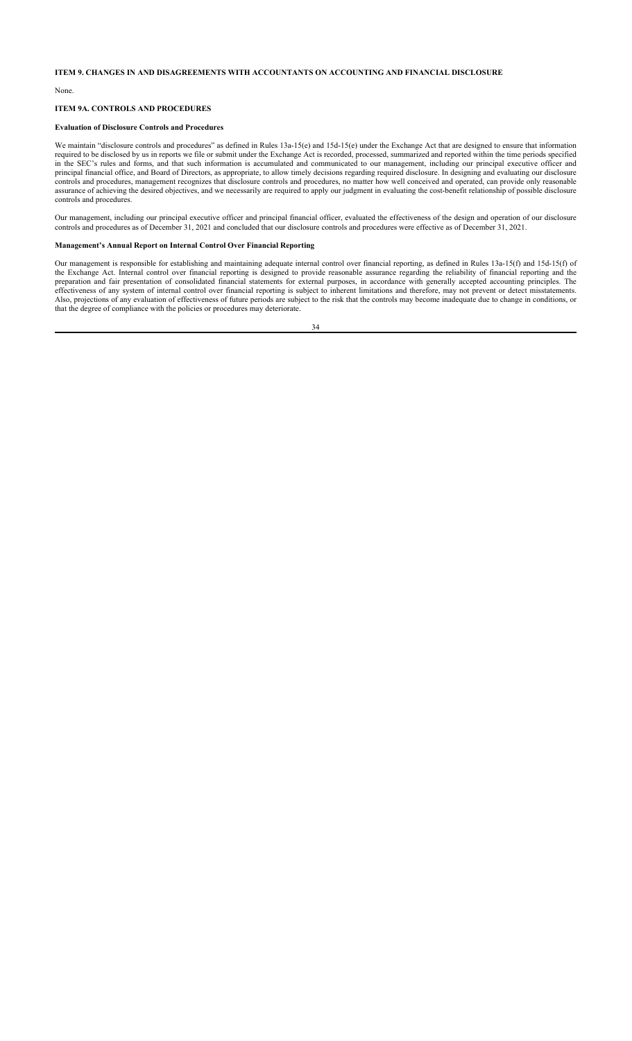## **ITEM 9. CHANGES IN AND DISAGREEMENTS WITH ACCOUNTANTS ON ACCOUNTING AND FINANCIAL DISCLOSURE**

None.

## **ITEM 9A. CONTROLS AND PROCEDURES**

## **Evaluation of Disclosure Controls and Procedures**

We maintain "disclosure controls and procedures" as defined in Rules 13a-15(e) and 15d-15(e) under the Exchange Act that are designed to ensure that information required to be disclosed by us in reports we file or submit under the Exchange Act is recorded, processed, summarized and reported within the time periods specified in the SEC's rules and forms, and that such information is accumulated and communicated to our management, including our principal executive officer and principal financial office, and Board of Directors, as appropriate, to allow timely decisions regarding required disclosure. In designing and evaluating our disclosure controls and procedures, management recognizes that disclosure controls and procedures, no matter how well conceived and operated, can provide only reasonable assurance of achieving the desired objectives, and we necessarily are required to apply our judgment in evaluating the cost-benefit relationship of possible disclosure controls and procedures.

Our management, including our principal executive officer and principal financial officer, evaluated the effectiveness of the design and operation of our disclosure controls and procedures as of December 31, 2021 and concluded that our disclosure controls and procedures were effective as of December 31, 2021.

## **Management's Annual Report on Internal Control Over Financial Reporting**

Our management is responsible for establishing and maintaining adequate internal control over financial reporting, as defined in Rules 13a-15(f) and 15d-15(f) of the Exchange Act. Internal control over financial reporting is designed to provide reasonable assurance regarding the reliability of financial reporting and the preparation and fair presentation of consolidated financial statements for external purposes, in accordance with generally accepted accounting principles. The effectiveness of any system of internal control over financial reporting is subject to inherent limitations and therefore, may not prevent or detect misstatements. Also, projections of any evaluation of effectiveness of future periods are subject to the risk that the controls may become inadequate due to change in conditions, or that the degree of compliance with the policies or procedures may deteriorate.

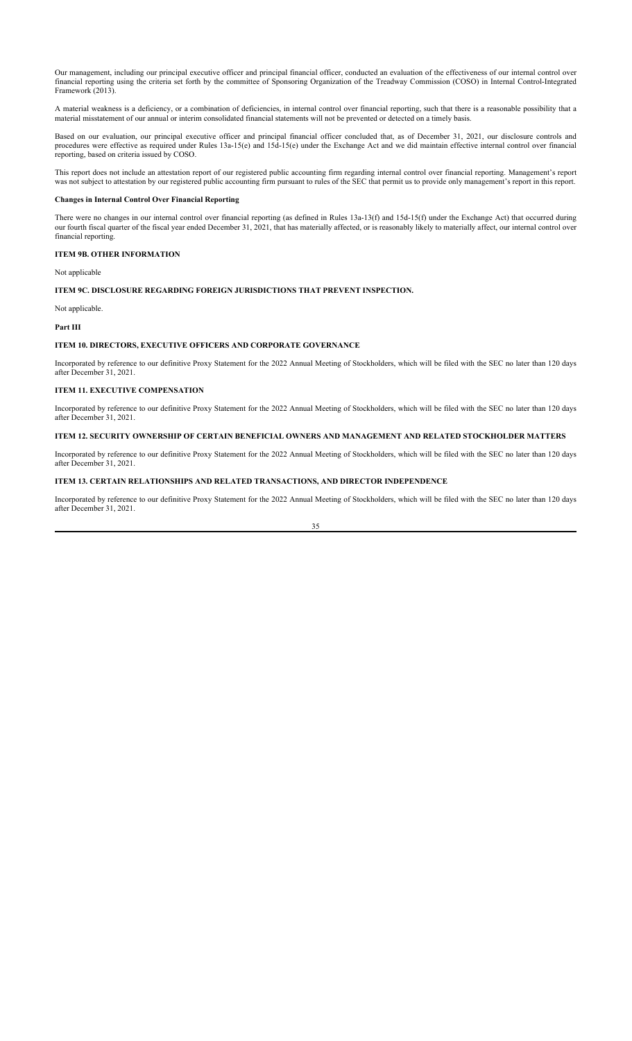Our management, including our principal executive officer and principal financial officer, conducted an evaluation of the effectiveness of our internal control over financial reporting using the criteria set forth by the committee of Sponsoring Organization of the Treadway Commission (COSO) in Internal Control-Integrated Framework (2013).

A material weakness is a deficiency, or a combination of deficiencies, in internal control over financial reporting, such that there is a reasonable possibility that a material misstatement of our annual or interim consolidated financial statements will not be prevented or detected on a timely basis.

Based on our evaluation, our principal executive officer and principal financial officer concluded that, as of December 31, 2021, our disclosure controls and procedures were effective as required under Rules 13a-15(e) and 15d-15(e) under the Exchange Act and we did maintain effective internal control over financial reporting, based on criteria issued by COSO.

This report does not include an attestation report of our registered public accounting firm regarding internal control over financial reporting. Management's report was not subject to attestation by our registered public accounting firm pursuant to rules of the SEC that permit us to provide only management's report in this report.

### **Changes in Internal Control Over Financial Reporting**

There were no changes in our internal control over financial reporting (as defined in Rules 13a-13(f) and 15d-15(f) under the Exchange Act) that occurred during our fourth fiscal quarter of the fiscal year ended December 31, 2021, that has materially affected, or is reasonably likely to materially affect, our internal control over financial reporting.

## **ITEM 9B. OTHER INFORMATION**

Not applicable

### **ITEM 9C. DISCLOSURE REGARDING FOREIGN JURISDICTIONS THAT PREVENT INSPECTION.**

Not applicable.

## **Part III**

# **ITEM 10. DIRECTORS, EXECUTIVE OFFICERS AND CORPORATE GOVERNANCE**

Incorporated by reference to our definitive Proxy Statement for the 2022 Annual Meeting of Stockholders, which will be filed with the SEC no later than 120 days after December 31, 2021.

### **ITEM 11. EXECUTIVE COMPENSATION**

Incorporated by reference to our definitive Proxy Statement for the 2022 Annual Meeting of Stockholders, which will be filed with the SEC no later than 120 days after December 31, 2021.

## **ITEM 12. SECURITY OWNERSHIP OF CERTAIN BENEFICIAL OWNERS AND MANAGEMENT AND RELATED STOCKHOLDER MATTERS**

Incorporated by reference to our definitive Proxy Statement for the 2022 Annual Meeting of Stockholders, which will be filed with the SEC no later than 120 days after December 31, 2021.

### **ITEM 13. CERTAIN RELATIONSHIPS AND RELATED TRANSACTIONS, AND DIRECTOR INDEPENDENCE**

Incorporated by reference to our definitive Proxy Statement for the 2022 Annual Meeting of Stockholders, which will be filed with the SEC no later than 120 days after December 31, 2021.

35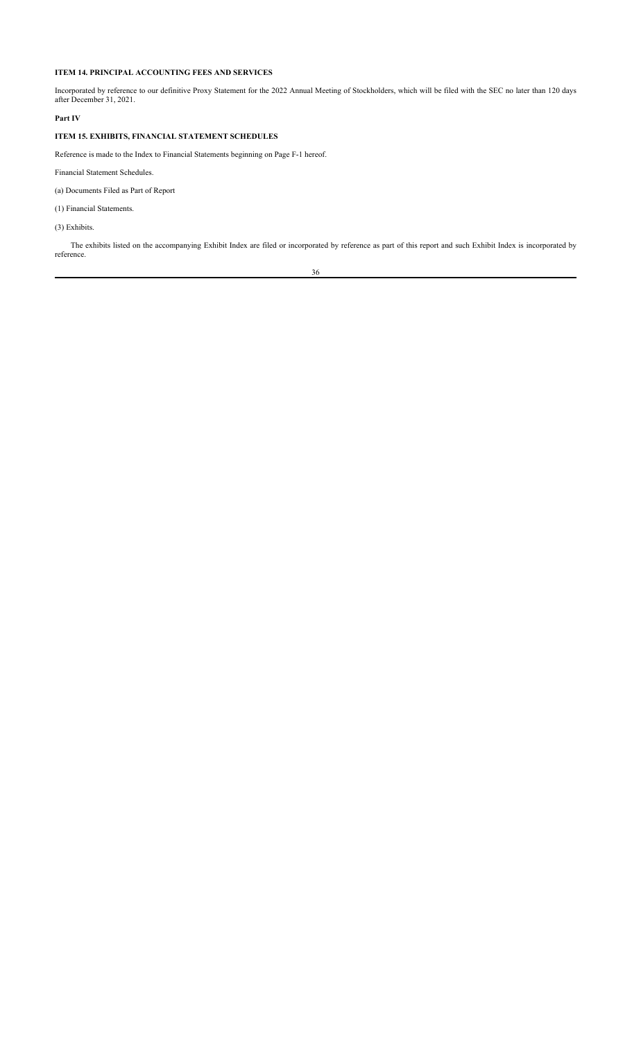# **ITEM 14. PRINCIPAL ACCOUNTING FEES AND SERVICES**

Incorporated by reference to our definitive Proxy Statement for the 2022 Annual Meeting of Stockholders, which will be filed with the SEC no later than 120 days after December 31, 2021.

# **Part IV**

# **ITEM 15. EXHIBITS, FINANCIAL STATEMENT SCHEDULES**

Reference is made to the Index to Financial Statements beginning on Page F-1 hereof.

Financial Statement Schedules.

(a) Documents Filed as Part of Report

(1) Financial Statements.

(3) Exhibits.

The exhibits listed on the accompanying Exhibit Index are filed or incorporated by reference as part of this report and such Exhibit Index is incorporated by reference.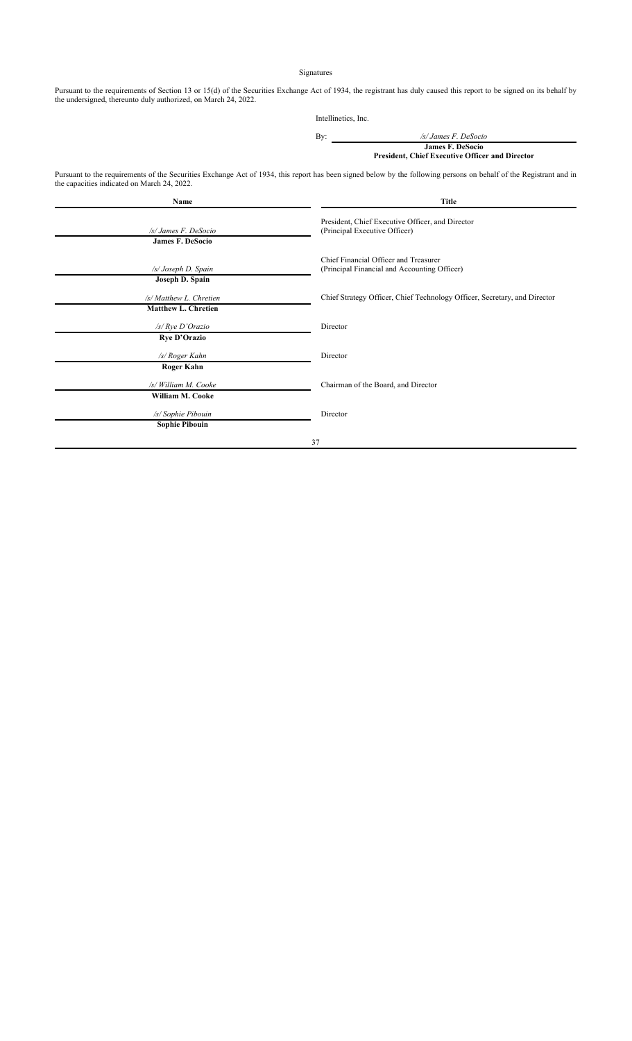## Signatures

Pursuant to the requirements of Section 13 or 15(d) of the Securities Exchange Act of 1934, the registrant has duly caused this report to be signed on its behalf by the undersigned, thereunto duly authorized, on March 24, 2022.

|     | Intellinetics, Inc.                                                               |
|-----|-----------------------------------------------------------------------------------|
| By: | /s/ James F. DeSocio                                                              |
|     | <b>James F. DeSocio</b><br><b>President, Chief Executive Officer and Director</b> |

Pursuant to the requirements of the Securities Exchange Act of 1934, this report has been signed below by the following persons on behalf of the Registrant and in the capacities indicated on March 24, 2022.

| Name                                                  | Title                                                                                 |
|-------------------------------------------------------|---------------------------------------------------------------------------------------|
| /s/ James F. DeSocio<br><b>James F. DeSocio</b>       | President, Chief Executive Officer, and Director<br>(Principal Executive Officer)     |
| /s/ Joseph D. Spain<br>Joseph D. Spain                | Chief Financial Officer and Treasurer<br>(Principal Financial and Accounting Officer) |
| /s/ Matthew L. Chretien<br><b>Matthew L. Chretien</b> | Chief Strategy Officer, Chief Technology Officer, Secretary, and Director             |
| $/s$ / $Rye$ D'Orazio<br><b>Rye D'Orazio</b>          | Director                                                                              |
| /s/ Roger Kahn<br><b>Roger Kahn</b>                   | Director                                                                              |
| /s/ William M. Cooke<br>William M. Cooke              | Chairman of the Board, and Director                                                   |
| /s/ Sophie Pibouin<br><b>Sophie Pibouin</b>           | Director                                                                              |
|                                                       | 37                                                                                    |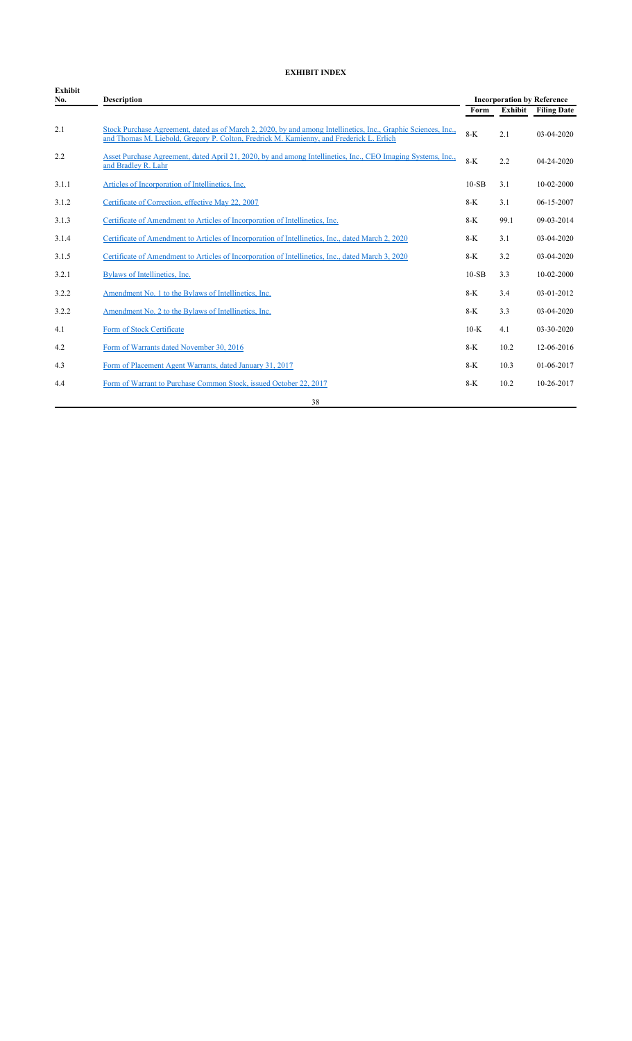# **EXHIBIT INDEX**

| <b>Exhibit</b><br>No. | <b>Description</b>                                                                                                                                                                                        |         | <b>Incorporation by Reference</b> |                    |  |
|-----------------------|-----------------------------------------------------------------------------------------------------------------------------------------------------------------------------------------------------------|---------|-----------------------------------|--------------------|--|
|                       |                                                                                                                                                                                                           | Form    | Exhibit                           | <b>Filing Date</b> |  |
| 2.1                   | Stock Purchase Agreement, dated as of March 2, 2020, by and among Intellinetics, Inc., Graphic Sciences, Inc.,<br>and Thomas M. Liebold, Gregory P. Colton, Fredrick M. Kamienny, and Frederick L. Erlich | $8-K$   | 2.1                               | 03-04-2020         |  |
| 2.2                   | Asset Purchase Agreement, dated April 21, 2020, by and among Intellinetics, Inc., CEO Imaging Systems, Inc.,<br>and Bradley R. Lahr                                                                       | $8-K$   | 2.2                               | 04-24-2020         |  |
| 3.1.1                 | Articles of Incorporation of Intellinetics, Inc.                                                                                                                                                          | $10-SB$ | 3.1                               | 10-02-2000         |  |
| 3.1.2                 | Certificate of Correction, effective May 22, 2007                                                                                                                                                         | $8-K$   | 3.1                               | 06-15-2007         |  |
| 3.1.3                 | Certificate of Amendment to Articles of Incorporation of Intellinetics, Inc.                                                                                                                              | $8-K$   | 99.1                              | 09-03-2014         |  |
| 3.1.4                 | Certificate of Amendment to Articles of Incorporation of Intellinetics, Inc., dated March 2, 2020                                                                                                         | $8-K$   | 3.1                               | 03-04-2020         |  |
| 3.1.5                 | Certificate of Amendment to Articles of Incorporation of Intellinetics, Inc., dated March 3, 2020                                                                                                         | $8-K$   | 3.2                               | 03-04-2020         |  |
| 3.2.1                 | Bylaws of Intellinetics, Inc.                                                                                                                                                                             | $10-SB$ | 3.3                               | 10-02-2000         |  |
| 3.2.2                 | Amendment No. 1 to the Bylaws of Intellinetics, Inc.                                                                                                                                                      | $8-K$   | 3.4                               | 03-01-2012         |  |
| 3.2.2                 | Amendment No. 2 to the Bylaws of Intellinetics, Inc.                                                                                                                                                      | $8-K$   | 3.3                               | 03-04-2020         |  |
| 4.1                   | Form of Stock Certificate                                                                                                                                                                                 | $10-K$  | 4.1                               | 03-30-2020         |  |
| 4.2                   | Form of Warrants dated November 30, 2016                                                                                                                                                                  | $8-K$   | 10.2                              | 12-06-2016         |  |
| 4.3                   | Form of Placement Agent Warrants, dated January 31, 2017                                                                                                                                                  | $8-K$   | 10.3                              | 01-06-2017         |  |
| 4.4                   | Form of Warrant to Purchase Common Stock, issued October 22, 2017                                                                                                                                         | $8-K$   | 10.2                              | 10-26-2017         |  |
|                       | 38                                                                                                                                                                                                        |         |                                   |                    |  |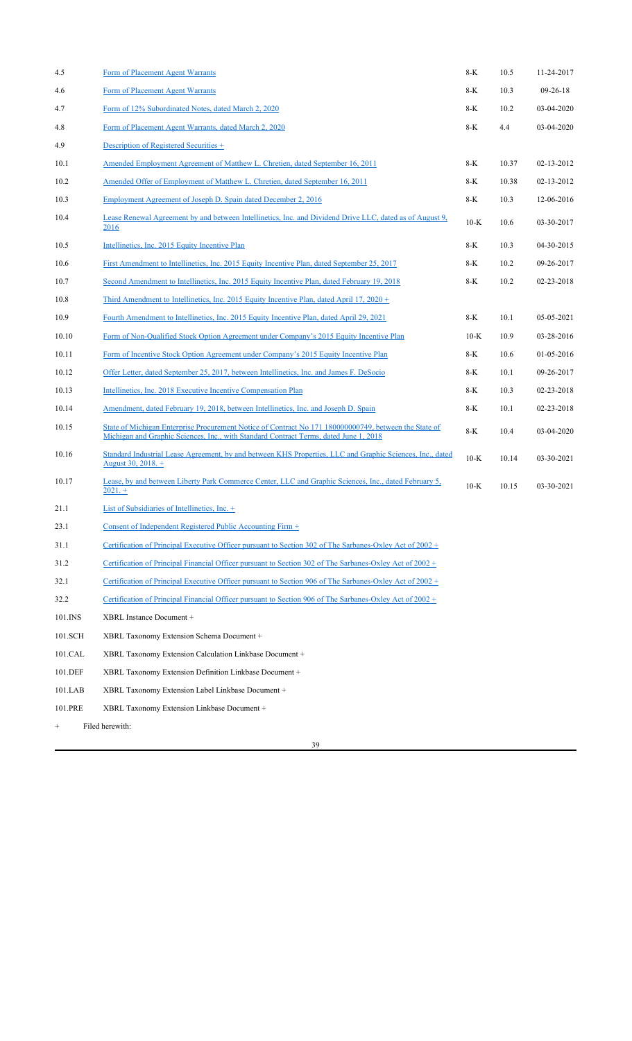| 4.5             | Form of Placement Agent Warrants                                                                                                                                                               | 8-K    | 10.5  | 11-24-2017 |
|-----------------|------------------------------------------------------------------------------------------------------------------------------------------------------------------------------------------------|--------|-------|------------|
| 4.6             | Form of Placement Agent Warrants                                                                                                                                                               | 8-K    | 10.3  | $09-26-18$ |
| 4.7             | Form of 12% Subordinated Notes, dated March 2, 2020                                                                                                                                            | 8-K    | 10.2  | 03-04-2020 |
| 4.8             | Form of Placement Agent Warrants, dated March 2, 2020                                                                                                                                          | 8-K    | 4.4   | 03-04-2020 |
| 4.9             | Description of Registered Securities +                                                                                                                                                         |        |       |            |
| 10.1            | Amended Employment Agreement of Matthew L. Chretien, dated September 16, 2011                                                                                                                  | 8-K    | 10.37 | 02-13-2012 |
| 10.2            | Amended Offer of Employment of Matthew L. Chretien, dated September 16, 2011                                                                                                                   | 8-K    | 10.38 | 02-13-2012 |
| 10.3            | Employment Agreement of Joseph D. Spain dated December 2, 2016                                                                                                                                 | 8-K    | 10.3  | 12-06-2016 |
| 10.4            | Lease Renewal Agreement by and between Intellinetics, Inc. and Dividend Drive LLC, dated as of August 9,<br>2016                                                                               | $10-K$ | 10.6  | 03-30-2017 |
| 10.5            | Intellinetics, Inc. 2015 Equity Incentive Plan                                                                                                                                                 | 8-K    | 10.3  | 04-30-2015 |
| 10.6            | First Amendment to Intellinetics, Inc. 2015 Equity Incentive Plan, dated September 25, 2017                                                                                                    | 8-K    | 10.2  | 09-26-2017 |
| 10.7            | Second Amendment to Intellinetics, Inc. 2015 Equity Incentive Plan, dated February 19, 2018                                                                                                    | 8-K    | 10.2  | 02-23-2018 |
| 10.8            | Third Amendment to Intellinetics, Inc. 2015 Equity Incentive Plan, dated April 17, 2020 +                                                                                                      |        |       |            |
| 10.9            | Fourth Amendment to Intellinetics, Inc. 2015 Equity Incentive Plan, dated April 29, 2021                                                                                                       | 8-K    | 10.1  | 05-05-2021 |
| 10.10           | Form of Non-Qualified Stock Option Agreement under Company's 2015 Equity Incentive Plan                                                                                                        | $10-K$ | 10.9  | 03-28-2016 |
| 10.11           | Form of Incentive Stock Option Agreement under Company's 2015 Equity Incentive Plan                                                                                                            | 8-K    | 10.6  | 01-05-2016 |
| 10.12           | Offer Letter, dated September 25, 2017, between Intellinetics, Inc. and James F. DeSocio                                                                                                       | 8-K    | 10.1  | 09-26-2017 |
| 10.13           | Intellinetics, Inc. 2018 Executive Incentive Compensation Plan                                                                                                                                 | 8-K    | 10.3  | 02-23-2018 |
| 10.14           | Amendment, dated February 19, 2018, between Intellinetics, Inc. and Joseph D. Spain                                                                                                            | 8-K    | 10.1  | 02-23-2018 |
| 10.15           | State of Michigan Enterprise Procurement Notice of Contract No 171 180000000749, between the State of<br>Michigan and Graphic Sciences, Inc., with Standard Contract Terms, dated June 1, 2018 | 8-K    | 10.4  | 03-04-2020 |
| 10.16           | Standard Industrial Lease Agreement, by and between KHS Properties, LLC and Graphic Sciences, Inc., dated<br>August 30, 2018. +                                                                | $10-K$ | 10.14 | 03-30-2021 |
| 10.17           | Lease, by and between Liberty Park Commerce Center, LLC and Graphic Sciences, Inc., dated February 5,<br>$2021.+$                                                                              | $10-K$ | 10.15 | 03-30-2021 |
| 21.1            | List of Subsidiaries of Intellinetics, Inc. +                                                                                                                                                  |        |       |            |
| 23.1            | Consent of Independent Registered Public Accounting Firm +                                                                                                                                     |        |       |            |
| 31.1            | Certification of Principal Executive Officer pursuant to Section 302 of The Sarbanes-Oxley Act of 2002 +                                                                                       |        |       |            |
| 31.2            | Certification of Principal Financial Officer pursuant to Section 302 of The Sarbanes-Oxley Act of 2002 +                                                                                       |        |       |            |
| 32.1            | Certification of Principal Executive Officer pursuant to Section 906 of The Sarbanes-Oxley Act of 2002 +                                                                                       |        |       |            |
| 32.2            | Certification of Principal Financial Officer pursuant to Section 906 of The Sarbanes-Oxley Act of 2002 +                                                                                       |        |       |            |
| 101.INS         | XBRL Instance Document +                                                                                                                                                                       |        |       |            |
| 101.SCH         | XBRL Taxonomy Extension Schema Document +                                                                                                                                                      |        |       |            |
| 101.CAL         | XBRL Taxonomy Extension Calculation Linkbase Document +                                                                                                                                        |        |       |            |
| 101.DEF         | XBRL Taxonomy Extension Definition Linkbase Document +                                                                                                                                         |        |       |            |
| 101.LAB         | XBRL Taxonomy Extension Label Linkbase Document +                                                                                                                                              |        |       |            |
| 101.PRE         | XBRL Taxonomy Extension Linkbase Document +                                                                                                                                                    |        |       |            |
| $\! + \!\!\!\!$ | Filed herewith:                                                                                                                                                                                |        |       |            |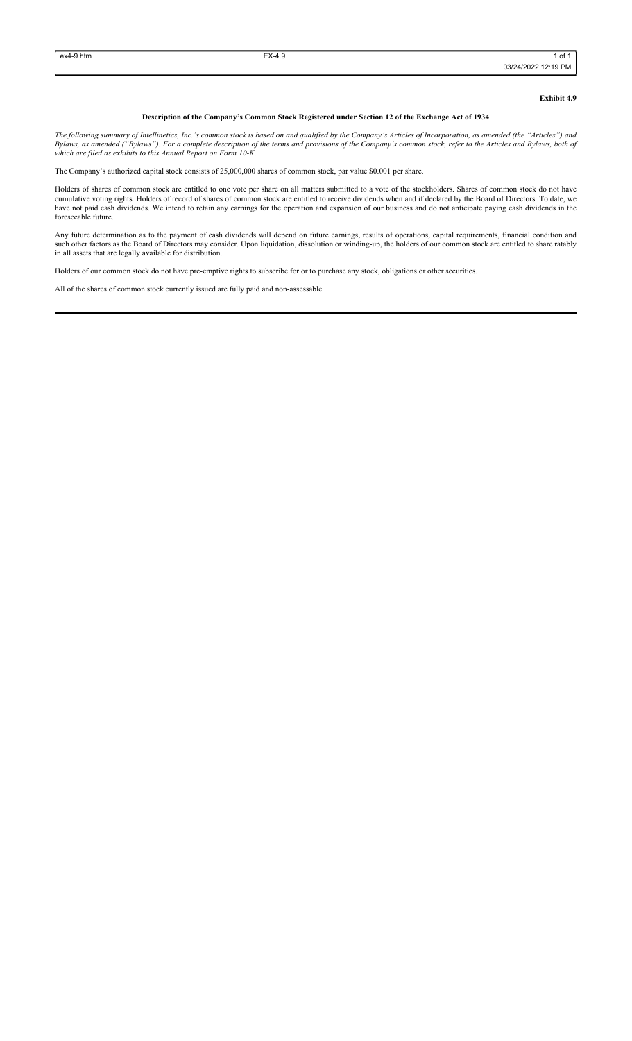## **Exhibit 4.9**

### **Description of the Company's Common Stock Registered under Section 12 of the Exchange Act of 1934**

*The following summary of Intellinetics, Inc.'s common stock is based on and qualified by the Company's Articles of Incorporation, as amended (the "Articles") and Bylaws, as amended ("Bylaws"). For a complete description of the terms and provisions of the Company's common stock, refer to the Articles and Bylaws, both of which are filed as exhibits to this Annual Report on Form 10-K.*

The Company's authorized capital stock consists of 25,000,000 shares of common stock, par value \$0.001 per share.

Holders of shares of common stock are entitled to one vote per share on all matters submitted to a vote of the stockholders. Shares of common stock do not have cumulative voting rights. Holders of record of shares of common stock are entitled to receive dividends when and if declared by the Board of Directors. To date, we have not paid cash dividends. We intend to retain any earnings for the operation and expansion of our business and do not anticipate paying cash dividends in the foreseeable future.

Any future determination as to the payment of cash dividends will depend on future earnings, results of operations, capital requirements, financial condition and such other factors as the Board of Directors may consider. Upon liquidation, dissolution or winding-up, the holders of our common stock are entitled to share ratably in all assets that are legally available for distribution.

Holders of our common stock do not have pre-emptive rights to subscribe for or to purchase any stock, obligations or other securities.

All of the shares of common stock currently issued are fully paid and non-assessable.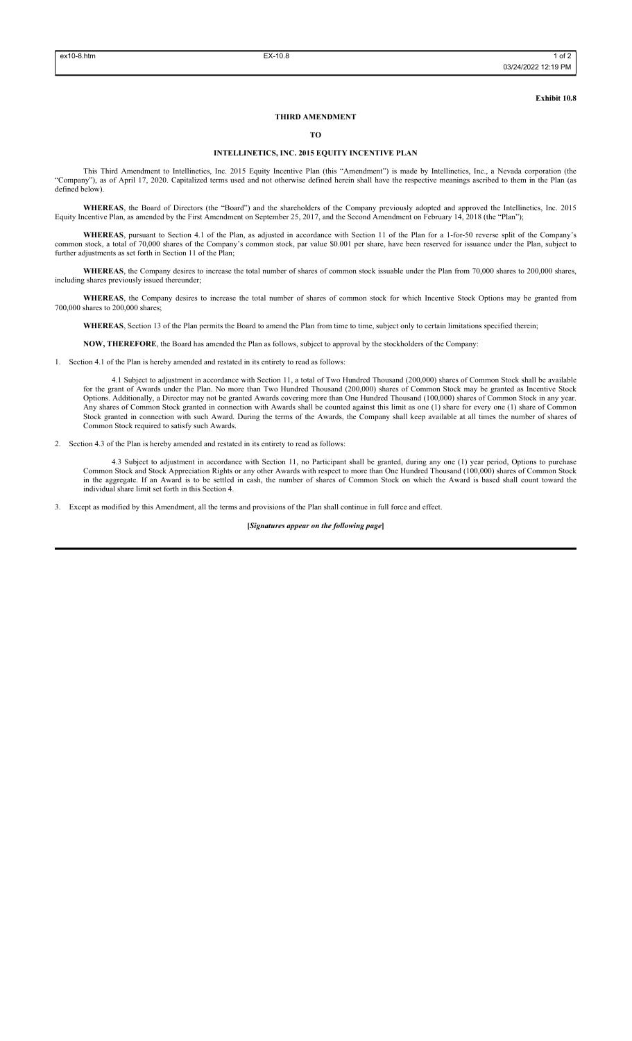**Exhibit 10.8**

### **THIRD AMENDMENT**

### **TO**

## **INTELLINETICS, INC. 2015 EQUITY INCENTIVE PLAN**

This Third Amendment to Intellinetics, Inc. 2015 Equity Incentive Plan (this "Amendment") is made by Intellinetics, Inc., a Nevada corporation (the "Company"), as of April 17, 2020. Capitalized terms used and not otherwise defined herein shall have the respective meanings ascribed to them in the Plan (as defined below).

**WHEREAS**, the Board of Directors (the "Board") and the shareholders of the Company previously adopted and approved the Intellinetics, Inc. 2015 Equity Incentive Plan, as amended by the First Amendment on September 25, 2017, and the Second Amendment on February 14, 2018 (the "Plan");

**WHEREAS**, pursuant to Section 4.1 of the Plan, as adjusted in accordance with Section 11 of the Plan for a 1-for-50 reverse split of the Company's common stock, a total of 70,000 shares of the Company's common stock, par value \$0.001 per share, have been reserved for issuance under the Plan, subject to further adjustments as set forth in Section 11 of the Plan;

WHEREAS, the Company desires to increase the total number of shares of common stock issuable under the Plan from 70,000 shares to 200,000 shares, including shares previously issued thereunder;

**WHEREAS**, the Company desires to increase the total number of shares of common stock for which Incentive Stock Options may be granted from 700,000 shares to 200,000 shares;

**WHEREAS**, Section 13 of the Plan permits the Board to amend the Plan from time to time, subject only to certain limitations specified therein;

**NOW, THEREFORE**, the Board has amended the Plan as follows, subject to approval by the stockholders of the Company:

1. Section 4.1 of the Plan is hereby amended and restated in its entirety to read as follows:

4.1 Subject to adjustment in accordance with Section 11, a total of Two Hundred Thousand (200,000) shares of Common Stock shall be available for the grant of Awards under the Plan. No more than Two Hundred Thousand (200,000) shares of Common Stock may be granted as Incentive Stock Options. Additionally, a Director may not be granted Awards covering more than One Hundred Thousand (100,000) shares of Common Stock in any year. Any shares of Common Stock granted in connection with Awards shall be counted against this limit as one (1) share for every one (1) share of Common Stock granted in connection with such Award. During the terms of the Awards, the Company shall keep available at all times the number of shares of Common Stock required to satisfy such Awards.

2. Section 4.3 of the Plan is hereby amended and restated in its entirety to read as follows:

4.3 Subject to adjustment in accordance with Section 11, no Participant shall be granted, during any one (1) year period, Options to purchase Common Stock and Stock Appreciation Rights or any other Awards with respect to more than One Hundred Thousand (100,000) shares of Common Stock in the aggregate. If an Award is to be settled in cash, the number of shares of Common Stock on which the Award is based shall count toward the individual share limit set forth in this Section 4.

3. Except as modified by this Amendment, all the terms and provisions of the Plan shall continue in full force and effect.

**[***Signatures appear on the following page***]**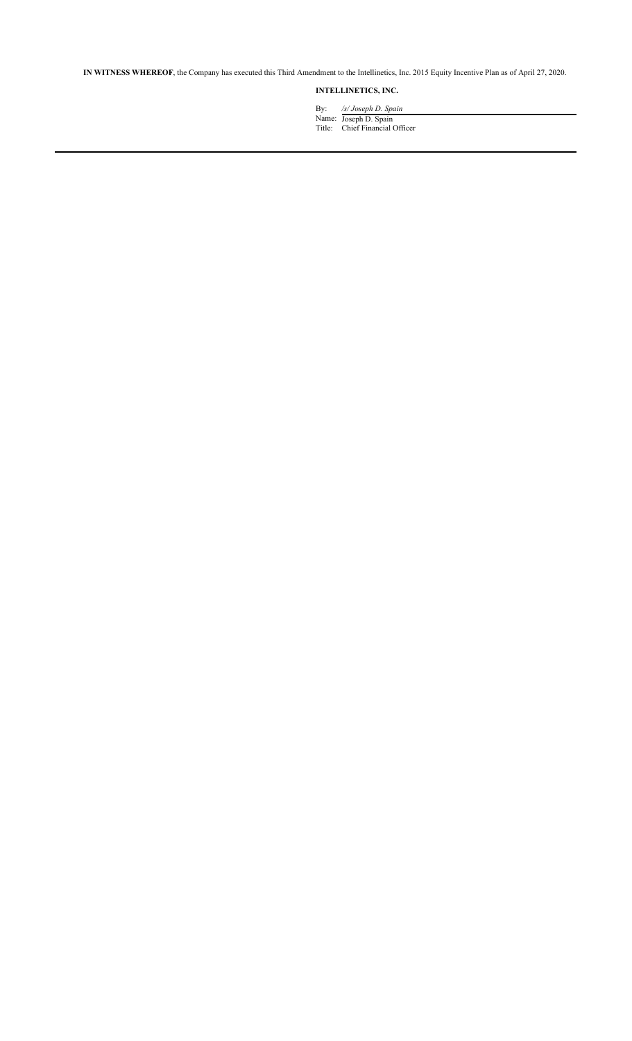**IN WITNESS WHEREOF**, the Company has executed this Third Amendment to the Intellinetics, Inc. 2015 Equity Incentive Plan as of April 27, 2020.

# **INTELLINETICS, INC.**

By: */s/ Joseph D. Spain*  Name: Joseph D. Spain

Title: Chief Financial Officer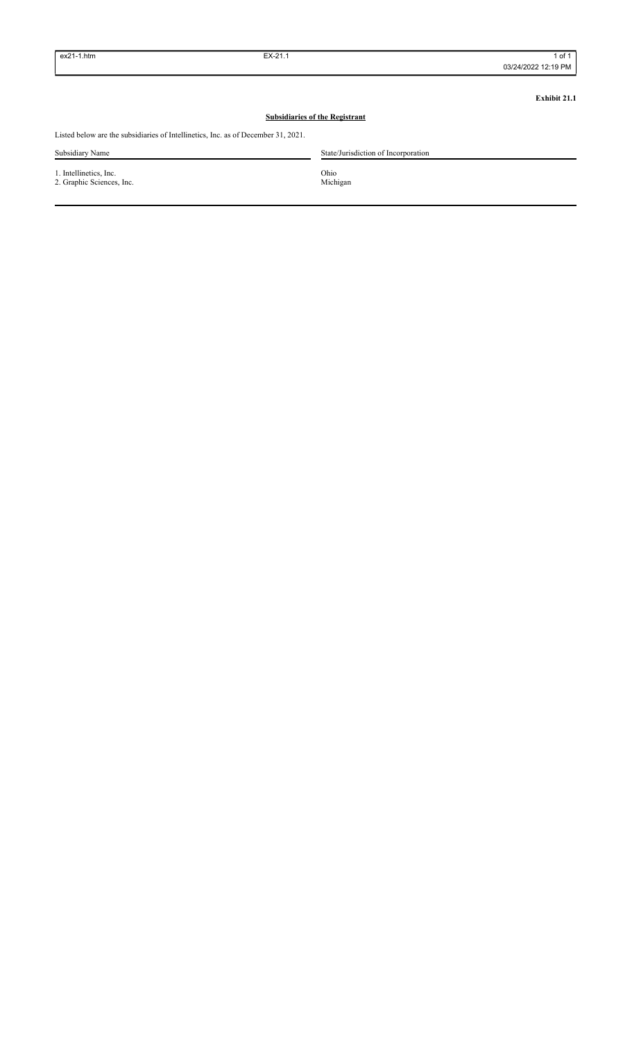**Exhibit 21.1**

# **Subsidiaries of the Registrant**

Listed below are the subsidiaries of Intellinetics, Inc. as of December 31, 2021.

| Subsidiary Name                                     | State/Jurisdiction of Incorporation |
|-----------------------------------------------------|-------------------------------------|
| 1. Intellinetics, Inc.<br>2. Graphic Sciences, Inc. | Ohio<br>Michigan                    |
|                                                     |                                     |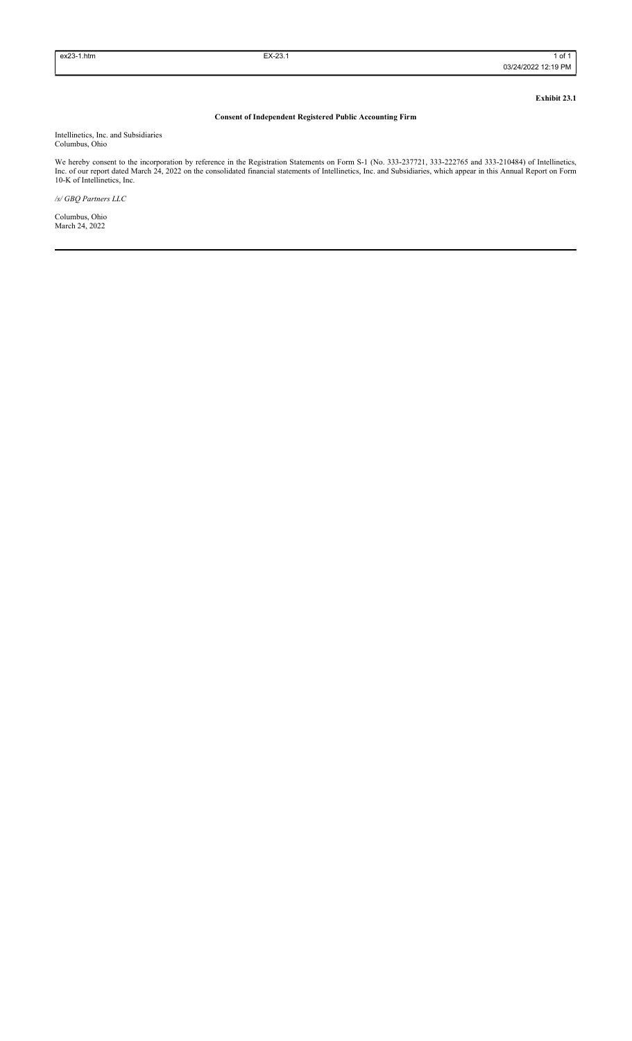**Exhibit 23.1**

# **Consent of Independent Registered Public Accounting Firm**

Intellinetics, Inc. and Subsidiaries Columbus, Ohio

We hereby consent to the incorporation by reference in the Registration Statements on Form S-1 (No. 333-237721, 333-222765 and 333-210484) of Intellinetics, Inc. of our report dated March 24, 2022 on the consolidated financial statements of Intellinetics, Inc. and Subsidiaries, which appear in this Annual Report on Form 10-K of Intellinetics, Inc.

*/s/ GBQ Partners LLC*

Columbus, Ohio March 24, 2022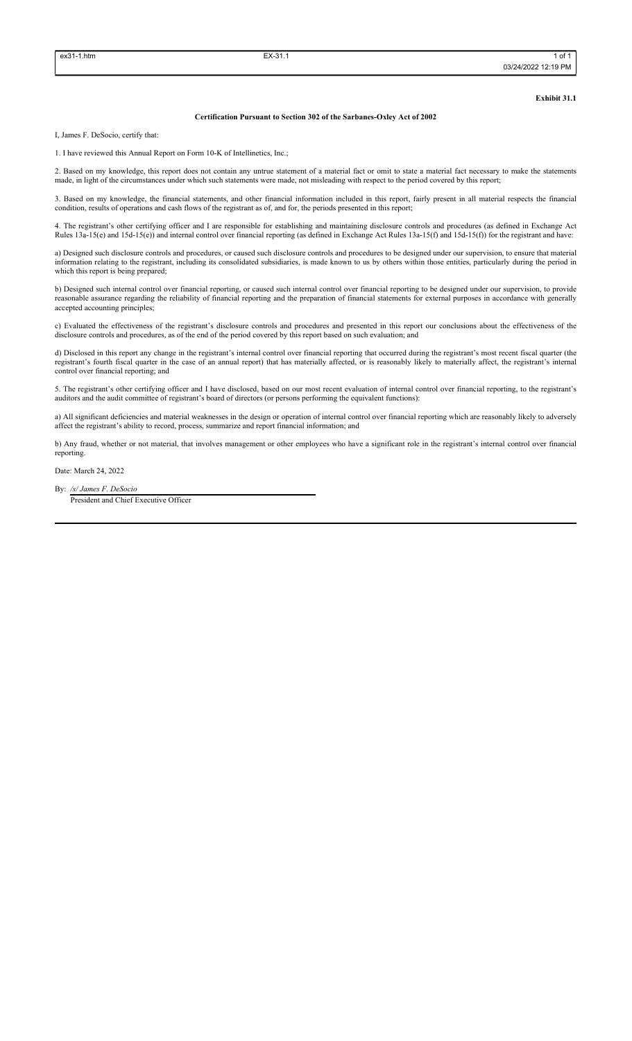**Exhibit 31.1**

#### **Certification Pursuant to Section 302 of the Sarbanes-Oxley Act of 2002**

I, James F. DeSocio, certify that:

1. I have reviewed this Annual Report on Form 10-K of Intellinetics, Inc.;

2. Based on my knowledge, this report does not contain any untrue statement of a material fact or omit to state a material fact necessary to make the statements made, in light of the circumstances under which such statements were made, not misleading with respect to the period covered by this report;

3. Based on my knowledge, the financial statements, and other financial information included in this report, fairly present in all material respects the financial condition, results of operations and cash flows of the registrant as of, and for, the periods presented in this report;

4. The registrant's other certifying officer and I are responsible for establishing and maintaining disclosure controls and procedures (as defined in Exchange Act Rules 13a-15(e) and 15d-15(e)) and internal control over financial reporting (as defined in Exchange Act Rules 13a-15(f) and 15d-15(f)) for the registrant and have:

a) Designed such disclosure controls and procedures, or caused such disclosure controls and procedures to be designed under our supervision, to ensure that material information relating to the registrant, including its consolidated subsidiaries, is made known to us by others within those entities, particularly during the period in which this report is being prepared;

b) Designed such internal control over financial reporting, or caused such internal control over financial reporting to be designed under our supervision, to provide reasonable assurance regarding the reliability of financial reporting and the preparation of financial statements for external purposes in accordance with generally accepted accounting principles;

c) Evaluated the effectiveness of the registrant's disclosure controls and procedures and presented in this report our conclusions about the effectiveness of the disclosure controls and procedures, as of the end of the period covered by this report based on such evaluation; and

d) Disclosed in this report any change in the registrant's internal control over financial reporting that occurred during the registrant's most recent fiscal quarter (the registrant's fourth fiscal quarter in the case of an annual report) that has materially affected, or is reasonably likely to materially affect, the registrant's internal control over financial reporting; and

5. The registrant's other certifying officer and I have disclosed, based on our most recent evaluation of internal control over financial reporting, to the registrant's auditors and the audit committee of registrant's board of directors (or persons performing the equivalent functions):

a) All significant deficiencies and material weaknesses in the design or operation of internal control over financial reporting which are reasonably likely to adversely affect the registrant's ability to record, process, summarize and report financial information; and

b) Any fraud, whether or not material, that involves management or other employees who have a significant role in the registrant's internal control over financial reporting.

Date: March 24, 2022

By: */s/ James F. DeSocio*

President and Chief Executive Officer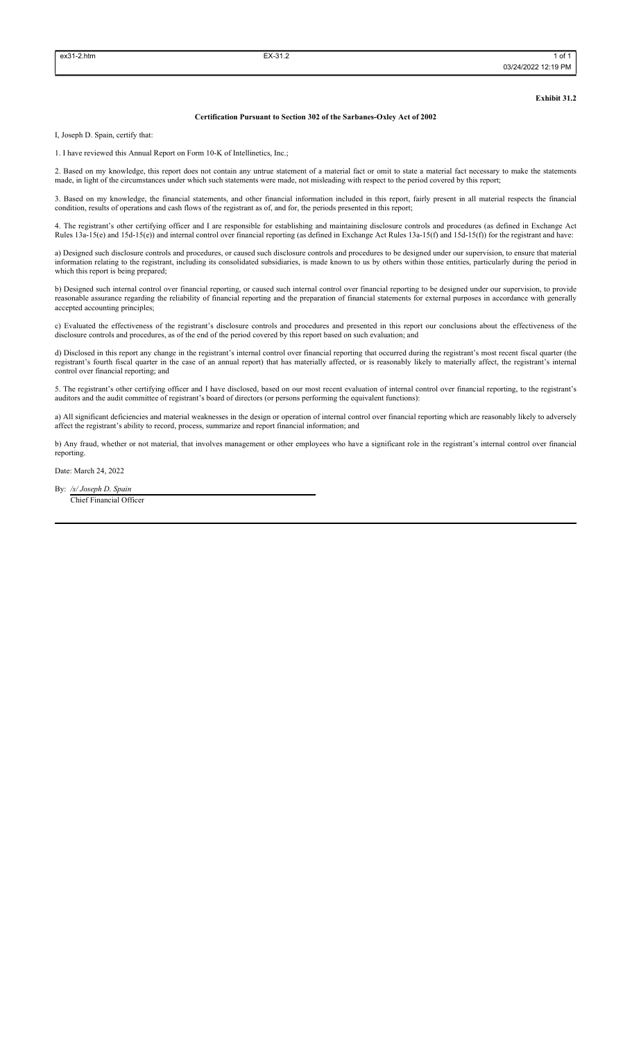**Exhibit 31.2**

#### **Certification Pursuant to Section 302 of the Sarbanes-Oxley Act of 2002**

I, Joseph D. Spain, certify that:

1. I have reviewed this Annual Report on Form 10-K of Intellinetics, Inc.;

2. Based on my knowledge, this report does not contain any untrue statement of a material fact or omit to state a material fact necessary to make the statements made, in light of the circumstances under which such statements were made, not misleading with respect to the period covered by this report;

3. Based on my knowledge, the financial statements, and other financial information included in this report, fairly present in all material respects the financial condition, results of operations and cash flows of the registrant as of, and for, the periods presented in this report;

4. The registrant's other certifying officer and I are responsible for establishing and maintaining disclosure controls and procedures (as defined in Exchange Act Rules 13a-15(e) and 15d-15(e)) and internal control over financial reporting (as defined in Exchange Act Rules 13a-15(f) and 15d-15(f)) for the registrant and have:

a) Designed such disclosure controls and procedures, or caused such disclosure controls and procedures to be designed under our supervision, to ensure that material information relating to the registrant, including its consolidated subsidiaries, is made known to us by others within those entities, particularly during the period in which this report is being prepared;

b) Designed such internal control over financial reporting, or caused such internal control over financial reporting to be designed under our supervision, to provide reasonable assurance regarding the reliability of financial reporting and the preparation of financial statements for external purposes in accordance with generally accepted accounting principles;

c) Evaluated the effectiveness of the registrant's disclosure controls and procedures and presented in this report our conclusions about the effectiveness of the disclosure controls and procedures, as of the end of the period covered by this report based on such evaluation; and

d) Disclosed in this report any change in the registrant's internal control over financial reporting that occurred during the registrant's most recent fiscal quarter (the registrant's fourth fiscal quarter in the case of an annual report) that has materially affected, or is reasonably likely to materially affect, the registrant's internal control over financial reporting; and

5. The registrant's other certifying officer and I have disclosed, based on our most recent evaluation of internal control over financial reporting, to the registrant's auditors and the audit committee of registrant's board of directors (or persons performing the equivalent functions):

a) All significant deficiencies and material weaknesses in the design or operation of internal control over financial reporting which are reasonably likely to adversely affect the registrant's ability to record, process, summarize and report financial information; and

b) Any fraud, whether or not material, that involves management or other employees who have a significant role in the registrant's internal control over financial reporting.

Date: March 24, 2022

By: */s/ Joseph D. Spain*

Chief Financial Officer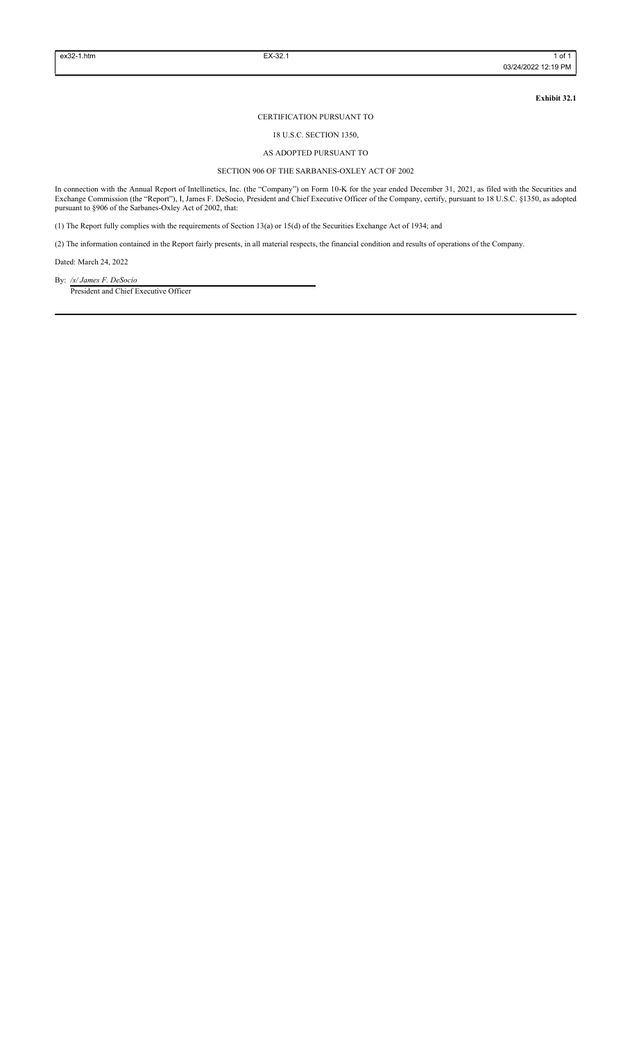**Exhibit 32.1**

### CERTIFICATION PURSUANT TO

## 18 U.S.C. SECTION 1350,

## AS ADOPTED PURSUANT TO

### SECTION 906 OF THE SARBANES-OXLEY ACT OF 2002

In connection with the Annual Report of Intellinetics, Inc. (the "Company") on Form 10-K for the year ended December 31, 2021, as filed with the Securities and Exchange Commission (the "Report"), I, James F. DeSocio, President and Chief Executive Officer of the Company, certify, pursuant to 18 U.S.C. §1350, as adopted pursuant to §906 of the Sarbanes-Oxley Act of 2002, that:

(1) The Report fully complies with the requirements of Section 13(a) or 15(d) of the Securities Exchange Act of 1934; and

(2) The information contained in the Report fairly presents, in all material respects, the financial condition and results of operations of the Company.

Dated: March 24, 2022

By: */s/ James F. DeSocio* President and Chief Executive Officer